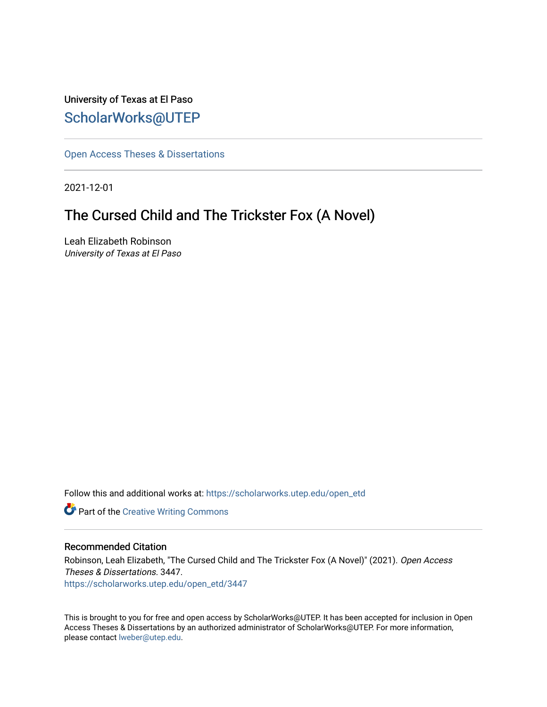# University of Texas at El Paso [ScholarWorks@UTEP](https://scholarworks.utep.edu/)

[Open Access Theses & Dissertations](https://scholarworks.utep.edu/open_etd) 

2021-12-01

# The Cursed Child and The Trickster Fox (A Novel)

Leah Elizabeth Robinson University of Texas at El Paso

Follow this and additional works at: [https://scholarworks.utep.edu/open\\_etd](https://scholarworks.utep.edu/open_etd?utm_source=scholarworks.utep.edu%2Fopen_etd%2F3447&utm_medium=PDF&utm_campaign=PDFCoverPages)

**Part of the Creative Writing Commons** 

#### Recommended Citation

Robinson, Leah Elizabeth, "The Cursed Child and The Trickster Fox (A Novel)" (2021). Open Access Theses & Dissertations. 3447. [https://scholarworks.utep.edu/open\\_etd/3447](https://scholarworks.utep.edu/open_etd/3447?utm_source=scholarworks.utep.edu%2Fopen_etd%2F3447&utm_medium=PDF&utm_campaign=PDFCoverPages) 

This is brought to you for free and open access by ScholarWorks@UTEP. It has been accepted for inclusion in Open Access Theses & Dissertations by an authorized administrator of ScholarWorks@UTEP. For more information, please contact [lweber@utep.edu.](mailto:lweber@utep.edu)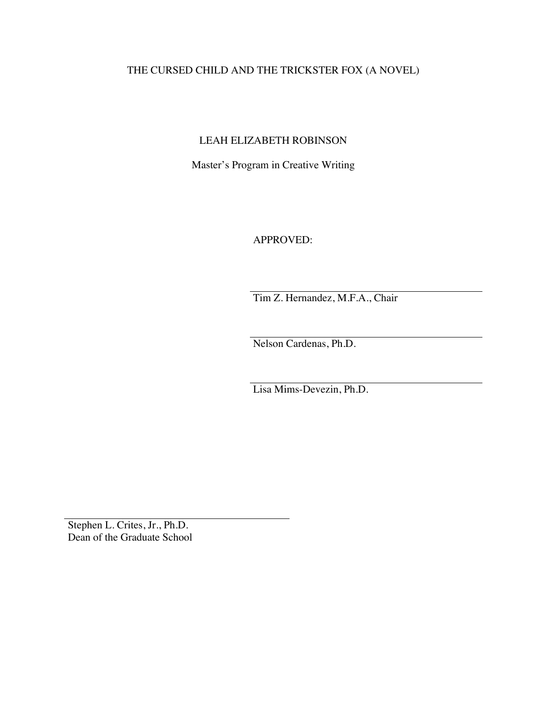# THE CURSED CHILD AND THE TRICKSTER FOX (A NOVEL)

# LEAH ELIZABETH ROBINSON

Master's Program in Creative Writing

APPROVED:

Tim Z. Hernandez, M.F.A., Chair

Nelson Cardenas, Ph.D.

Lisa Mims-Devezin, Ph.D.

Stephen L. Crites, Jr., Ph.D. Dean of the Graduate School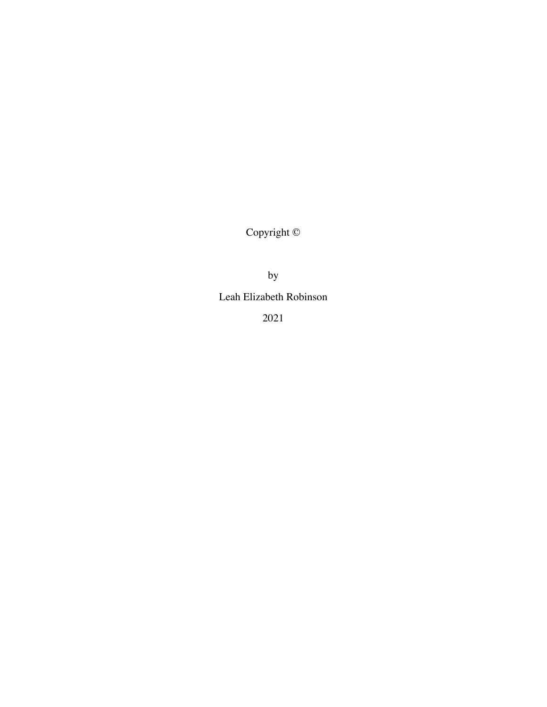Copyright ©

by

Leah Elizabeth Robinson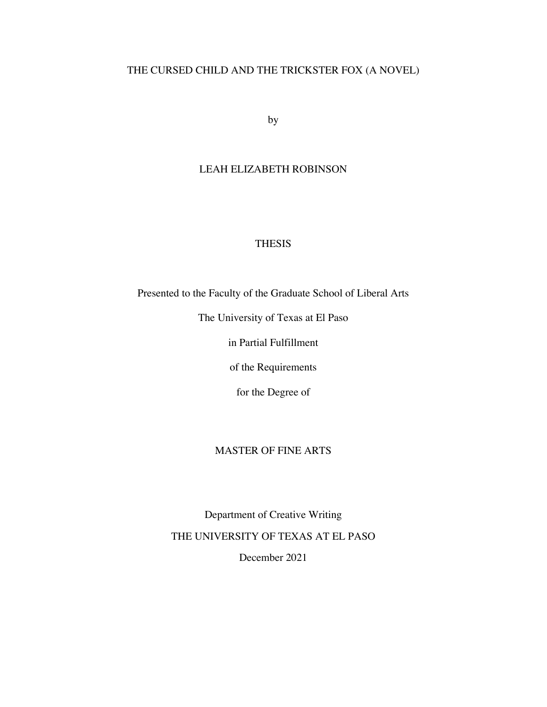# THE CURSED CHILD AND THE TRICKSTER FOX (A NOVEL)

by

### LEAH ELIZABETH ROBINSON

### THESIS

Presented to the Faculty of the Graduate School of Liberal Arts

The University of Texas at El Paso

in Partial Fulfillment

of the Requirements

for the Degree of

### MASTER OF FINE ARTS

Department of Creative Writing THE UNIVERSITY OF TEXAS AT EL PASO December 2021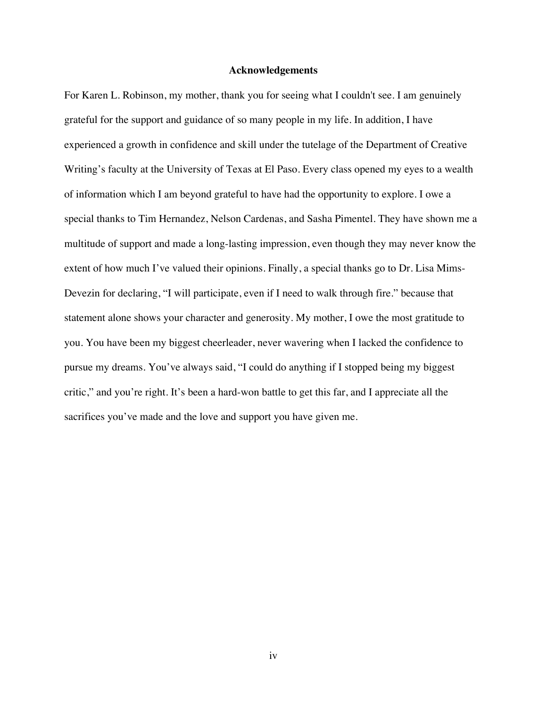#### **Acknowledgements**

For Karen L. Robinson, my mother, thank you for seeing what I couldn't see. I am genuinely grateful for the support and guidance of so many people in my life. In addition, I have experienced a growth in confidence and skill under the tutelage of the Department of Creative Writing's faculty at the University of Texas at El Paso. Every class opened my eyes to a wealth of information which I am beyond grateful to have had the opportunity to explore. I owe a special thanks to Tim Hernandez, Nelson Cardenas, and Sasha Pimentel. They have shown me a multitude of support and made a long-lasting impression, even though they may never know the extent of how much I've valued their opinions. Finally, a special thanks go to Dr. Lisa Mims-Devezin for declaring, "I will participate, even if I need to walk through fire." because that statement alone shows your character and generosity. My mother, I owe the most gratitude to you. You have been my biggest cheerleader, never wavering when I lacked the confidence to pursue my dreams. You've always said, "I could do anything if I stopped being my biggest critic," and you're right. It's been a hard-won battle to get this far, and I appreciate all the sacrifices you've made and the love and support you have given me.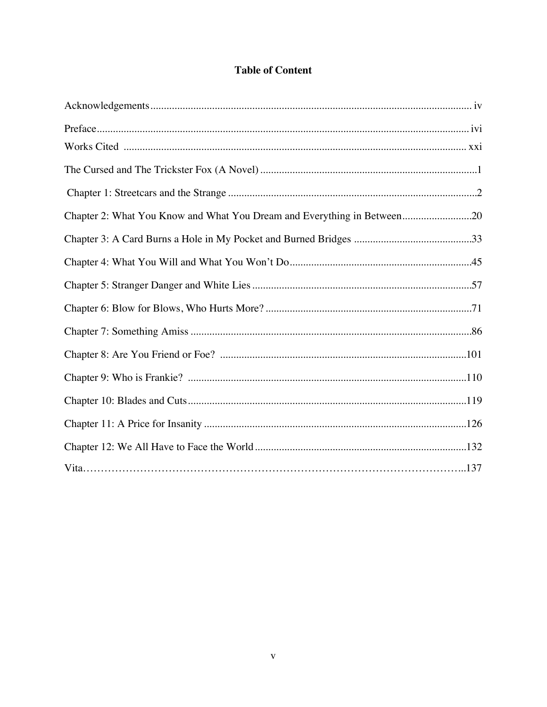## **Table of Content**

| Chapter 2: What You Know and What You Dream and Everything in Between20 |  |
|-------------------------------------------------------------------------|--|
|                                                                         |  |
|                                                                         |  |
|                                                                         |  |
|                                                                         |  |
|                                                                         |  |
|                                                                         |  |
|                                                                         |  |
|                                                                         |  |
|                                                                         |  |
|                                                                         |  |
|                                                                         |  |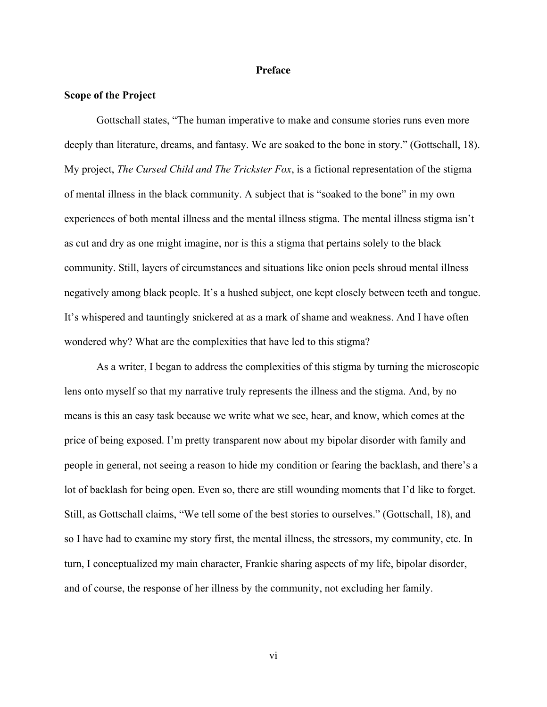#### **Preface**

#### **Scope of the Project**

Gottschall states, "The human imperative to make and consume stories runs even more deeply than literature, dreams, and fantasy. We are soaked to the bone in story." (Gottschall, 18). My project, *The Cursed Child and The Trickster Fox*, is a fictional representation of the stigma of mental illness in the black community. A subject that is "soaked to the bone" in my own experiences of both mental illness and the mental illness stigma. The mental illness stigma isn't as cut and dry as one might imagine, nor is this a stigma that pertains solely to the black community. Still, layers of circumstances and situations like onion peels shroud mental illness negatively among black people. It's a hushed subject, one kept closely between teeth and tongue. It's whispered and tauntingly snickered at as a mark of shame and weakness. And I have often wondered why? What are the complexities that have led to this stigma?

As a writer, I began to address the complexities of this stigma by turning the microscopic lens onto myself so that my narrative truly represents the illness and the stigma. And, by no means is this an easy task because we write what we see, hear, and know, which comes at the price of being exposed. I'm pretty transparent now about my bipolar disorder with family and people in general, not seeing a reason to hide my condition or fearing the backlash, and there's a lot of backlash for being open. Even so, there are still wounding moments that I'd like to forget. Still, as Gottschall claims, "We tell some of the best stories to ourselves." (Gottschall, 18), and so I have had to examine my story first, the mental illness, the stressors, my community, etc. In turn, I conceptualized my main character, Frankie sharing aspects of my life, bipolar disorder, and of course, the response of her illness by the community, not excluding her family.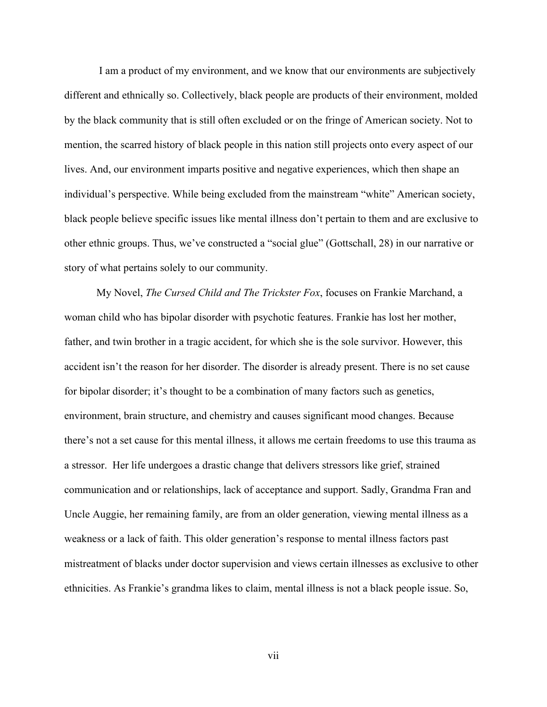I am a product of my environment, and we know that our environments are subjectively different and ethnically so. Collectively, black people are products of their environment, molded by the black community that is still often excluded or on the fringe of American society. Not to mention, the scarred history of black people in this nation still projects onto every aspect of our lives. And, our environment imparts positive and negative experiences, which then shape an individual's perspective. While being excluded from the mainstream "white" American society, black people believe specific issues like mental illness don't pertain to them and are exclusive to other ethnic groups. Thus, we've constructed a "social glue" (Gottschall, 28) in our narrative or story of what pertains solely to our community.

My Novel, *The Cursed Child and The Trickster Fox*, focuses on Frankie Marchand, a woman child who has bipolar disorder with psychotic features. Frankie has lost her mother, father, and twin brother in a tragic accident, for which she is the sole survivor. However, this accident isn't the reason for her disorder. The disorder is already present. There is no set cause for bipolar disorder; it's thought to be a combination of many factors such as genetics, environment, brain structure, and chemistry and causes significant mood changes. Because there's not a set cause for this mental illness, it allows me certain freedoms to use this trauma as a stressor. Her life undergoes a drastic change that delivers stressors like grief, strained communication and or relationships, lack of acceptance and support. Sadly, Grandma Fran and Uncle Auggie, her remaining family, are from an older generation, viewing mental illness as a weakness or a lack of faith. This older generation's response to mental illness factors past mistreatment of blacks under doctor supervision and views certain illnesses as exclusive to other ethnicities. As Frankie's grandma likes to claim, mental illness is not a black people issue. So,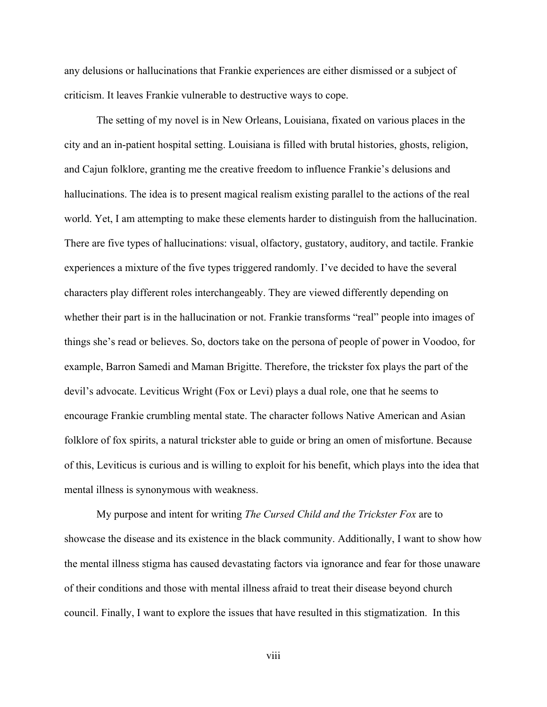any delusions or hallucinations that Frankie experiences are either dismissed or a subject of criticism. It leaves Frankie vulnerable to destructive ways to cope.

The setting of my novel is in New Orleans, Louisiana, fixated on various places in the city and an in-patient hospital setting. Louisiana is filled with brutal histories, ghosts, religion, and Cajun folklore, granting me the creative freedom to influence Frankie's delusions and hallucinations. The idea is to present magical realism existing parallel to the actions of the real world. Yet, I am attempting to make these elements harder to distinguish from the hallucination. There are five types of hallucinations: visual, olfactory, gustatory, auditory, and tactile. Frankie experiences a mixture of the five types triggered randomly. I've decided to have the several characters play different roles interchangeably. They are viewed differently depending on whether their part is in the hallucination or not. Frankie transforms "real" people into images of things she's read or believes. So, doctors take on the persona of people of power in Voodoo, for example, Barron Samedi and Maman Brigitte. Therefore, the trickster fox plays the part of the devil's advocate. Leviticus Wright (Fox or Levi) plays a dual role, one that he seems to encourage Frankie crumbling mental state. The character follows Native American and Asian folklore of fox spirits, a natural trickster able to guide or bring an omen of misfortune. Because of this, Leviticus is curious and is willing to exploit for his benefit, which plays into the idea that mental illness is synonymous with weakness.

My purpose and intent for writing *The Cursed Child and the Trickster Fox* are to showcase the disease and its existence in the black community. Additionally, I want to show how the mental illness stigma has caused devastating factors via ignorance and fear for those unaware of their conditions and those with mental illness afraid to treat their disease beyond church council. Finally, I want to explore the issues that have resulted in this stigmatization. In this

viii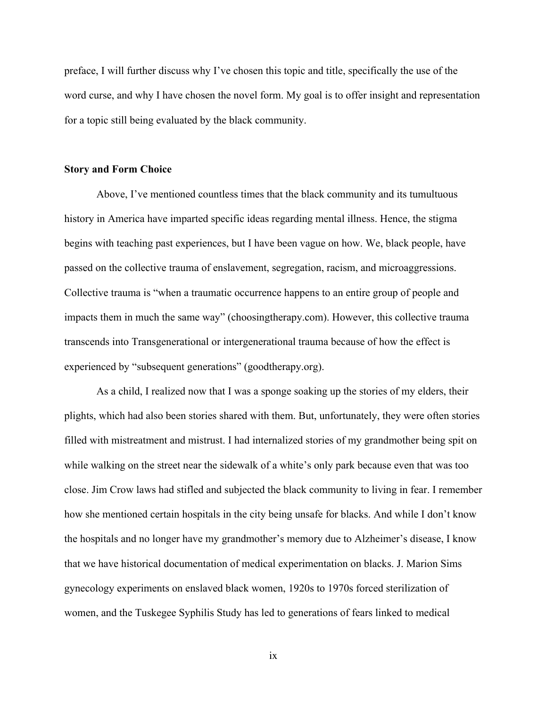preface, I will further discuss why I've chosen this topic and title, specifically the use of the word curse, and why I have chosen the novel form. My goal is to offer insight and representation for a topic still being evaluated by the black community.

#### **Story and Form Choice**

Above, I've mentioned countless times that the black community and its tumultuous history in America have imparted specific ideas regarding mental illness. Hence, the stigma begins with teaching past experiences, but I have been vague on how. We, black people, have passed on the collective trauma of enslavement, segregation, racism, and microaggressions. Collective trauma is "when a traumatic occurrence happens to an entire group of people and impacts them in much the same way" (choosingtherapy.com). However, this collective trauma transcends into Transgenerational or intergenerational trauma because of how the effect is experienced by "subsequent generations" (goodtherapy.org).

As a child, I realized now that I was a sponge soaking up the stories of my elders, their plights, which had also been stories shared with them. But, unfortunately, they were often stories filled with mistreatment and mistrust. I had internalized stories of my grandmother being spit on while walking on the street near the sidewalk of a white's only park because even that was too close. Jim Crow laws had stifled and subjected the black community to living in fear. I remember how she mentioned certain hospitals in the city being unsafe for blacks. And while I don't know the hospitals and no longer have my grandmother's memory due to Alzheimer's disease, I know that we have historical documentation of medical experimentation on blacks. J. Marion Sims gynecology experiments on enslaved black women, 1920s to 1970s forced sterilization of women, and the Tuskegee Syphilis Study has led to generations of fears linked to medical

ix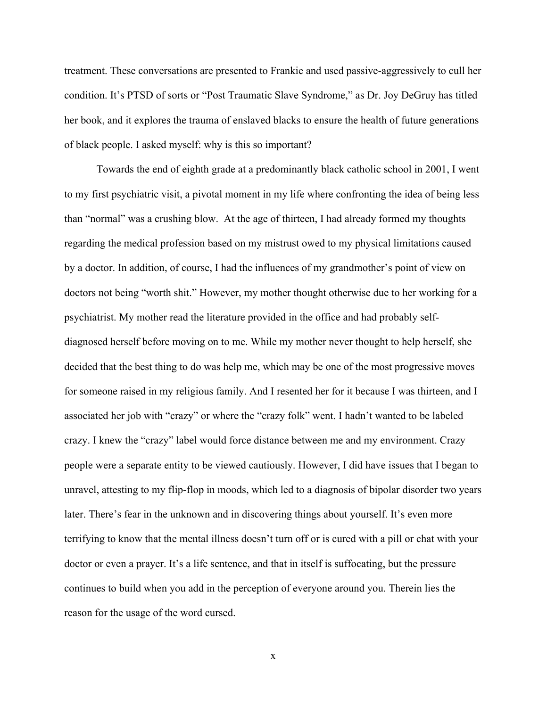treatment. These conversations are presented to Frankie and used passive-aggressively to cull her condition. It's PTSD of sorts or "Post Traumatic Slave Syndrome," as Dr. Joy DeGruy has titled her book, and it explores the trauma of enslaved blacks to ensure the health of future generations of black people. I asked myself: why is this so important?

Towards the end of eighth grade at a predominantly black catholic school in 2001, I went to my first psychiatric visit, a pivotal moment in my life where confronting the idea of being less than "normal" was a crushing blow. At the age of thirteen, I had already formed my thoughts regarding the medical profession based on my mistrust owed to my physical limitations caused by a doctor. In addition, of course, I had the influences of my grandmother's point of view on doctors not being "worth shit." However, my mother thought otherwise due to her working for a psychiatrist. My mother read the literature provided in the office and had probably selfdiagnosed herself before moving on to me. While my mother never thought to help herself, she decided that the best thing to do was help me, which may be one of the most progressive moves for someone raised in my religious family. And I resented her for it because I was thirteen, and I associated her job with "crazy" or where the "crazy folk" went. I hadn't wanted to be labeled crazy. I knew the "crazy" label would force distance between me and my environment. Crazy people were a separate entity to be viewed cautiously. However, I did have issues that I began to unravel, attesting to my flip-flop in moods, which led to a diagnosis of bipolar disorder two years later. There's fear in the unknown and in discovering things about yourself. It's even more terrifying to know that the mental illness doesn't turn off or is cured with a pill or chat with your doctor or even a prayer. It's a life sentence, and that in itself is suffocating, but the pressure continues to build when you add in the perception of everyone around you. Therein lies the reason for the usage of the word cursed.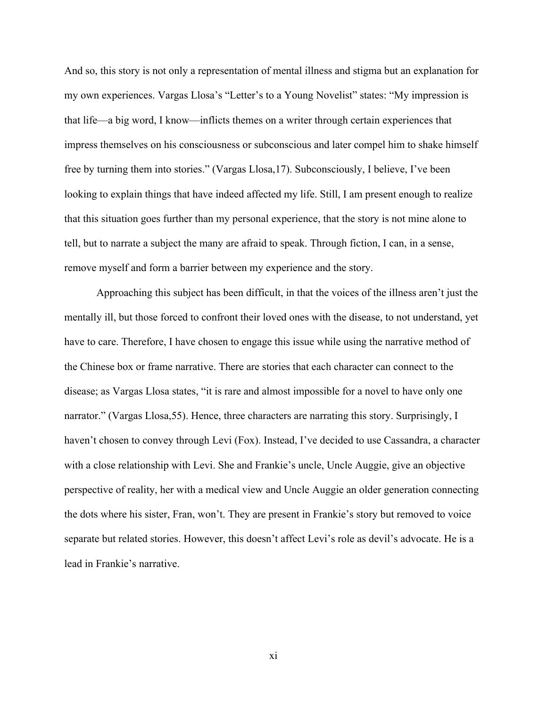And so, this story is not only a representation of mental illness and stigma but an explanation for my own experiences. Vargas Llosa's "Letter's to a Young Novelist" states: "My impression is that life—a big word, I know—inflicts themes on a writer through certain experiences that impress themselves on his consciousness or subconscious and later compel him to shake himself free by turning them into stories." (Vargas Llosa,17). Subconsciously, I believe, I've been looking to explain things that have indeed affected my life. Still, I am present enough to realize that this situation goes further than my personal experience, that the story is not mine alone to tell, but to narrate a subject the many are afraid to speak. Through fiction, I can, in a sense, remove myself and form a barrier between my experience and the story.

Approaching this subject has been difficult, in that the voices of the illness aren't just the mentally ill, but those forced to confront their loved ones with the disease, to not understand, yet have to care. Therefore, I have chosen to engage this issue while using the narrative method of the Chinese box or frame narrative. There are stories that each character can connect to the disease; as Vargas Llosa states, "it is rare and almost impossible for a novel to have only one narrator." (Vargas Llosa,55). Hence, three characters are narrating this story. Surprisingly, I haven't chosen to convey through Levi (Fox). Instead, I've decided to use Cassandra, a character with a close relationship with Levi. She and Frankie's uncle, Uncle Auggie, give an objective perspective of reality, her with a medical view and Uncle Auggie an older generation connecting the dots where his sister, Fran, won't. They are present in Frankie's story but removed to voice separate but related stories. However, this doesn't affect Levi's role as devil's advocate. He is a lead in Frankie's narrative.

xi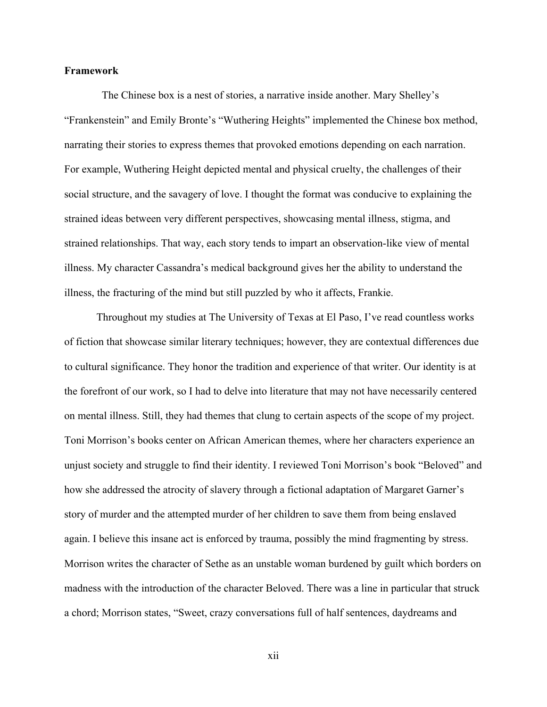#### **Framework**

 The Chinese box is a nest of stories, a narrative inside another. Mary Shelley's "Frankenstein" and Emily Bronte's "Wuthering Heights" implemented the Chinese box method, narrating their stories to express themes that provoked emotions depending on each narration. For example, Wuthering Height depicted mental and physical cruelty, the challenges of their social structure, and the savagery of love. I thought the format was conducive to explaining the strained ideas between very different perspectives, showcasing mental illness, stigma, and strained relationships. That way, each story tends to impart an observation-like view of mental illness. My character Cassandra's medical background gives her the ability to understand the illness, the fracturing of the mind but still puzzled by who it affects, Frankie.

Throughout my studies at The University of Texas at El Paso, I've read countless works of fiction that showcase similar literary techniques; however, they are contextual differences due to cultural significance. They honor the tradition and experience of that writer. Our identity is at the forefront of our work, so I had to delve into literature that may not have necessarily centered on mental illness. Still, they had themes that clung to certain aspects of the scope of my project. Toni Morrison's books center on African American themes, where her characters experience an unjust society and struggle to find their identity. I reviewed Toni Morrison's book "Beloved" and how she addressed the atrocity of slavery through a fictional adaptation of Margaret Garner's story of murder and the attempted murder of her children to save them from being enslaved again. I believe this insane act is enforced by trauma, possibly the mind fragmenting by stress. Morrison writes the character of Sethe as an unstable woman burdened by guilt which borders on madness with the introduction of the character Beloved. There was a line in particular that struck a chord; Morrison states, "Sweet, crazy conversations full of half sentences, daydreams and

xii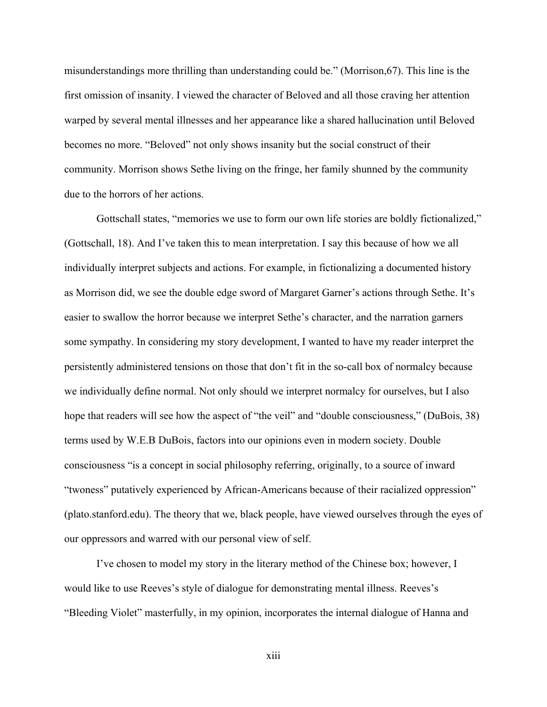misunderstandings more thrilling than understanding could be." (Morrison,67). This line is the first omission of insanity. I viewed the character of Beloved and all those craving her attention warped by several mental illnesses and her appearance like a shared hallucination until Beloved becomes no more. "Beloved" not only shows insanity but the social construct of their community. Morrison shows Sethe living on the fringe, her family shunned by the community due to the horrors of her actions.

Gottschall states, "memories we use to form our own life stories are boldly fictionalized," (Gottschall, 18). And I've taken this to mean interpretation. I say this because of how we all individually interpret subjects and actions. For example, in fictionalizing a documented history as Morrison did, we see the double edge sword of Margaret Garner's actions through Sethe. It's easier to swallow the horror because we interpret Sethe's character, and the narration garners some sympathy. In considering my story development, I wanted to have my reader interpret the persistently administered tensions on those that don't fit in the so-call box of normalcy because we individually define normal. Not only should we interpret normalcy for ourselves, but I also hope that readers will see how the aspect of "the veil" and "double consciousness," (DuBois, 38) terms used by W.E.B DuBois, factors into our opinions even in modern society. Double consciousness "is a concept in social philosophy referring, originally, to a source of inward "twoness" putatively experienced by African-Americans because of their racialized oppression" (plato.stanford.edu). The theory that we, black people, have viewed ourselves through the eyes of our oppressors and warred with our personal view of self.

I've chosen to model my story in the literary method of the Chinese box; however, I would like to use Reeves's style of dialogue for demonstrating mental illness. Reeves's "Bleeding Violet" masterfully, in my opinion, incorporates the internal dialogue of Hanna and

xiii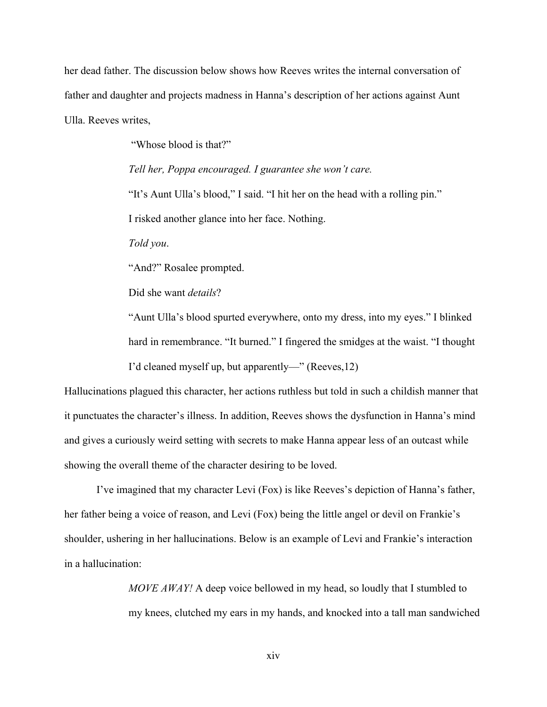her dead father. The discussion below shows how Reeves writes the internal conversation of father and daughter and projects madness in Hanna's description of her actions against Aunt Ulla. Reeves writes,

"Whose blood is that?"

*Tell her, Poppa encouraged. I guarantee she won't care.* 

"It's Aunt Ulla's blood," I said. "I hit her on the head with a rolling pin."

I risked another glance into her face. Nothing.

*Told you*.

"And?" Rosalee prompted.

Did she want *details*?

"Aunt Ulla's blood spurted everywhere, onto my dress, into my eyes." I blinked hard in remembrance. "It burned." I fingered the smidges at the waist. "I thought I'd cleaned myself up, but apparently—" (Reeves,12)

Hallucinations plagued this character, her actions ruthless but told in such a childish manner that it punctuates the character's illness. In addition, Reeves shows the dysfunction in Hanna's mind and gives a curiously weird setting with secrets to make Hanna appear less of an outcast while showing the overall theme of the character desiring to be loved.

I've imagined that my character Levi (Fox) is like Reeves's depiction of Hanna's father, her father being a voice of reason, and Levi (Fox) being the little angel or devil on Frankie's shoulder, ushering in her hallucinations. Below is an example of Levi and Frankie's interaction in a hallucination:

> *MOVE AWAY!* A deep voice bellowed in my head, so loudly that I stumbled to my knees, clutched my ears in my hands, and knocked into a tall man sandwiched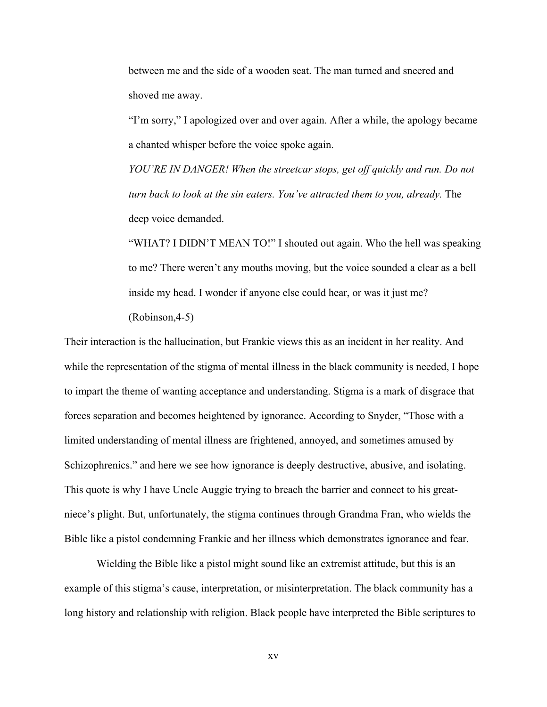between me and the side of a wooden seat. The man turned and sneered and shoved me away.

"I'm sorry," I apologized over and over again. After a while, the apology became a chanted whisper before the voice spoke again.

*YOU'RE IN DANGER! When the streetcar stops, get off quickly and run. Do not turn back to look at the sin eaters. You've attracted them to you, already.* The deep voice demanded.

"WHAT? I DIDN'T MEAN TO!" I shouted out again. Who the hell was speaking to me? There weren't any mouths moving, but the voice sounded a clear as a bell inside my head. I wonder if anyone else could hear, or was it just me? (Robinson,4-5)

Their interaction is the hallucination, but Frankie views this as an incident in her reality. And while the representation of the stigma of mental illness in the black community is needed, I hope to impart the theme of wanting acceptance and understanding. Stigma is a mark of disgrace that forces separation and becomes heightened by ignorance. According to Snyder, "Those with a limited understanding of mental illness are frightened, annoyed, and sometimes amused by Schizophrenics." and here we see how ignorance is deeply destructive, abusive, and isolating. This quote is why I have Uncle Auggie trying to breach the barrier and connect to his greatniece's plight. But, unfortunately, the stigma continues through Grandma Fran, who wields the Bible like a pistol condemning Frankie and her illness which demonstrates ignorance and fear.

Wielding the Bible like a pistol might sound like an extremist attitude, but this is an example of this stigma's cause, interpretation, or misinterpretation. The black community has a long history and relationship with religion. Black people have interpreted the Bible scriptures to

xv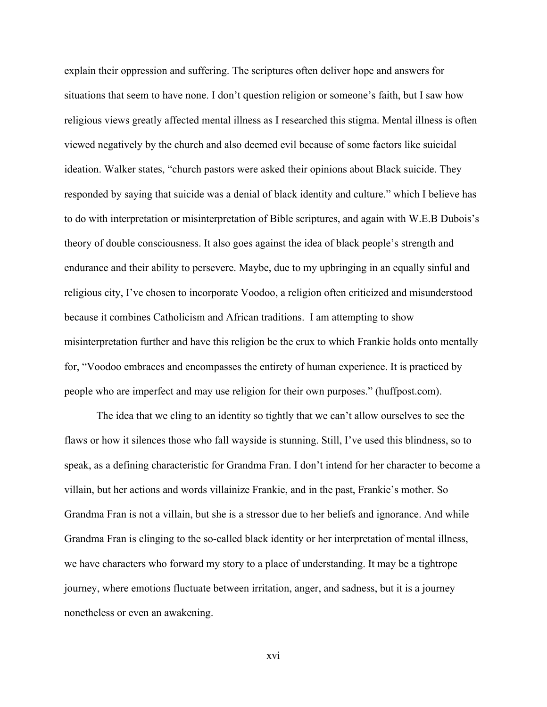explain their oppression and suffering. The scriptures often deliver hope and answers for situations that seem to have none. I don't question religion or someone's faith, but I saw how religious views greatly affected mental illness as I researched this stigma. Mental illness is often viewed negatively by the church and also deemed evil because of some factors like suicidal ideation. Walker states, "church pastors were asked their opinions about Black suicide. They responded by saying that suicide was a denial of black identity and culture." which I believe has to do with interpretation or misinterpretation of Bible scriptures, and again with W.E.B Dubois's theory of double consciousness. It also goes against the idea of black people's strength and endurance and their ability to persevere. Maybe, due to my upbringing in an equally sinful and religious city, I've chosen to incorporate Voodoo, a religion often criticized and misunderstood because it combines Catholicism and African traditions. I am attempting to show misinterpretation further and have this religion be the crux to which Frankie holds onto mentally for, "Voodoo embraces and encompasses the entirety of human experience. It is practiced by people who are imperfect and may use religion for their own purposes." (huffpost.com).

The idea that we cling to an identity so tightly that we can't allow ourselves to see the flaws or how it silences those who fall wayside is stunning. Still, I've used this blindness, so to speak, as a defining characteristic for Grandma Fran. I don't intend for her character to become a villain, but her actions and words villainize Frankie, and in the past, Frankie's mother. So Grandma Fran is not a villain, but she is a stressor due to her beliefs and ignorance. And while Grandma Fran is clinging to the so-called black identity or her interpretation of mental illness, we have characters who forward my story to a place of understanding. It may be a tightrope journey, where emotions fluctuate between irritation, anger, and sadness, but it is a journey nonetheless or even an awakening.

xvi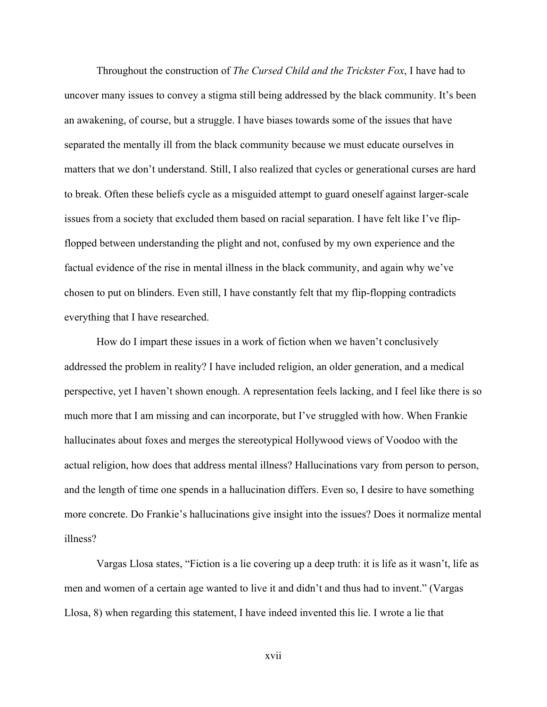Throughout the construction of *The Cursed Child and the Trickster Fox*, I have had to uncover many issues to convey a stigma still being addressed by the black community. It's been an awakening, of course, but a struggle. I have biases towards some of the issues that have separated the mentally ill from the black community because we must educate ourselves in matters that we don't understand. Still, I also realized that cycles or generational curses are hard to break. Often these beliefs cycle as a misguided attempt to guard oneself against larger-scale issues from a society that excluded them based on racial separation. I have felt like I've flipflopped between understanding the plight and not, confused by my own experience and the factual evidence of the rise in mental illness in the black community, and again why we've chosen to put on blinders. Even still, I have constantly felt that my flip-flopping contradicts everything that I have researched.

How do I impart these issues in a work of fiction when we haven't conclusively addressed the problem in reality? I have included religion, an older generation, and a medical perspective, yet I haven't shown enough. A representation feels lacking, and I feel like there is so much more that I am missing and can incorporate, but I've struggled with how. When Frankie hallucinates about foxes and merges the stereotypical Hollywood views of Voodoo with the actual religion, how does that address mental illness? Hallucinations vary from person to person, and the length of time one spends in a hallucination differs. Even so, I desire to have something more concrete. Do Frankie's hallucinations give insight into the issues? Does it normalize mental illness?

Vargas Llosa states, "Fiction is a lie covering up a deep truth: it is life as it wasn't, life as men and women of a certain age wanted to live it and didn't and thus had to invent." (Vargas Llosa, 8) when regarding this statement, I have indeed invented this lie. I wrote a lie that

xvii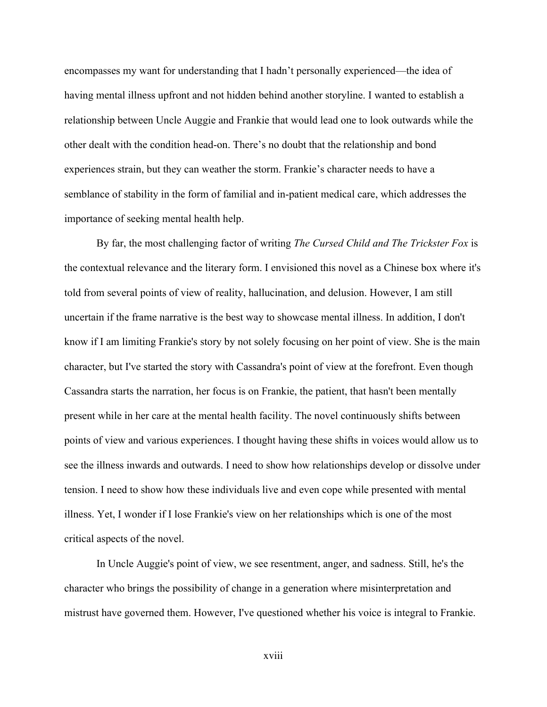encompasses my want for understanding that I hadn't personally experienced—the idea of having mental illness upfront and not hidden behind another storyline. I wanted to establish a relationship between Uncle Auggie and Frankie that would lead one to look outwards while the other dealt with the condition head-on. There's no doubt that the relationship and bond experiences strain, but they can weather the storm. Frankie's character needs to have a semblance of stability in the form of familial and in-patient medical care, which addresses the importance of seeking mental health help.

By far, the most challenging factor of writing *The Cursed Child and The Trickster Fox* is the contextual relevance and the literary form. I envisioned this novel as a Chinese box where it's told from several points of view of reality, hallucination, and delusion. However, I am still uncertain if the frame narrative is the best way to showcase mental illness. In addition, I don't know if I am limiting Frankie's story by not solely focusing on her point of view. She is the main character, but I've started the story with Cassandra's point of view at the forefront. Even though Cassandra starts the narration, her focus is on Frankie, the patient, that hasn't been mentally present while in her care at the mental health facility. The novel continuously shifts between points of view and various experiences. I thought having these shifts in voices would allow us to see the illness inwards and outwards. I need to show how relationships develop or dissolve under tension. I need to show how these individuals live and even cope while presented with mental illness. Yet, I wonder if I lose Frankie's view on her relationships which is one of the most critical aspects of the novel.

In Uncle Auggie's point of view, we see resentment, anger, and sadness. Still, he's the character who brings the possibility of change in a generation where misinterpretation and mistrust have governed them. However, I've questioned whether his voice is integral to Frankie.

xviii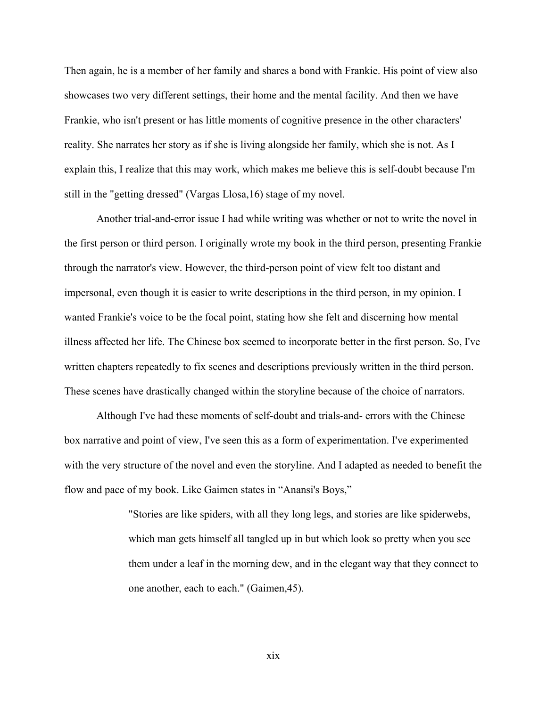Then again, he is a member of her family and shares a bond with Frankie. His point of view also showcases two very different settings, their home and the mental facility. And then we have Frankie, who isn't present or has little moments of cognitive presence in the other characters' reality. She narrates her story as if she is living alongside her family, which she is not. As I explain this, I realize that this may work, which makes me believe this is self-doubt because I'm still in the "getting dressed" (Vargas Llosa,16) stage of my novel.

Another trial-and-error issue I had while writing was whether or not to write the novel in the first person or third person. I originally wrote my book in the third person, presenting Frankie through the narrator's view. However, the third-person point of view felt too distant and impersonal, even though it is easier to write descriptions in the third person, in my opinion. I wanted Frankie's voice to be the focal point, stating how she felt and discerning how mental illness affected her life. The Chinese box seemed to incorporate better in the first person. So, I've written chapters repeatedly to fix scenes and descriptions previously written in the third person. These scenes have drastically changed within the storyline because of the choice of narrators.

Although I've had these moments of self-doubt and trials-and- errors with the Chinese box narrative and point of view, I've seen this as a form of experimentation. I've experimented with the very structure of the novel and even the storyline. And I adapted as needed to benefit the flow and pace of my book. Like Gaimen states in "Anansi's Boys,"

> "Stories are like spiders, with all they long legs, and stories are like spiderwebs, which man gets himself all tangled up in but which look so pretty when you see them under a leaf in the morning dew, and in the elegant way that they connect to one another, each to each." (Gaimen,45).

> > xix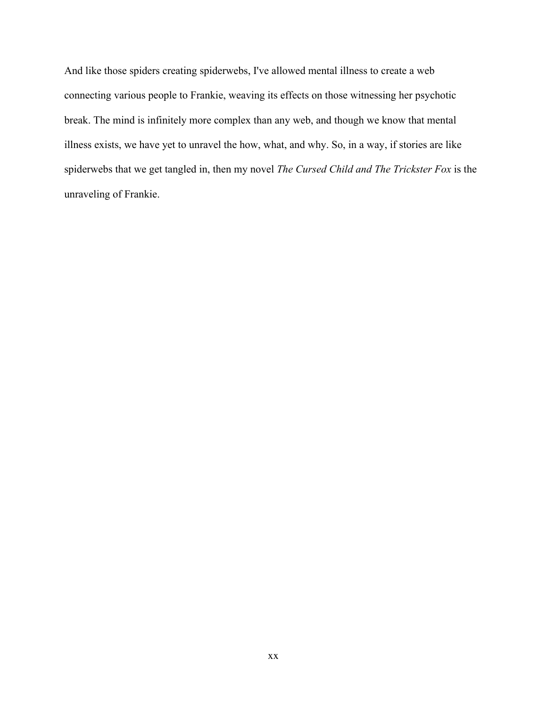And like those spiders creating spiderwebs, I've allowed mental illness to create a web connecting various people to Frankie, weaving its effects on those witnessing her psychotic break. The mind is infinitely more complex than any web, and though we know that mental illness exists, we have yet to unravel the how, what, and why. So, in a way, if stories are like spiderwebs that we get tangled in, then my novel *The Cursed Child and The Trickster Fox* is the unraveling of Frankie.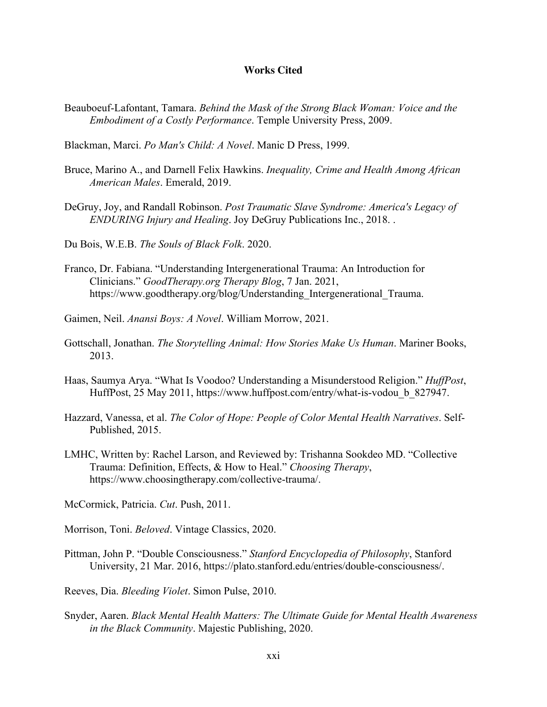### **Works Cited**

Beauboeuf-Lafontant, Tamara. *Behind the Mask of the Strong Black Woman: Voice and the Embodiment of a Costly Performance*. Temple University Press, 2009.

Blackman, Marci. *Po Man's Child: A Novel*. Manic D Press, 1999.

- Bruce, Marino A., and Darnell Felix Hawkins. *Inequality, Crime and Health Among African American Males*. Emerald, 2019.
- DeGruy, Joy, and Randall Robinson. *Post Traumatic Slave Syndrome: America's Legacy of ENDURING Injury and Healing*. Joy DeGruy Publications Inc., 2018. .

Du Bois, W.E.B. *The Souls of Black Folk*. 2020.

Franco, Dr. Fabiana. "Understanding Intergenerational Trauma: An Introduction for Clinicians." *GoodTherapy.org Therapy Blog*, 7 Jan. 2021, https://www.goodtherapy.org/blog/Understanding\_Intergenerational\_Trauma.

Gaimen, Neil. *Anansi Boys: A Novel*. William Morrow, 2021.

- Gottschall, Jonathan. *The Storytelling Animal: How Stories Make Us Human*. Mariner Books, 2013.
- Haas, Saumya Arya. "What Is Voodoo? Understanding a Misunderstood Religion." *HuffPost*, HuffPost, 25 May 2011, https://www.huffpost.com/entry/what-is-vodou\_b\_827947.
- Hazzard, Vanessa, et al. *The Color of Hope: People of Color Mental Health Narratives*. Self-Published, 2015.
- LMHC, Written by: Rachel Larson, and Reviewed by: Trishanna Sookdeo MD. "Collective Trauma: Definition, Effects, & How to Heal." *Choosing Therapy*, https://www.choosingtherapy.com/collective-trauma/.

McCormick, Patricia. *Cut*. Push, 2011.

Morrison, Toni. *Beloved*. Vintage Classics, 2020.

Pittman, John P. "Double Consciousness." *Stanford Encyclopedia of Philosophy*, Stanford University, 21 Mar. 2016, https://plato.stanford.edu/entries/double-consciousness/.

Reeves, Dia. *Bleeding Violet*. Simon Pulse, 2010.

Snyder, Aaren. *Black Mental Health Matters: The Ultimate Guide for Mental Health Awareness in the Black Community*. Majestic Publishing, 2020.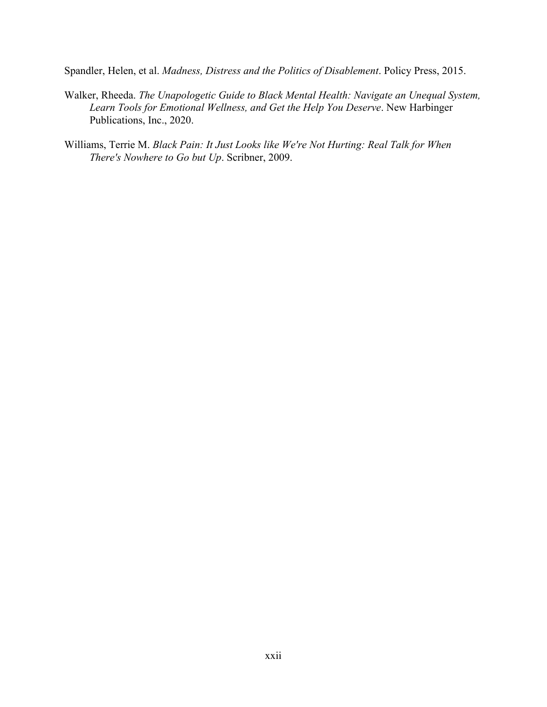Spandler, Helen, et al. *Madness, Distress and the Politics of Disablement*. Policy Press, 2015.

- Walker, Rheeda. *The Unapologetic Guide to Black Mental Health: Navigate an Unequal System, Learn Tools for Emotional Wellness, and Get the Help You Deserve*. New Harbinger Publications, Inc., 2020.
- Williams, Terrie M. *Black Pain: It Just Looks like We're Not Hurting: Real Talk for When There's Nowhere to Go but Up*. Scribner, 2009.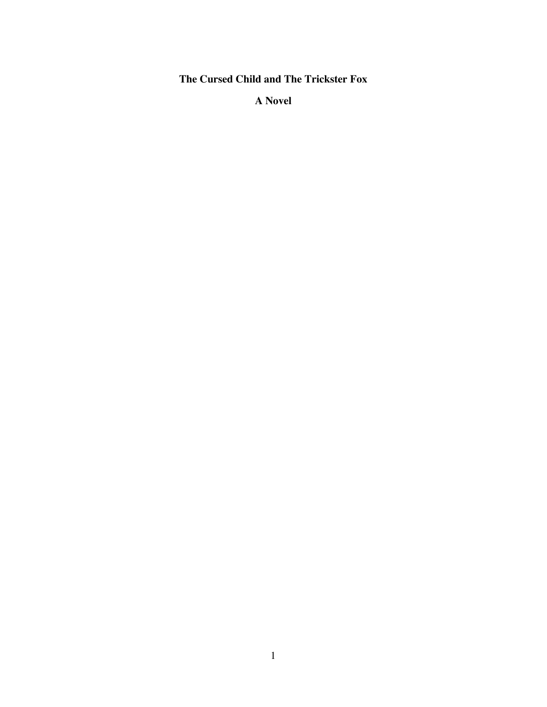**The Cursed Child and The Trickster Fox**

**A Novel**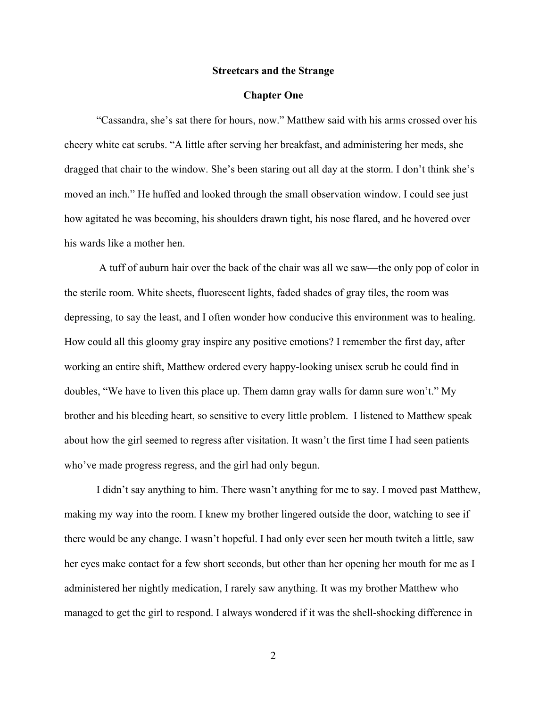#### **Streetcars and the Strange**

#### **Chapter One**

"Cassandra, she's sat there for hours, now." Matthew said with his arms crossed over his cheery white cat scrubs. "A little after serving her breakfast, and administering her meds, she dragged that chair to the window. She's been staring out all day at the storm. I don't think she's moved an inch." He huffed and looked through the small observation window. I could see just how agitated he was becoming, his shoulders drawn tight, his nose flared, and he hovered over his wards like a mother hen.

A tuff of auburn hair over the back of the chair was all we saw—the only pop of color in the sterile room. White sheets, fluorescent lights, faded shades of gray tiles, the room was depressing, to say the least, and I often wonder how conducive this environment was to healing. How could all this gloomy gray inspire any positive emotions? I remember the first day, after working an entire shift, Matthew ordered every happy-looking unisex scrub he could find in doubles, "We have to liven this place up. Them damn gray walls for damn sure won't." My brother and his bleeding heart, so sensitive to every little problem. I listened to Matthew speak about how the girl seemed to regress after visitation. It wasn't the first time I had seen patients who've made progress regress, and the girl had only begun.

 I didn't say anything to him. There wasn't anything for me to say. I moved past Matthew, making my way into the room. I knew my brother lingered outside the door, watching to see if there would be any change. I wasn't hopeful. I had only ever seen her mouth twitch a little, saw her eyes make contact for a few short seconds, but other than her opening her mouth for me as I administered her nightly medication, I rarely saw anything. It was my brother Matthew who managed to get the girl to respond. I always wondered if it was the shell-shocking difference in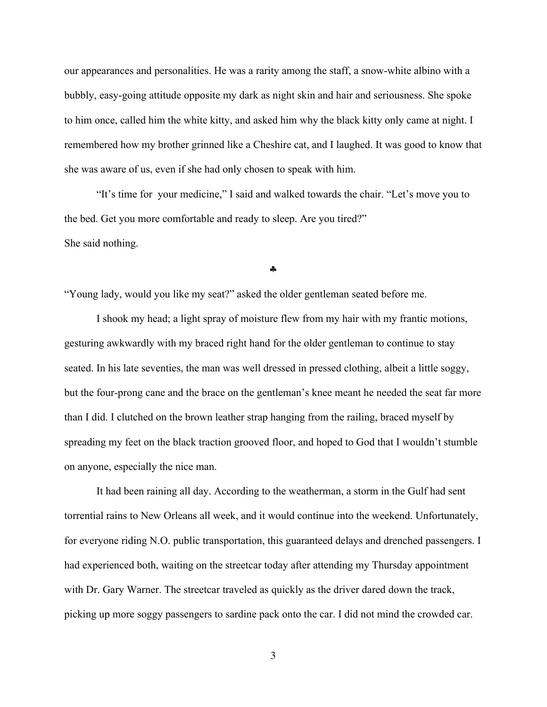our appearances and personalities. He was a rarity among the staff, a snow-white albino with a bubbly, easy-going attitude opposite my dark as night skin and hair and seriousness. She spoke to him once, called him the white kitty, and asked him why the black kitty only came at night. I remembered how my brother grinned like a Cheshire cat, and I laughed. It was good to know that she was aware of us, even if she had only chosen to speak with him.

"It's time for your medicine," I said and walked towards the chair. "Let's move you to the bed. Get you more comfortable and ready to sleep. Are you tired?" She said nothing.

§

"Young lady, would you like my seat?" asked the older gentleman seated before me.

I shook my head; a light spray of moisture flew from my hair with my frantic motions, gesturing awkwardly with my braced right hand for the older gentleman to continue to stay seated. In his late seventies, the man was well dressed in pressed clothing, albeit a little soggy, but the four-prong cane and the brace on the gentleman's knee meant he needed the seat far more than I did. I clutched on the brown leather strap hanging from the railing, braced myself by spreading my feet on the black traction grooved floor, and hoped to God that I wouldn't stumble on anyone, especially the nice man.

It had been raining all day. According to the weatherman, a storm in the Gulf had sent torrential rains to New Orleans all week, and it would continue into the weekend. Unfortunately, for everyone riding N.O. public transportation, this guaranteed delays and drenched passengers. I had experienced both, waiting on the streetcar today after attending my Thursday appointment with Dr. Gary Warner. The streetcar traveled as quickly as the driver dared down the track, picking up more soggy passengers to sardine pack onto the car. I did not mind the crowded car.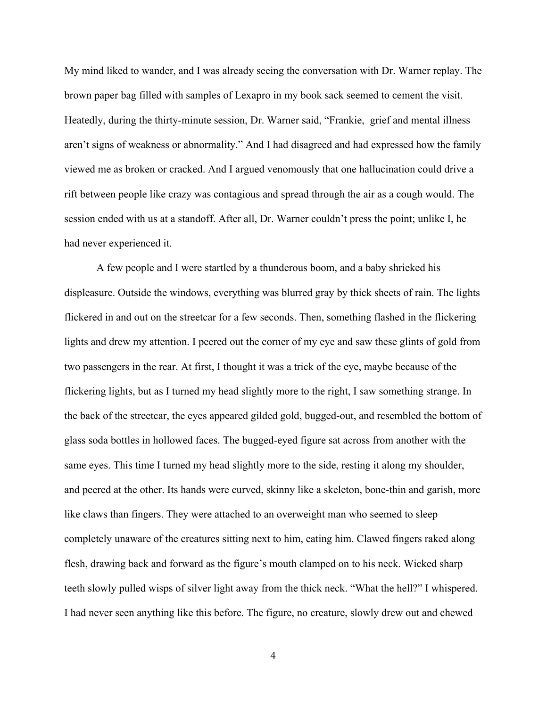My mind liked to wander, and I was already seeing the conversation with Dr. Warner replay. The brown paper bag filled with samples of Lexapro in my book sack seemed to cement the visit. Heatedly, during the thirty-minute session, Dr. Warner said, "Frankie, grief and mental illness aren't signs of weakness or abnormality." And I had disagreed and had expressed how the family viewed me as broken or cracked. And I argued venomously that one hallucination could drive a rift between people like crazy was contagious and spread through the air as a cough would. The session ended with us at a standoff. After all, Dr. Warner couldn't press the point; unlike I, he had never experienced it.

A few people and I were startled by a thunderous boom, and a baby shrieked his displeasure. Outside the windows, everything was blurred gray by thick sheets of rain. The lights flickered in and out on the streetcar for a few seconds. Then, something flashed in the flickering lights and drew my attention. I peered out the corner of my eye and saw these glints of gold from two passengers in the rear. At first, I thought it was a trick of the eye, maybe because of the flickering lights, but as I turned my head slightly more to the right, I saw something strange. In the back of the streetcar, the eyes appeared gilded gold, bugged-out, and resembled the bottom of glass soda bottles in hollowed faces. The bugged-eyed figure sat across from another with the same eyes. This time I turned my head slightly more to the side, resting it along my shoulder, and peered at the other. Its hands were curved, skinny like a skeleton, bone-thin and garish, more like claws than fingers. They were attached to an overweight man who seemed to sleep completely unaware of the creatures sitting next to him, eating him. Clawed fingers raked along flesh, drawing back and forward as the figure's mouth clamped on to his neck. Wicked sharp teeth slowly pulled wisps of silver light away from the thick neck. "What the hell?" I whispered. I had never seen anything like this before. The figure, no creature, slowly drew out and chewed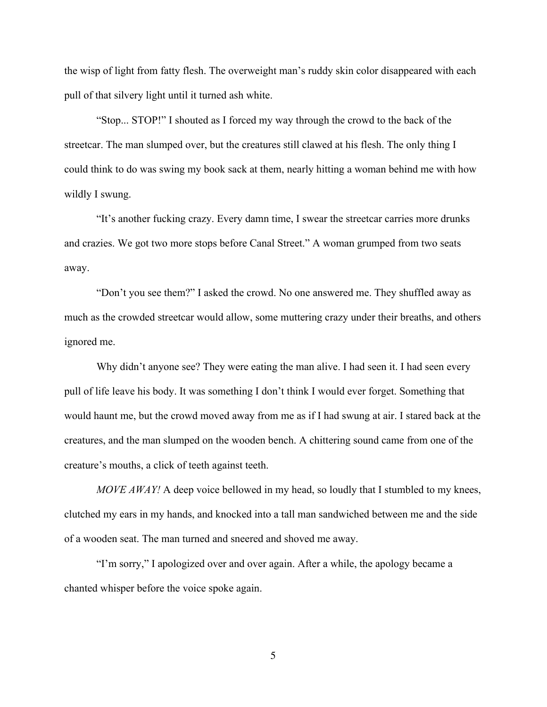the wisp of light from fatty flesh. The overweight man's ruddy skin color disappeared with each pull of that silvery light until it turned ash white.

"Stop... STOP!" I shouted as I forced my way through the crowd to the back of the streetcar. The man slumped over, but the creatures still clawed at his flesh. The only thing I could think to do was swing my book sack at them, nearly hitting a woman behind me with how wildly I swung.

"It's another fucking crazy. Every damn time, I swear the streetcar carries more drunks and crazies. We got two more stops before Canal Street." A woman grumped from two seats away.

"Don't you see them?" I asked the crowd. No one answered me. They shuffled away as much as the crowded streetcar would allow, some muttering crazy under their breaths, and others ignored me.

Why didn't anyone see? They were eating the man alive. I had seen it. I had seen every pull of life leave his body. It was something I don't think I would ever forget. Something that would haunt me, but the crowd moved away from me as if I had swung at air. I stared back at the creatures, and the man slumped on the wooden bench. A chittering sound came from one of the creature's mouths, a click of teeth against teeth.

*MOVE AWAY!* A deep voice bellowed in my head, so loudly that I stumbled to my knees, clutched my ears in my hands, and knocked into a tall man sandwiched between me and the side of a wooden seat. The man turned and sneered and shoved me away.

"I'm sorry," I apologized over and over again. After a while, the apology became a chanted whisper before the voice spoke again.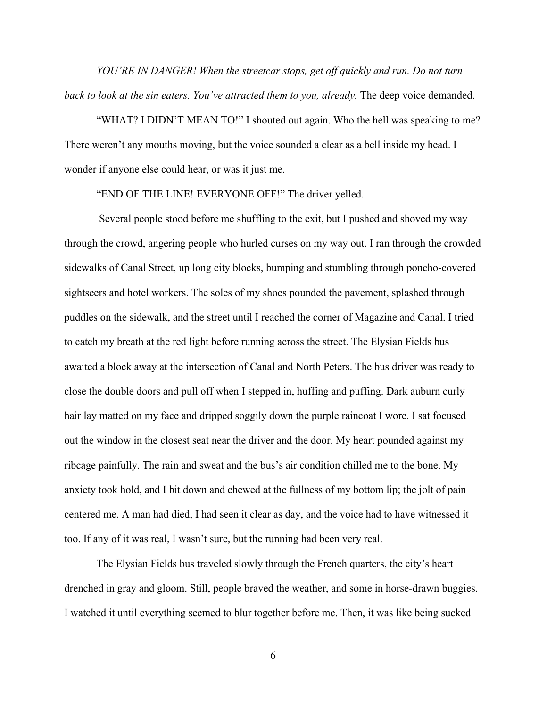*YOU'RE IN DANGER! When the streetcar stops, get off quickly and run. Do not turn back to look at the sin eaters. You've attracted them to you, already.* The deep voice demanded.

"WHAT? I DIDN'T MEAN TO!" I shouted out again. Who the hell was speaking to me? There weren't any mouths moving, but the voice sounded a clear as a bell inside my head. I wonder if anyone else could hear, or was it just me.

"END OF THE LINE! EVERYONE OFF!" The driver yelled.

Several people stood before me shuffling to the exit, but I pushed and shoved my way through the crowd, angering people who hurled curses on my way out. I ran through the crowded sidewalks of Canal Street, up long city blocks, bumping and stumbling through poncho-covered sightseers and hotel workers. The soles of my shoes pounded the pavement, splashed through puddles on the sidewalk, and the street until I reached the corner of Magazine and Canal. I tried to catch my breath at the red light before running across the street. The Elysian Fields bus awaited a block away at the intersection of Canal and North Peters. The bus driver was ready to close the double doors and pull off when I stepped in, huffing and puffing. Dark auburn curly hair lay matted on my face and dripped soggily down the purple raincoat I wore. I sat focused out the window in the closest seat near the driver and the door. My heart pounded against my ribcage painfully. The rain and sweat and the bus's air condition chilled me to the bone. My anxiety took hold, and I bit down and chewed at the fullness of my bottom lip; the jolt of pain centered me. A man had died, I had seen it clear as day, and the voice had to have witnessed it too. If any of it was real, I wasn't sure, but the running had been very real.

The Elysian Fields bus traveled slowly through the French quarters, the city's heart drenched in gray and gloom. Still, people braved the weather, and some in horse-drawn buggies. I watched it until everything seemed to blur together before me. Then, it was like being sucked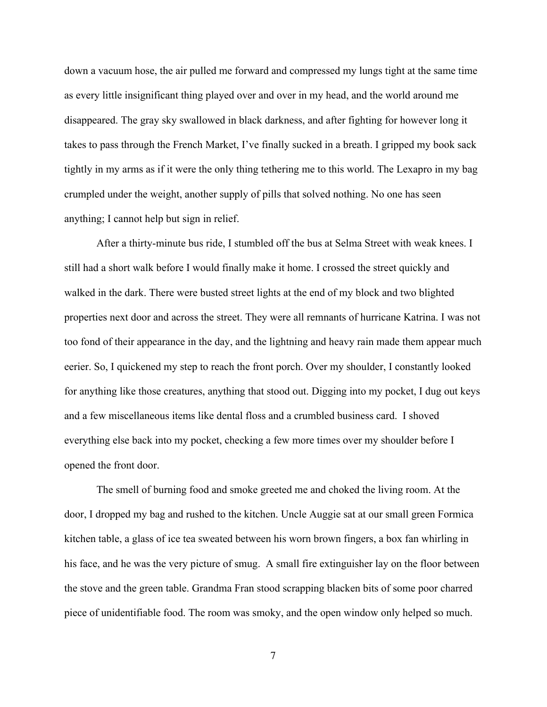down a vacuum hose, the air pulled me forward and compressed my lungs tight at the same time as every little insignificant thing played over and over in my head, and the world around me disappeared. The gray sky swallowed in black darkness, and after fighting for however long it takes to pass through the French Market, I've finally sucked in a breath. I gripped my book sack tightly in my arms as if it were the only thing tethering me to this world. The Lexapro in my bag crumpled under the weight, another supply of pills that solved nothing. No one has seen anything; I cannot help but sign in relief.

After a thirty-minute bus ride, I stumbled off the bus at Selma Street with weak knees. I still had a short walk before I would finally make it home. I crossed the street quickly and walked in the dark. There were busted street lights at the end of my block and two blighted properties next door and across the street. They were all remnants of hurricane Katrina. I was not too fond of their appearance in the day, and the lightning and heavy rain made them appear much eerier. So, I quickened my step to reach the front porch. Over my shoulder, I constantly looked for anything like those creatures, anything that stood out. Digging into my pocket, I dug out keys and a few miscellaneous items like dental floss and a crumbled business card. I shoved everything else back into my pocket, checking a few more times over my shoulder before I opened the front door.

The smell of burning food and smoke greeted me and choked the living room. At the door, I dropped my bag and rushed to the kitchen. Uncle Auggie sat at our small green Formica kitchen table, a glass of ice tea sweated between his worn brown fingers, a box fan whirling in his face, and he was the very picture of smug. A small fire extinguisher lay on the floor between the stove and the green table. Grandma Fran stood scrapping blacken bits of some poor charred piece of unidentifiable food. The room was smoky, and the open window only helped so much.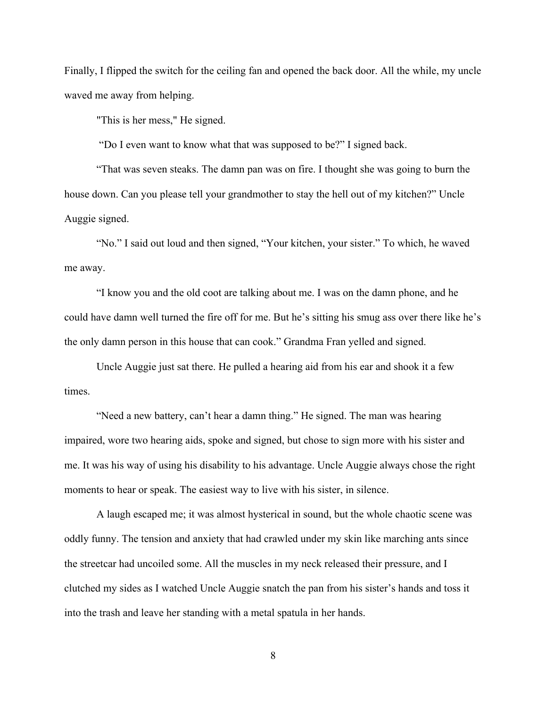Finally, I flipped the switch for the ceiling fan and opened the back door. All the while, my uncle waved me away from helping.

"This is her mess," He signed.

"Do I even want to know what that was supposed to be?" I signed back.

"That was seven steaks. The damn pan was on fire. I thought she was going to burn the house down. Can you please tell your grandmother to stay the hell out of my kitchen?" Uncle Auggie signed.

"No." I said out loud and then signed, "Your kitchen, your sister." To which, he waved me away.

"I know you and the old coot are talking about me. I was on the damn phone, and he could have damn well turned the fire off for me. But he's sitting his smug ass over there like he's the only damn person in this house that can cook." Grandma Fran yelled and signed.

Uncle Auggie just sat there. He pulled a hearing aid from his ear and shook it a few times.

"Need a new battery, can't hear a damn thing." He signed. The man was hearing impaired, wore two hearing aids, spoke and signed, but chose to sign more with his sister and me. It was his way of using his disability to his advantage. Uncle Auggie always chose the right moments to hear or speak. The easiest way to live with his sister, in silence.

A laugh escaped me; it was almost hysterical in sound, but the whole chaotic scene was oddly funny. The tension and anxiety that had crawled under my skin like marching ants since the streetcar had uncoiled some. All the muscles in my neck released their pressure, and I clutched my sides as I watched Uncle Auggie snatch the pan from his sister's hands and toss it into the trash and leave her standing with a metal spatula in her hands.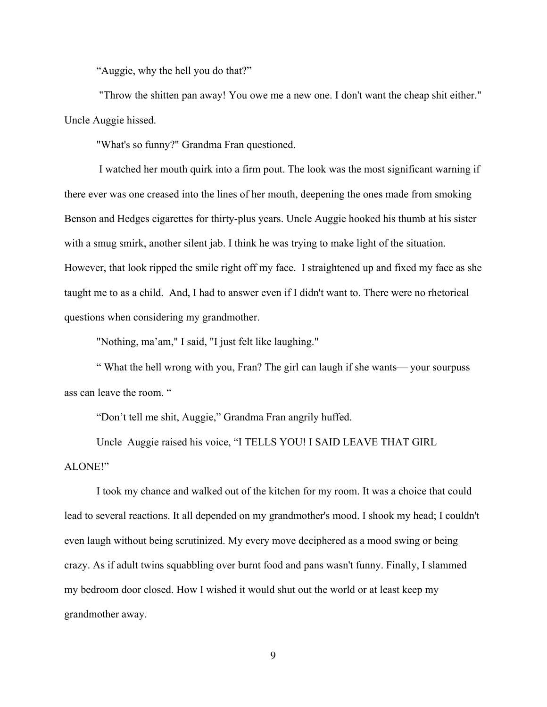"Auggie, why the hell you do that?"

"Throw the shitten pan away! You owe me a new one. I don't want the cheap shit either." Uncle Auggie hissed.

"What's so funny?" Grandma Fran questioned.

I watched her mouth quirk into a firm pout. The look was the most significant warning if there ever was one creased into the lines of her mouth, deepening the ones made from smoking Benson and Hedges cigarettes for thirty-plus years. Uncle Auggie hooked his thumb at his sister with a smug smirk, another silent jab. I think he was trying to make light of the situation. However, that look ripped the smile right off my face. I straightened up and fixed my face as she taught me to as a child. And, I had to answer even if I didn't want to. There were no rhetorical questions when considering my grandmother.

"Nothing, ma'am," I said, "I just felt like laughing."

" What the hell wrong with you, Fran? The girl can laugh if she wants—your sourpuss ass can leave the room. "

"Don't tell me shit, Auggie," Grandma Fran angrily huffed.

Uncle Auggie raised his voice, "I TELLS YOU! I SAID LEAVE THAT GIRL ALONE!"

I took my chance and walked out of the kitchen for my room. It was a choice that could lead to several reactions. It all depended on my grandmother's mood. I shook my head; I couldn't even laugh without being scrutinized. My every move deciphered as a mood swing or being crazy. As if adult twins squabbling over burnt food and pans wasn't funny. Finally, I slammed my bedroom door closed. How I wished it would shut out the world or at least keep my grandmother away.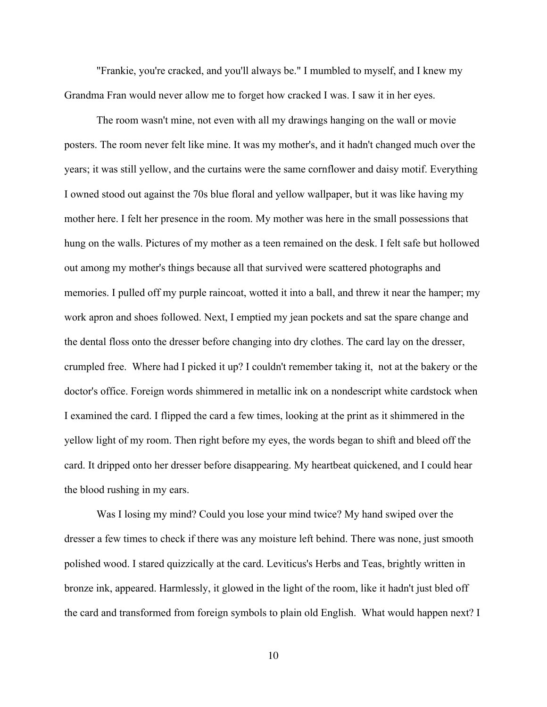"Frankie, you're cracked, and you'll always be." I mumbled to myself, and I knew my Grandma Fran would never allow me to forget how cracked I was. I saw it in her eyes.

The room wasn't mine, not even with all my drawings hanging on the wall or movie posters. The room never felt like mine. It was my mother's, and it hadn't changed much over the years; it was still yellow, and the curtains were the same cornflower and daisy motif. Everything I owned stood out against the 70s blue floral and yellow wallpaper, but it was like having my mother here. I felt her presence in the room. My mother was here in the small possessions that hung on the walls. Pictures of my mother as a teen remained on the desk. I felt safe but hollowed out among my mother's things because all that survived were scattered photographs and memories. I pulled off my purple raincoat, wotted it into a ball, and threw it near the hamper; my work apron and shoes followed. Next, I emptied my jean pockets and sat the spare change and the dental floss onto the dresser before changing into dry clothes. The card lay on the dresser, crumpled free. Where had I picked it up? I couldn't remember taking it, not at the bakery or the doctor's office. Foreign words shimmered in metallic ink on a nondescript white cardstock when I examined the card. I flipped the card a few times, looking at the print as it shimmered in the yellow light of my room. Then right before my eyes, the words began to shift and bleed off the card. It dripped onto her dresser before disappearing. My heartbeat quickened, and I could hear the blood rushing in my ears.

Was I losing my mind? Could you lose your mind twice? My hand swiped over the dresser a few times to check if there was any moisture left behind. There was none, just smooth polished wood. I stared quizzically at the card. Leviticus's Herbs and Teas, brightly written in bronze ink, appeared. Harmlessly, it glowed in the light of the room, like it hadn't just bled off the card and transformed from foreign symbols to plain old English. What would happen next? I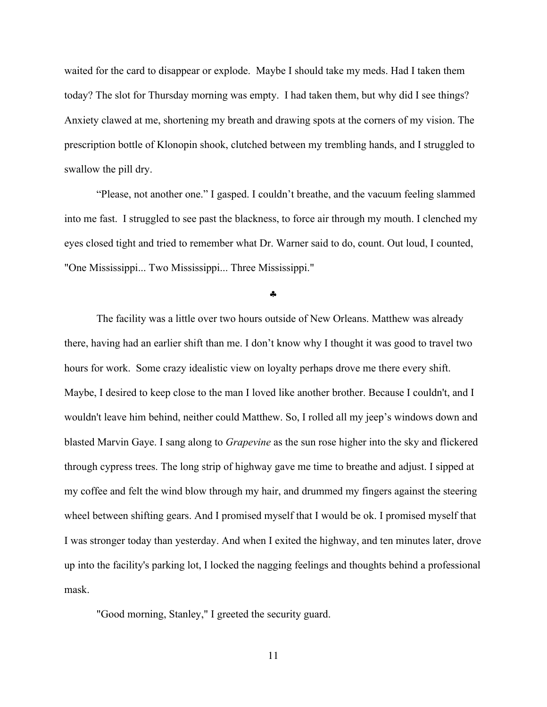waited for the card to disappear or explode. Maybe I should take my meds. Had I taken them today? The slot for Thursday morning was empty. I had taken them, but why did I see things? Anxiety clawed at me, shortening my breath and drawing spots at the corners of my vision. The prescription bottle of Klonopin shook, clutched between my trembling hands, and I struggled to swallow the pill dry.

"Please, not another one." I gasped. I couldn't breathe, and the vacuum feeling slammed into me fast. I struggled to see past the blackness, to force air through my mouth. I clenched my eyes closed tight and tried to remember what Dr. Warner said to do, count. Out loud, I counted, "One Mississippi... Two Mississippi... Three Mississippi."

§

The facility was a little over two hours outside of New Orleans. Matthew was already there, having had an earlier shift than me. I don't know why I thought it was good to travel two hours for work. Some crazy idealistic view on loyalty perhaps drove me there every shift. Maybe, I desired to keep close to the man I loved like another brother. Because I couldn't, and I wouldn't leave him behind, neither could Matthew. So, I rolled all my jeep's windows down and blasted Marvin Gaye. I sang along to *Grapevine* as the sun rose higher into the sky and flickered through cypress trees. The long strip of highway gave me time to breathe and adjust. I sipped at my coffee and felt the wind blow through my hair, and drummed my fingers against the steering wheel between shifting gears. And I promised myself that I would be ok. I promised myself that I was stronger today than yesterday. And when I exited the highway, and ten minutes later, drove up into the facility's parking lot, I locked the nagging feelings and thoughts behind a professional mask.

"Good morning, Stanley," I greeted the security guard.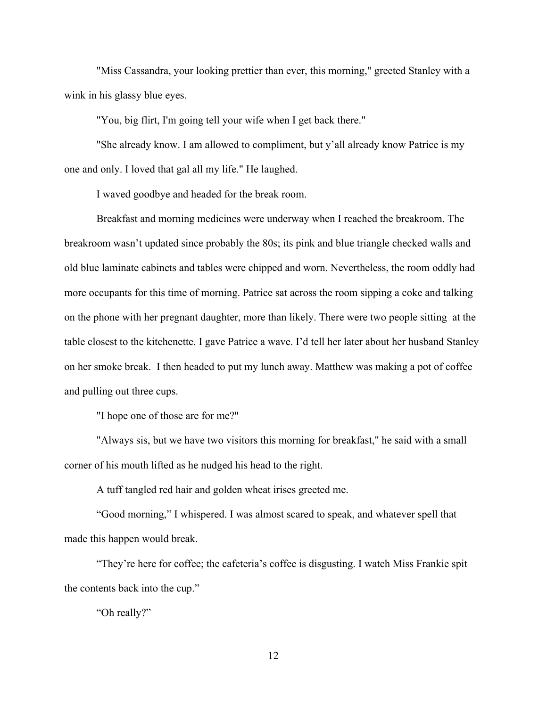"Miss Cassandra, your looking prettier than ever, this morning," greeted Stanley with a wink in his glassy blue eyes.

"You, big flirt, I'm going tell your wife when I get back there."

"She already know. I am allowed to compliment, but y'all already know Patrice is my one and only. I loved that gal all my life." He laughed.

I waved goodbye and headed for the break room.

Breakfast and morning medicines were underway when I reached the breakroom. The breakroom wasn't updated since probably the 80s; its pink and blue triangle checked walls and old blue laminate cabinets and tables were chipped and worn. Nevertheless, the room oddly had more occupants for this time of morning. Patrice sat across the room sipping a coke and talking on the phone with her pregnant daughter, more than likely. There were two people sitting at the table closest to the kitchenette. I gave Patrice a wave. I'd tell her later about her husband Stanley on her smoke break. I then headed to put my lunch away. Matthew was making a pot of coffee and pulling out three cups.

"I hope one of those are for me?"

"Always sis, but we have two visitors this morning for breakfast," he said with a small corner of his mouth lifted as he nudged his head to the right.

A tuff tangled red hair and golden wheat irises greeted me.

"Good morning," I whispered. I was almost scared to speak, and whatever spell that made this happen would break.

"They're here for coffee; the cafeteria's coffee is disgusting. I watch Miss Frankie spit the contents back into the cup."

"Oh really?"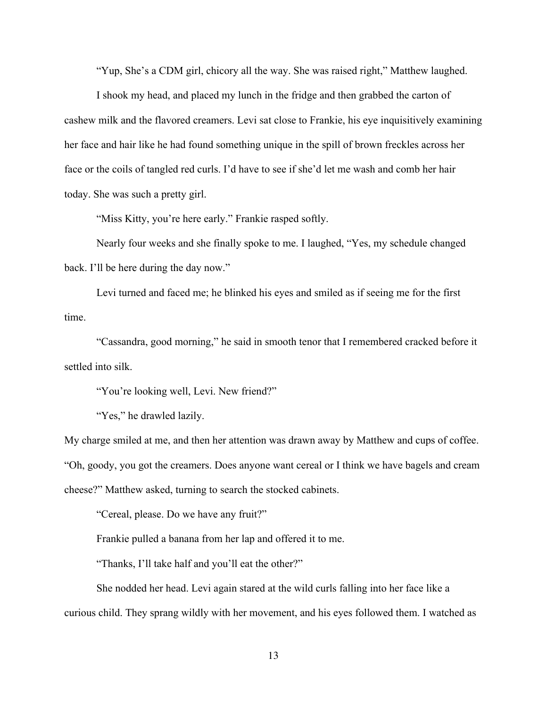"Yup, She's a CDM girl, chicory all the way. She was raised right," Matthew laughed.

I shook my head, and placed my lunch in the fridge and then grabbed the carton of cashew milk and the flavored creamers. Levi sat close to Frankie, his eye inquisitively examining her face and hair like he had found something unique in the spill of brown freckles across her face or the coils of tangled red curls. I'd have to see if she'd let me wash and comb her hair today. She was such a pretty girl.

"Miss Kitty, you're here early." Frankie rasped softly.

Nearly four weeks and she finally spoke to me. I laughed, "Yes, my schedule changed back. I'll be here during the day now."

Levi turned and faced me; he blinked his eyes and smiled as if seeing me for the first time.

"Cassandra, good morning," he said in smooth tenor that I remembered cracked before it settled into silk.

"You're looking well, Levi. New friend?"

"Yes," he drawled lazily.

My charge smiled at me, and then her attention was drawn away by Matthew and cups of coffee. "Oh, goody, you got the creamers. Does anyone want cereal or I think we have bagels and cream cheese?" Matthew asked, turning to search the stocked cabinets.

"Cereal, please. Do we have any fruit?"

Frankie pulled a banana from her lap and offered it to me.

"Thanks, I'll take half and you'll eat the other?"

She nodded her head. Levi again stared at the wild curls falling into her face like a curious child. They sprang wildly with her movement, and his eyes followed them. I watched as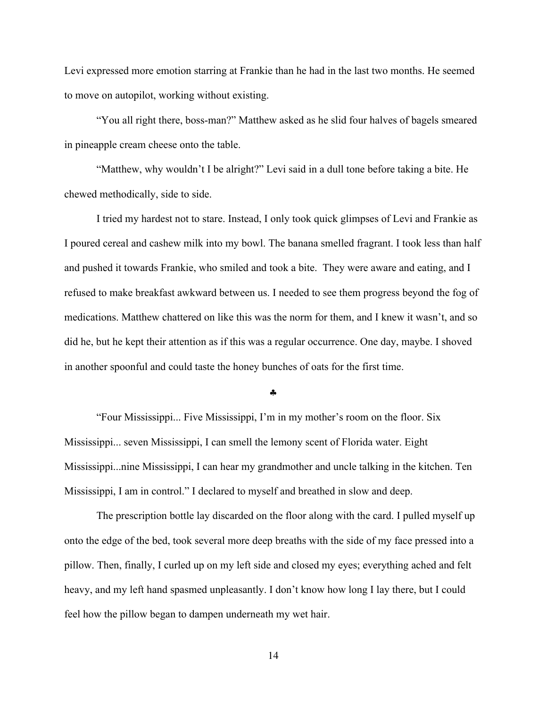Levi expressed more emotion starring at Frankie than he had in the last two months. He seemed to move on autopilot, working without existing.

"You all right there, boss-man?" Matthew asked as he slid four halves of bagels smeared in pineapple cream cheese onto the table.

"Matthew, why wouldn't I be alright?" Levi said in a dull tone before taking a bite. He chewed methodically, side to side.

I tried my hardest not to stare. Instead, I only took quick glimpses of Levi and Frankie as I poured cereal and cashew milk into my bowl. The banana smelled fragrant. I took less than half and pushed it towards Frankie, who smiled and took a bite. They were aware and eating, and I refused to make breakfast awkward between us. I needed to see them progress beyond the fog of medications. Matthew chattered on like this was the norm for them, and I knew it wasn't, and so did he, but he kept their attention as if this was a regular occurrence. One day, maybe. I shoved in another spoonful and could taste the honey bunches of oats for the first time.

§

"Four Mississippi... Five Mississippi, I'm in my mother's room on the floor. Six Mississippi... seven Mississippi, I can smell the lemony scent of Florida water. Eight Mississippi...nine Mississippi, I can hear my grandmother and uncle talking in the kitchen. Ten Mississippi, I am in control." I declared to myself and breathed in slow and deep.

The prescription bottle lay discarded on the floor along with the card. I pulled myself up onto the edge of the bed, took several more deep breaths with the side of my face pressed into a pillow. Then, finally, I curled up on my left side and closed my eyes; everything ached and felt heavy, and my left hand spasmed unpleasantly. I don't know how long I lay there, but I could feel how the pillow began to dampen underneath my wet hair.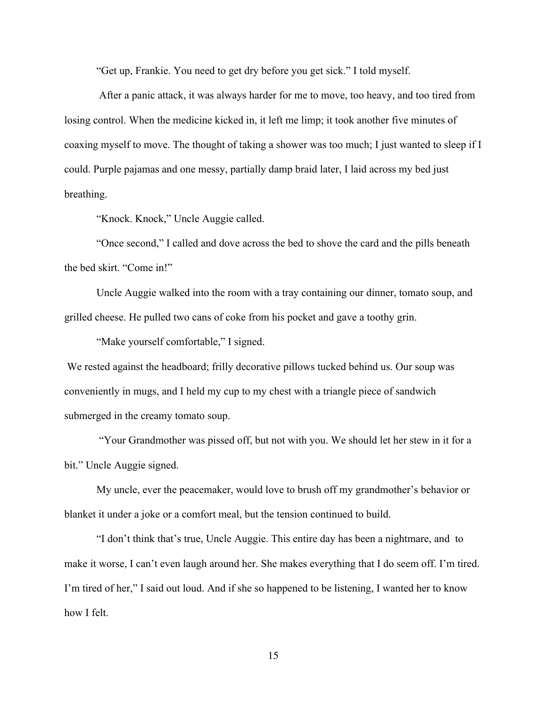"Get up, Frankie. You need to get dry before you get sick." I told myself.

After a panic attack, it was always harder for me to move, too heavy, and too tired from losing control. When the medicine kicked in, it left me limp; it took another five minutes of coaxing myself to move. The thought of taking a shower was too much; I just wanted to sleep if I could. Purple pajamas and one messy, partially damp braid later, I laid across my bed just breathing.

"Knock. Knock," Uncle Auggie called.

"Once second," I called and dove across the bed to shove the card and the pills beneath the bed skirt. "Come in!"

Uncle Auggie walked into the room with a tray containing our dinner, tomato soup, and grilled cheese. He pulled two cans of coke from his pocket and gave a toothy grin.

"Make yourself comfortable," I signed.

We rested against the headboard; frilly decorative pillows tucked behind us. Our soup was conveniently in mugs, and I held my cup to my chest with a triangle piece of sandwich submerged in the creamy tomato soup.

"Your Grandmother was pissed off, but not with you. We should let her stew in it for a bit." Uncle Auggie signed.

My uncle, ever the peacemaker, would love to brush off my grandmother's behavior or blanket it under a joke or a comfort meal, but the tension continued to build.

"I don't think that's true, Uncle Auggie. This entire day has been a nightmare, and to make it worse, I can't even laugh around her. She makes everything that I do seem off. I'm tired. I'm tired of her," I said out loud. And if she so happened to be listening, I wanted her to know how I felt.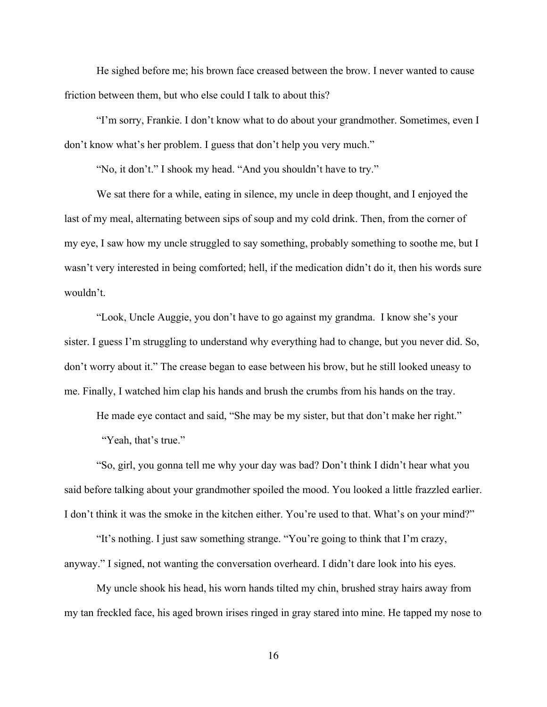He sighed before me; his brown face creased between the brow. I never wanted to cause friction between them, but who else could I talk to about this?

"I'm sorry, Frankie. I don't know what to do about your grandmother. Sometimes, even I don't know what's her problem. I guess that don't help you very much."

"No, it don't." I shook my head. "And you shouldn't have to try."

We sat there for a while, eating in silence, my uncle in deep thought, and I enjoyed the last of my meal, alternating between sips of soup and my cold drink. Then, from the corner of my eye, I saw how my uncle struggled to say something, probably something to soothe me, but I wasn't very interested in being comforted; hell, if the medication didn't do it, then his words sure wouldn't.

"Look, Uncle Auggie, you don't have to go against my grandma. I know she's your sister. I guess I'm struggling to understand why everything had to change, but you never did. So, don't worry about it." The crease began to ease between his brow, but he still looked uneasy to me. Finally, I watched him clap his hands and brush the crumbs from his hands on the tray.

He made eye contact and said, "She may be my sister, but that don't make her right."

"Yeah, that's true."

"So, girl, you gonna tell me why your day was bad? Don't think I didn't hear what you said before talking about your grandmother spoiled the mood. You looked a little frazzled earlier. I don't think it was the smoke in the kitchen either. You're used to that. What's on your mind?"

"It's nothing. I just saw something strange. "You're going to think that I'm crazy, anyway." I signed, not wanting the conversation overheard. I didn't dare look into his eyes.

My uncle shook his head, his worn hands tilted my chin, brushed stray hairs away from my tan freckled face, his aged brown irises ringed in gray stared into mine. He tapped my nose to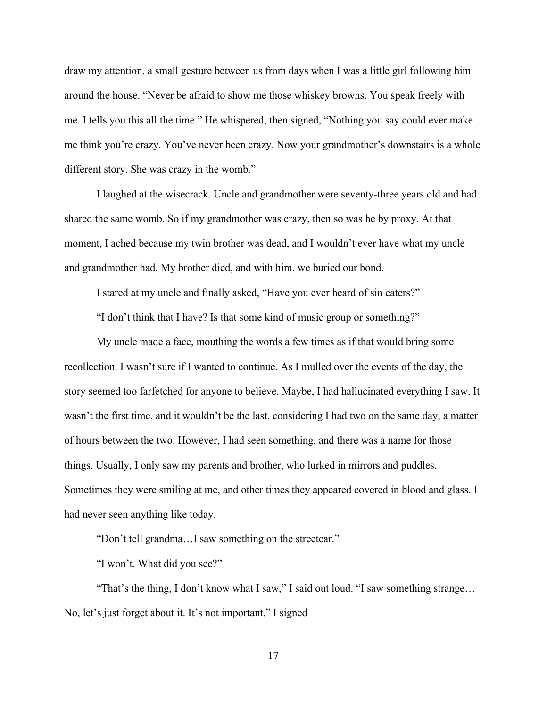draw my attention, a small gesture between us from days when I was a little girl following him around the house. "Never be afraid to show me those whiskey browns. You speak freely with me. I tells you this all the time." He whispered, then signed, "Nothing you say could ever make me think you're crazy. You've never been crazy. Now your grandmother's downstairs is a whole different story. She was crazy in the womb."

I laughed at the wisecrack. Uncle and grandmother were seventy-three years old and had shared the same womb. So if my grandmother was crazy, then so was he by proxy. At that moment, I ached because my twin brother was dead, and I wouldn't ever have what my uncle and grandmother had. My brother died, and with him, we buried our bond.

I stared at my uncle and finally asked, "Have you ever heard of sin eaters?"

"I don't think that I have? Is that some kind of music group or something?"

My uncle made a face, mouthing the words a few times as if that would bring some recollection. I wasn't sure if I wanted to continue. As I mulled over the events of the day, the story seemed too farfetched for anyone to believe. Maybe, I had hallucinated everything I saw. It wasn't the first time, and it wouldn't be the last, considering I had two on the same day, a matter of hours between the two. However, I had seen something, and there was a name for those things. Usually, I only saw my parents and brother, who lurked in mirrors and puddles. Sometimes they were smiling at me, and other times they appeared covered in blood and glass. I had never seen anything like today.

"Don't tell grandma…I saw something on the streetcar."

"I won't. What did you see?"

"That's the thing, I don't know what I saw," I said out loud. "I saw something strange… No, let's just forget about it. It's not important." I signed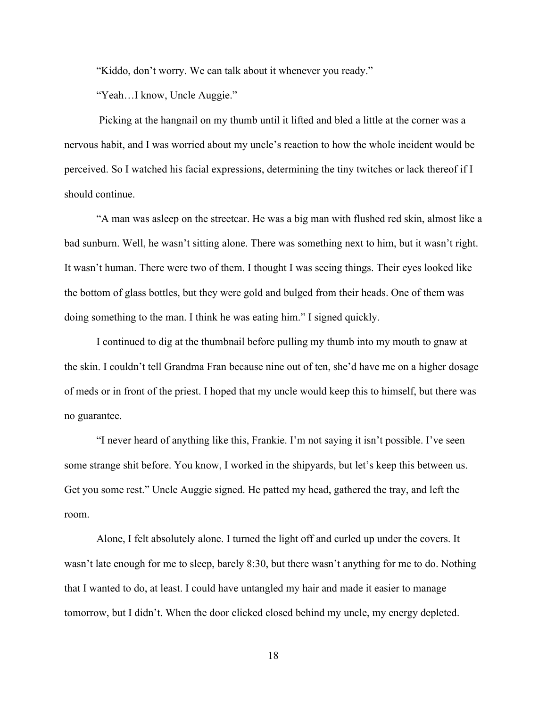"Kiddo, don't worry. We can talk about it whenever you ready."

"Yeah…I know, Uncle Auggie."

Picking at the hangnail on my thumb until it lifted and bled a little at the corner was a nervous habit, and I was worried about my uncle's reaction to how the whole incident would be perceived. So I watched his facial expressions, determining the tiny twitches or lack thereof if I should continue.

"A man was asleep on the streetcar. He was a big man with flushed red skin, almost like a bad sunburn. Well, he wasn't sitting alone. There was something next to him, but it wasn't right. It wasn't human. There were two of them. I thought I was seeing things. Their eyes looked like the bottom of glass bottles, but they were gold and bulged from their heads. One of them was doing something to the man. I think he was eating him." I signed quickly.

I continued to dig at the thumbnail before pulling my thumb into my mouth to gnaw at the skin. I couldn't tell Grandma Fran because nine out of ten, she'd have me on a higher dosage of meds or in front of the priest. I hoped that my uncle would keep this to himself, but there was no guarantee.

"I never heard of anything like this, Frankie. I'm not saying it isn't possible. I've seen some strange shit before. You know, I worked in the shipyards, but let's keep this between us. Get you some rest." Uncle Auggie signed. He patted my head, gathered the tray, and left the room.

Alone, I felt absolutely alone. I turned the light off and curled up under the covers. It wasn't late enough for me to sleep, barely 8:30, but there wasn't anything for me to do. Nothing that I wanted to do, at least. I could have untangled my hair and made it easier to manage tomorrow, but I didn't. When the door clicked closed behind my uncle, my energy depleted.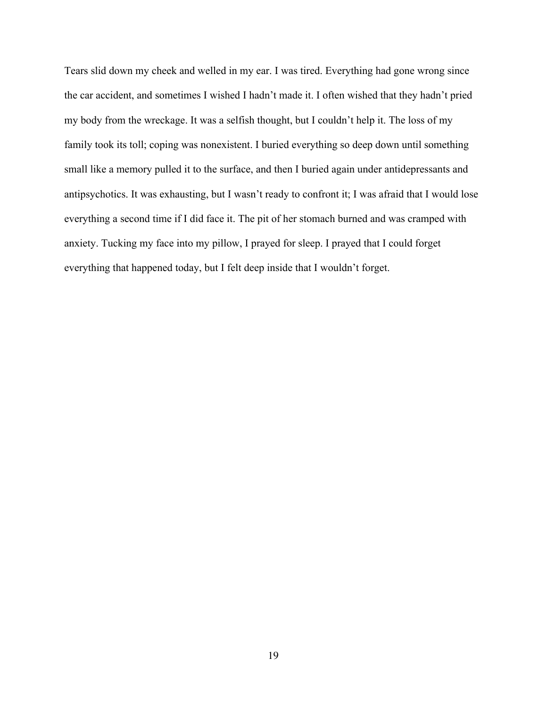Tears slid down my cheek and welled in my ear. I was tired. Everything had gone wrong since the car accident, and sometimes I wished I hadn't made it. I often wished that they hadn't pried my body from the wreckage. It was a selfish thought, but I couldn't help it. The loss of my family took its toll; coping was nonexistent. I buried everything so deep down until something small like a memory pulled it to the surface, and then I buried again under antidepressants and antipsychotics. It was exhausting, but I wasn't ready to confront it; I was afraid that I would lose everything a second time if I did face it. The pit of her stomach burned and was cramped with anxiety. Tucking my face into my pillow, I prayed for sleep. I prayed that I could forget everything that happened today, but I felt deep inside that I wouldn't forget.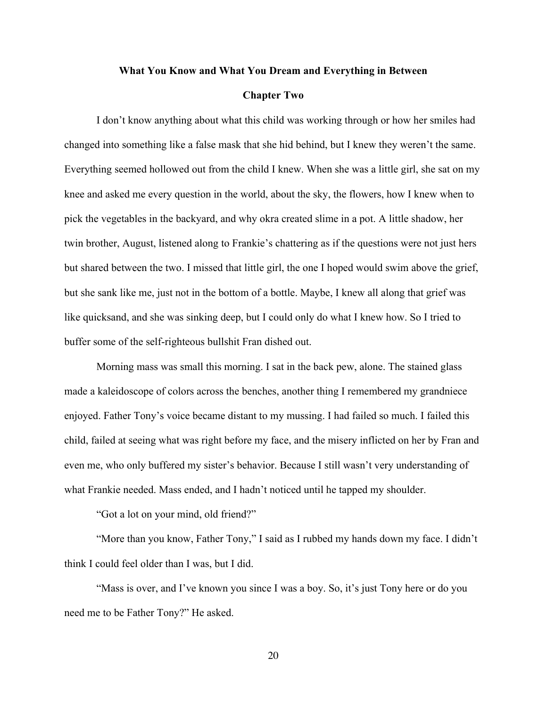## **What You Know and What You Dream and Everything in Between**

# **Chapter Two**

I don't know anything about what this child was working through or how her smiles had changed into something like a false mask that she hid behind, but I knew they weren't the same. Everything seemed hollowed out from the child I knew. When she was a little girl, she sat on my knee and asked me every question in the world, about the sky, the flowers, how I knew when to pick the vegetables in the backyard, and why okra created slime in a pot. A little shadow, her twin brother, August, listened along to Frankie's chattering as if the questions were not just hers but shared between the two. I missed that little girl, the one I hoped would swim above the grief, but she sank like me, just not in the bottom of a bottle. Maybe, I knew all along that grief was like quicksand, and she was sinking deep, but I could only do what I knew how. So I tried to buffer some of the self-righteous bullshit Fran dished out.

Morning mass was small this morning. I sat in the back pew, alone. The stained glass made a kaleidoscope of colors across the benches, another thing I remembered my grandniece enjoyed. Father Tony's voice became distant to my mussing. I had failed so much. I failed this child, failed at seeing what was right before my face, and the misery inflicted on her by Fran and even me, who only buffered my sister's behavior. Because I still wasn't very understanding of what Frankie needed. Mass ended, and I hadn't noticed until he tapped my shoulder.

"Got a lot on your mind, old friend?"

"More than you know, Father Tony," I said as I rubbed my hands down my face. I didn't think I could feel older than I was, but I did.

"Mass is over, and I've known you since I was a boy. So, it's just Tony here or do you need me to be Father Tony?" He asked.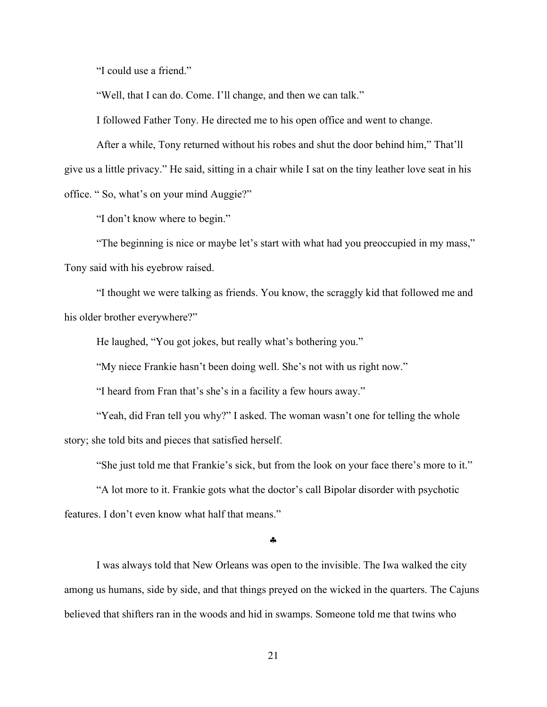"I could use a friend."

"Well, that I can do. Come. I'll change, and then we can talk."

I followed Father Tony. He directed me to his open office and went to change.

After a while, Tony returned without his robes and shut the door behind him," That'll give us a little privacy." He said, sitting in a chair while I sat on the tiny leather love seat in his office. " So, what's on your mind Auggie?"

"I don't know where to begin."

"The beginning is nice or maybe let's start with what had you preoccupied in my mass," Tony said with his eyebrow raised.

"I thought we were talking as friends. You know, the scraggly kid that followed me and his older brother everywhere?"

He laughed, "You got jokes, but really what's bothering you."

"My niece Frankie hasn't been doing well. She's not with us right now."

"I heard from Fran that's she's in a facility a few hours away."

"Yeah, did Fran tell you why?" I asked. The woman wasn't one for telling the whole story; she told bits and pieces that satisfied herself.

"She just told me that Frankie's sick, but from the look on your face there's more to it."

"A lot more to it. Frankie gots what the doctor's call Bipolar disorder with psychotic features. I don't even know what half that means."

§

I was always told that New Orleans was open to the invisible. The Iwa walked the city among us humans, side by side, and that things preyed on the wicked in the quarters. The Cajuns believed that shifters ran in the woods and hid in swamps. Someone told me that twins who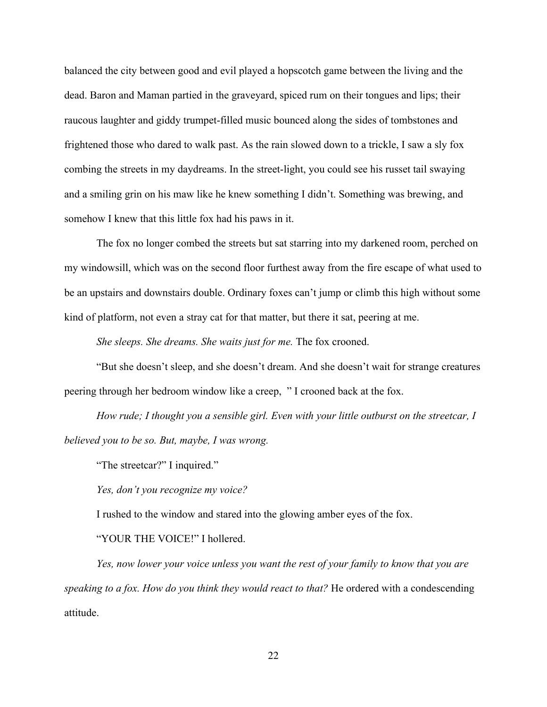balanced the city between good and evil played a hopscotch game between the living and the dead. Baron and Maman partied in the graveyard, spiced rum on their tongues and lips; their raucous laughter and giddy trumpet-filled music bounced along the sides of tombstones and frightened those who dared to walk past. As the rain slowed down to a trickle, I saw a sly fox combing the streets in my daydreams. In the street-light, you could see his russet tail swaying and a smiling grin on his maw like he knew something I didn't. Something was brewing, and somehow I knew that this little fox had his paws in it.

The fox no longer combed the streets but sat starring into my darkened room, perched on my windowsill, which was on the second floor furthest away from the fire escape of what used to be an upstairs and downstairs double. Ordinary foxes can't jump or climb this high without some kind of platform, not even a stray cat for that matter, but there it sat, peering at me.

*She sleeps. She dreams. She waits just for me.* The fox crooned.

"But she doesn't sleep, and she doesn't dream. And she doesn't wait for strange creatures peering through her bedroom window like a creep, " I crooned back at the fox.

*How rude; I thought you a sensible girl. Even with your little outburst on the streetcar, I believed you to be so. But, maybe, I was wrong.* 

"The streetcar?" I inquired."

*Yes, don't you recognize my voice?* 

I rushed to the window and stared into the glowing amber eyes of the fox.

"YOUR THE VOICE!" I hollered.

*Yes, now lower your voice unless you want the rest of your family to know that you are speaking to a fox. How do you think they would react to that?* He ordered with a condescending attitude.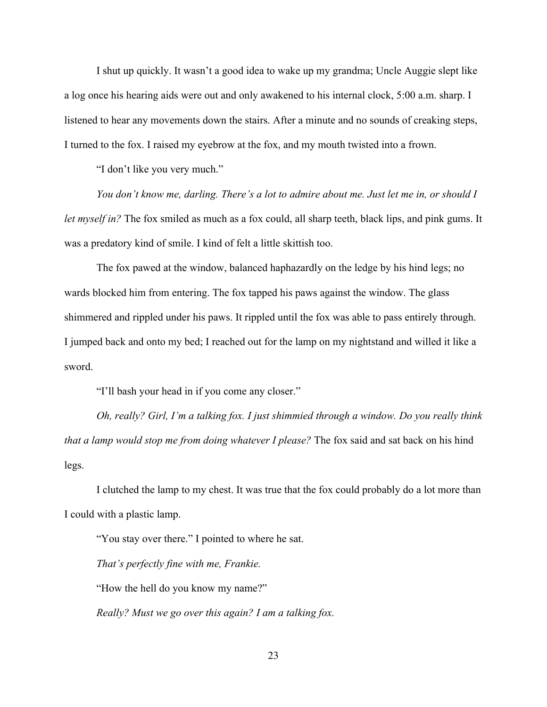I shut up quickly. It wasn't a good idea to wake up my grandma; Uncle Auggie slept like a log once his hearing aids were out and only awakened to his internal clock, 5:00 a.m. sharp. I listened to hear any movements down the stairs. After a minute and no sounds of creaking steps, I turned to the fox. I raised my eyebrow at the fox, and my mouth twisted into a frown.

"I don't like you very much."

*You don't know me, darling. There's a lot to admire about me. Just let me in, or should I let myself in?* The fox smiled as much as a fox could, all sharp teeth, black lips, and pink gums. It was a predatory kind of smile. I kind of felt a little skittish too.

The fox pawed at the window, balanced haphazardly on the ledge by his hind legs; no wards blocked him from entering. The fox tapped his paws against the window. The glass shimmered and rippled under his paws. It rippled until the fox was able to pass entirely through. I jumped back and onto my bed; I reached out for the lamp on my nightstand and willed it like a sword.

"I'll bash your head in if you come any closer."

*Oh, really? Girl, I'm a talking fox. I just shimmied through a window. Do you really think that a lamp would stop me from doing whatever I please?* The fox said and sat back on his hind legs.

I clutched the lamp to my chest. It was true that the fox could probably do a lot more than I could with a plastic lamp.

"You stay over there." I pointed to where he sat. *That's perfectly fine with me, Frankie.* "How the hell do you know my name?" *Really? Must we go over this again? I am a talking fox.*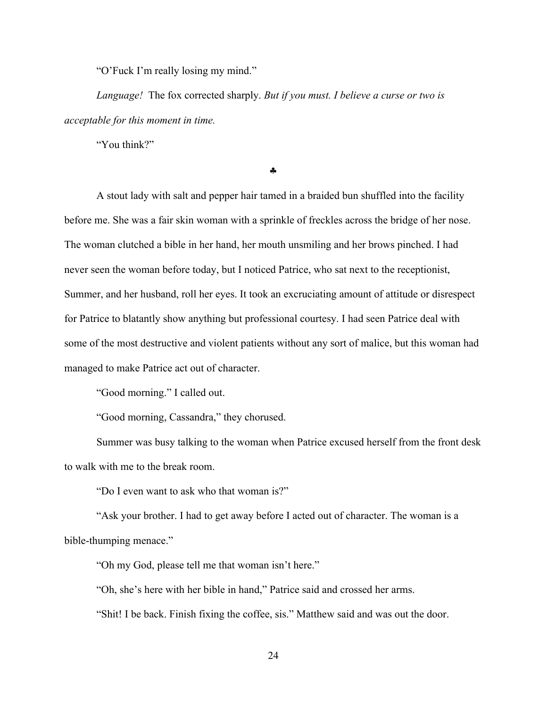"O'Fuck I'm really losing my mind."

*Language!* The fox corrected sharply. *But if you must. I believe a curse or two is acceptable for this moment in time.*

"You think?"

#### §

A stout lady with salt and pepper hair tamed in a braided bun shuffled into the facility before me. She was a fair skin woman with a sprinkle of freckles across the bridge of her nose. The woman clutched a bible in her hand, her mouth unsmiling and her brows pinched. I had never seen the woman before today, but I noticed Patrice, who sat next to the receptionist, Summer, and her husband, roll her eyes. It took an excruciating amount of attitude or disrespect for Patrice to blatantly show anything but professional courtesy. I had seen Patrice deal with some of the most destructive and violent patients without any sort of malice, but this woman had managed to make Patrice act out of character.

"Good morning." I called out.

"Good morning, Cassandra," they chorused.

Summer was busy talking to the woman when Patrice excused herself from the front desk to walk with me to the break room.

"Do I even want to ask who that woman is?"

"Ask your brother. I had to get away before I acted out of character. The woman is a bible-thumping menace."

"Oh my God, please tell me that woman isn't here."

"Oh, she's here with her bible in hand," Patrice said and crossed her arms.

"Shit! I be back. Finish fixing the coffee, sis." Matthew said and was out the door.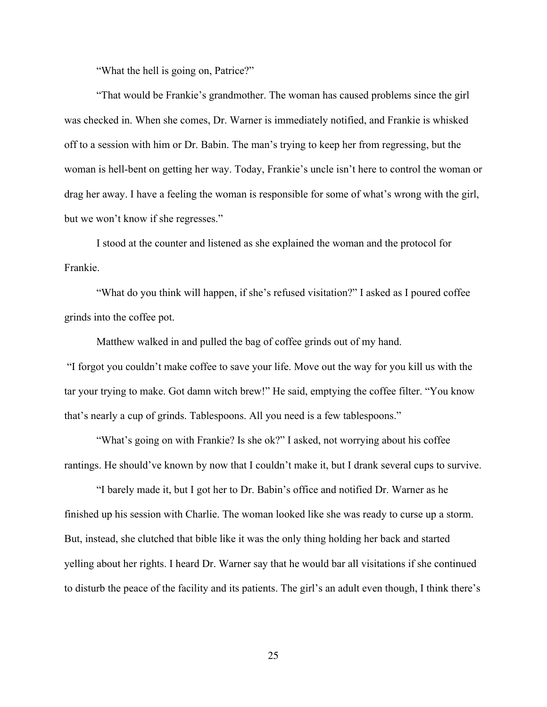"What the hell is going on, Patrice?"

"That would be Frankie's grandmother. The woman has caused problems since the girl was checked in. When she comes, Dr. Warner is immediately notified, and Frankie is whisked off to a session with him or Dr. Babin. The man's trying to keep her from regressing, but the woman is hell-bent on getting her way. Today, Frankie's uncle isn't here to control the woman or drag her away. I have a feeling the woman is responsible for some of what's wrong with the girl, but we won't know if she regresses."

I stood at the counter and listened as she explained the woman and the protocol for Frankie.

"What do you think will happen, if she's refused visitation?" I asked as I poured coffee grinds into the coffee pot.

Matthew walked in and pulled the bag of coffee grinds out of my hand.

"I forgot you couldn't make coffee to save your life. Move out the way for you kill us with the tar your trying to make. Got damn witch brew!" He said, emptying the coffee filter. "You know that's nearly a cup of grinds. Tablespoons. All you need is a few tablespoons."

"What's going on with Frankie? Is she ok?" I asked, not worrying about his coffee rantings. He should've known by now that I couldn't make it, but I drank several cups to survive.

"I barely made it, but I got her to Dr. Babin's office and notified Dr. Warner as he finished up his session with Charlie. The woman looked like she was ready to curse up a storm. But, instead, she clutched that bible like it was the only thing holding her back and started yelling about her rights. I heard Dr. Warner say that he would bar all visitations if she continued to disturb the peace of the facility and its patients. The girl's an adult even though, I think there's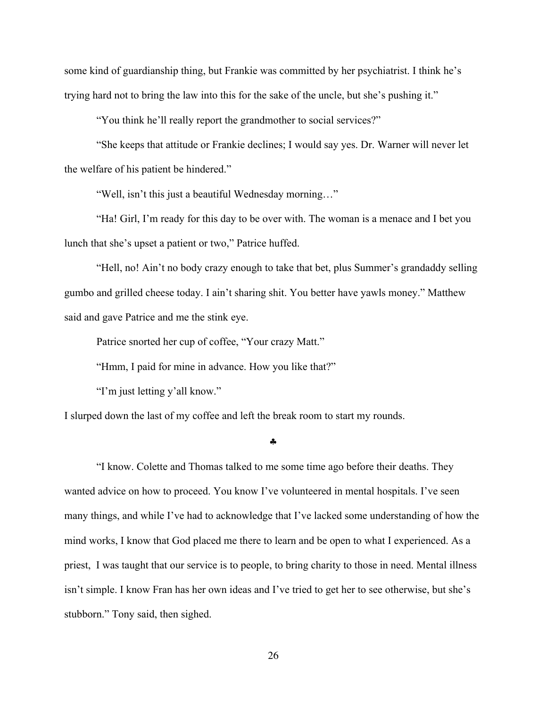some kind of guardianship thing, but Frankie was committed by her psychiatrist. I think he's trying hard not to bring the law into this for the sake of the uncle, but she's pushing it."

"You think he'll really report the grandmother to social services?"

"She keeps that attitude or Frankie declines; I would say yes. Dr. Warner will never let the welfare of his patient be hindered."

"Well, isn't this just a beautiful Wednesday morning…"

"Ha! Girl, I'm ready for this day to be over with. The woman is a menace and I bet you lunch that she's upset a patient or two," Patrice huffed.

"Hell, no! Ain't no body crazy enough to take that bet, plus Summer's grandaddy selling gumbo and grilled cheese today. I ain't sharing shit. You better have yawls money." Matthew said and gave Patrice and me the stink eye.

Patrice snorted her cup of coffee, "Your crazy Matt."

"Hmm, I paid for mine in advance. How you like that?"

"I'm just letting y'all know."

I slurped down the last of my coffee and left the break room to start my rounds.

§

"I know. Colette and Thomas talked to me some time ago before their deaths. They wanted advice on how to proceed. You know I've volunteered in mental hospitals. I've seen many things, and while I've had to acknowledge that I've lacked some understanding of how the mind works, I know that God placed me there to learn and be open to what I experienced. As a priest, I was taught that our service is to people, to bring charity to those in need. Mental illness isn't simple. I know Fran has her own ideas and I've tried to get her to see otherwise, but she's stubborn." Tony said, then sighed.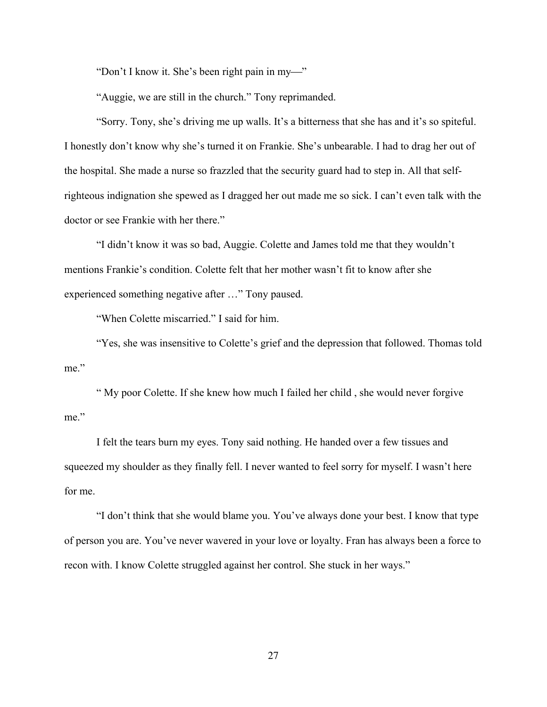"Don't I know it. She's been right pain in my-"

"Auggie, we are still in the church." Tony reprimanded.

"Sorry. Tony, she's driving me up walls. It's a bitterness that she has and it's so spiteful. I honestly don't know why she's turned it on Frankie. She's unbearable. I had to drag her out of the hospital. She made a nurse so frazzled that the security guard had to step in. All that selfrighteous indignation she spewed as I dragged her out made me so sick. I can't even talk with the doctor or see Frankie with her there."

"I didn't know it was so bad, Auggie. Colette and James told me that they wouldn't mentions Frankie's condition. Colette felt that her mother wasn't fit to know after she experienced something negative after …" Tony paused.

"When Colette miscarried." I said for him.

"Yes, she was insensitive to Colette's grief and the depression that followed. Thomas told me."

" My poor Colette. If she knew how much I failed her child , she would never forgive me."

I felt the tears burn my eyes. Tony said nothing. He handed over a few tissues and squeezed my shoulder as they finally fell. I never wanted to feel sorry for myself. I wasn't here for me.

"I don't think that she would blame you. You've always done your best. I know that type of person you are. You've never wavered in your love or loyalty. Fran has always been a force to recon with. I know Colette struggled against her control. She stuck in her ways."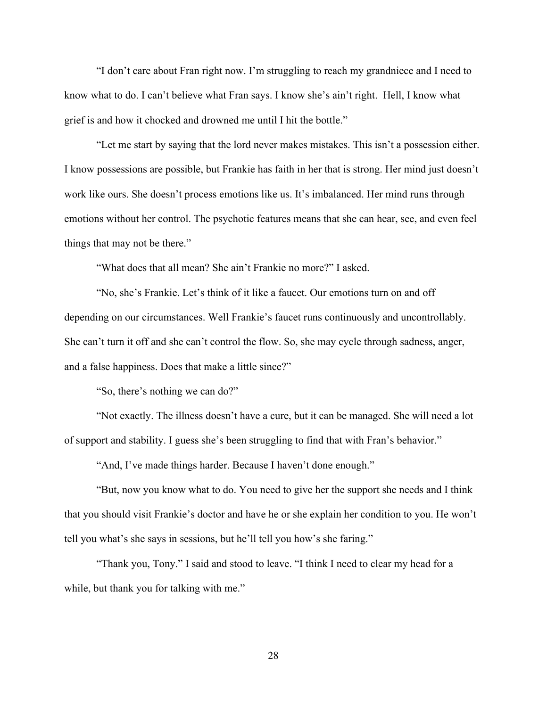"I don't care about Fran right now. I'm struggling to reach my grandniece and I need to know what to do. I can't believe what Fran says. I know she's ain't right. Hell, I know what grief is and how it chocked and drowned me until I hit the bottle."

"Let me start by saying that the lord never makes mistakes. This isn't a possession either. I know possessions are possible, but Frankie has faith in her that is strong. Her mind just doesn't work like ours. She doesn't process emotions like us. It's imbalanced. Her mind runs through emotions without her control. The psychotic features means that she can hear, see, and even feel things that may not be there."

"What does that all mean? She ain't Frankie no more?" I asked.

"No, she's Frankie. Let's think of it like a faucet. Our emotions turn on and off depending on our circumstances. Well Frankie's faucet runs continuously and uncontrollably. She can't turn it off and she can't control the flow. So, she may cycle through sadness, anger, and a false happiness. Does that make a little since?"

"So, there's nothing we can do?"

"Not exactly. The illness doesn't have a cure, but it can be managed. She will need a lot of support and stability. I guess she's been struggling to find that with Fran's behavior."

"And, I've made things harder. Because I haven't done enough."

"But, now you know what to do. You need to give her the support she needs and I think that you should visit Frankie's doctor and have he or she explain her condition to you. He won't tell you what's she says in sessions, but he'll tell you how's she faring."

"Thank you, Tony." I said and stood to leave. "I think I need to clear my head for a while, but thank you for talking with me."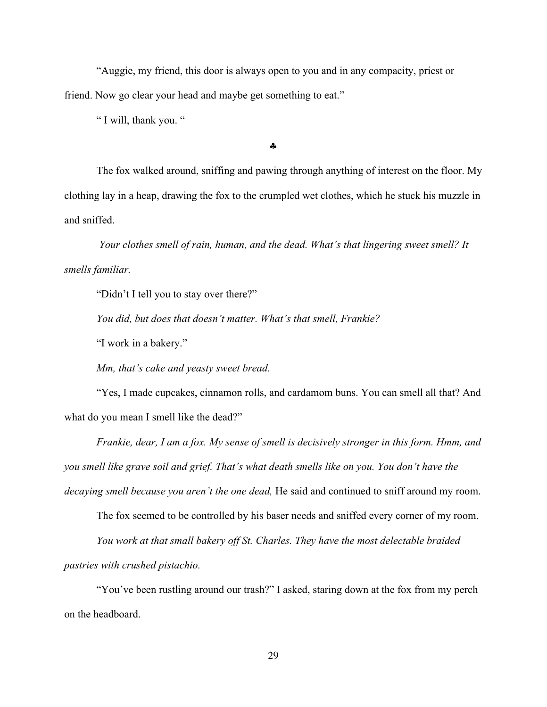"Auggie, my friend, this door is always open to you and in any compacity, priest or friend. Now go clear your head and maybe get something to eat."

" I will, thank you. "

§

The fox walked around, sniffing and pawing through anything of interest on the floor. My clothing lay in a heap, drawing the fox to the crumpled wet clothes, which he stuck his muzzle in and sniffed.

*Your clothes smell of rain, human, and the dead. What's that lingering sweet smell? It smells familiar.* 

"Didn't I tell you to stay over there?"

*You did, but does that doesn't matter. What's that smell, Frankie?*

"I work in a bakery."

*Mm, that's cake and yeasty sweet bread.*

"Yes, I made cupcakes, cinnamon rolls, and cardamom buns. You can smell all that? And what do you mean I smell like the dead?"

*Frankie, dear, I am a fox. My sense of smell is decisively stronger in this form. Hmm, and you smell like grave soil and grief. That's what death smells like on you. You don't have the decaying smell because you aren't the one dead,* He said and continued to sniff around my room.

The fox seemed to be controlled by his baser needs and sniffed every corner of my room.

*You work at that small bakery off St. Charles. They have the most delectable braided* 

*pastries with crushed pistachio.*

"You've been rustling around our trash?" I asked, staring down at the fox from my perch on the headboard.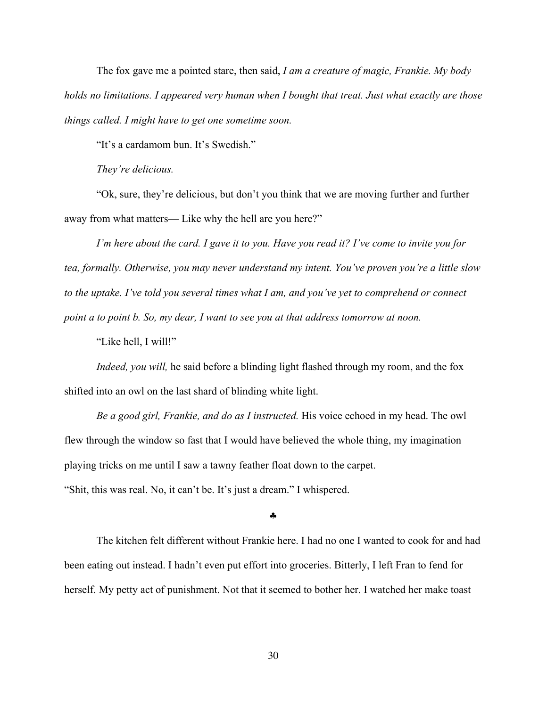The fox gave me a pointed stare, then said, *I am a creature of magic, Frankie. My body holds no limitations. I appeared very human when I bought that treat. Just what exactly are those things called. I might have to get one sometime soon.*

"It's a cardamom bun. It's Swedish."

*They're delicious.*

"Ok, sure, they're delicious, but don't you think that we are moving further and further away from what matters— Like why the hell are you here?"

*I'm here about the card. I gave it to you. Have you read it? I've come to invite you for tea, formally. Otherwise, you may never understand my intent. You've proven you're a little slow to the uptake. I've told you several times what I am, and you've yet to comprehend or connect point a to point b. So, my dear, I want to see you at that address tomorrow at noon.*

"Like hell, I will!"

*Indeed, you will,* he said before a blinding light flashed through my room, and the fox shifted into an owl on the last shard of blinding white light.

*Be a good girl, Frankie, and do as I instructed.* His voice echoed in my head. The owl flew through the window so fast that I would have believed the whole thing, my imagination playing tricks on me until I saw a tawny feather float down to the carpet.

"Shit, this was real. No, it can't be. It's just a dream." I whispered.

§

The kitchen felt different without Frankie here. I had no one I wanted to cook for and had been eating out instead. I hadn't even put effort into groceries. Bitterly, I left Fran to fend for herself. My petty act of punishment. Not that it seemed to bother her. I watched her make toast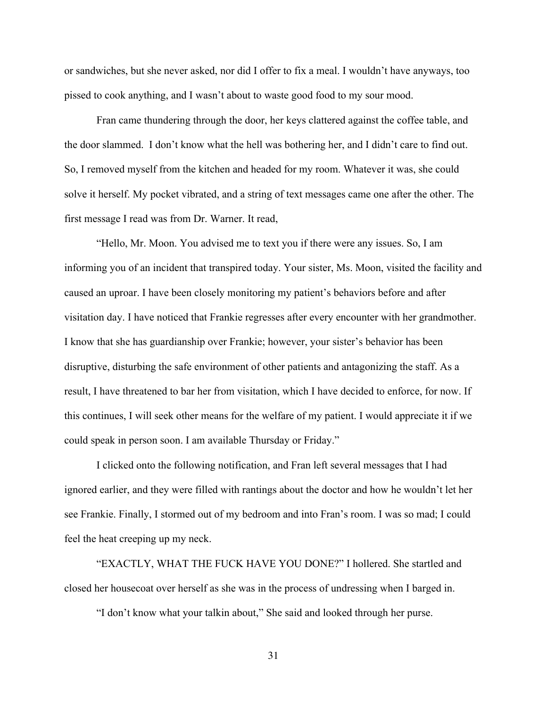or sandwiches, but she never asked, nor did I offer to fix a meal. I wouldn't have anyways, too pissed to cook anything, and I wasn't about to waste good food to my sour mood.

Fran came thundering through the door, her keys clattered against the coffee table, and the door slammed. I don't know what the hell was bothering her, and I didn't care to find out. So, I removed myself from the kitchen and headed for my room. Whatever it was, she could solve it herself. My pocket vibrated, and a string of text messages came one after the other. The first message I read was from Dr. Warner. It read,

"Hello, Mr. Moon. You advised me to text you if there were any issues. So, I am informing you of an incident that transpired today. Your sister, Ms. Moon, visited the facility and caused an uproar. I have been closely monitoring my patient's behaviors before and after visitation day. I have noticed that Frankie regresses after every encounter with her grandmother. I know that she has guardianship over Frankie; however, your sister's behavior has been disruptive, disturbing the safe environment of other patients and antagonizing the staff. As a result, I have threatened to bar her from visitation, which I have decided to enforce, for now. If this continues, I will seek other means for the welfare of my patient. I would appreciate it if we could speak in person soon. I am available Thursday or Friday."

I clicked onto the following notification, and Fran left several messages that I had ignored earlier, and they were filled with rantings about the doctor and how he wouldn't let her see Frankie. Finally, I stormed out of my bedroom and into Fran's room. I was so mad; I could feel the heat creeping up my neck.

"EXACTLY, WHAT THE FUCK HAVE YOU DONE?" I hollered. She startled and closed her housecoat over herself as she was in the process of undressing when I barged in.

"I don't know what your talkin about," She said and looked through her purse.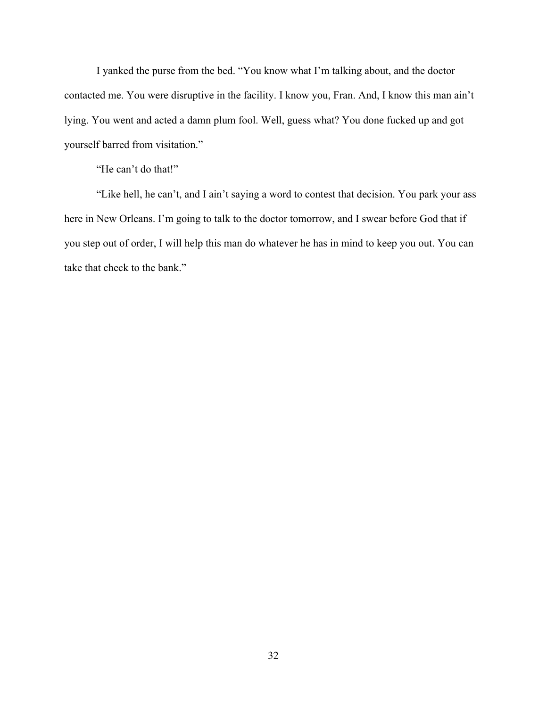I yanked the purse from the bed. "You know what I'm talking about, and the doctor contacted me. You were disruptive in the facility. I know you, Fran. And, I know this man ain't lying. You went and acted a damn plum fool. Well, guess what? You done fucked up and got yourself barred from visitation."

"He can't do that!"

"Like hell, he can't, and I ain't saying a word to contest that decision. You park your ass here in New Orleans. I'm going to talk to the doctor tomorrow, and I swear before God that if you step out of order, I will help this man do whatever he has in mind to keep you out. You can take that check to the bank."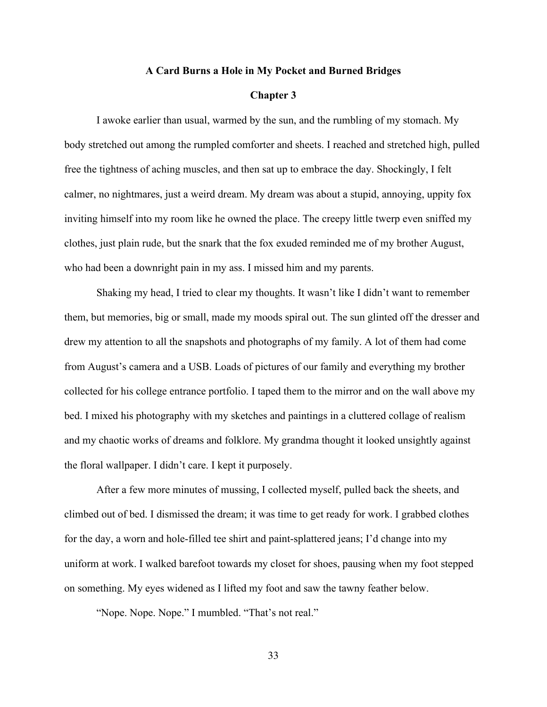# **A Card Burns a Hole in My Pocket and Burned Bridges**

## **Chapter 3**

I awoke earlier than usual, warmed by the sun, and the rumbling of my stomach. My body stretched out among the rumpled comforter and sheets. I reached and stretched high, pulled free the tightness of aching muscles, and then sat up to embrace the day. Shockingly, I felt calmer, no nightmares, just a weird dream. My dream was about a stupid, annoying, uppity fox inviting himself into my room like he owned the place. The creepy little twerp even sniffed my clothes, just plain rude, but the snark that the fox exuded reminded me of my brother August, who had been a downright pain in my ass. I missed him and my parents.

Shaking my head, I tried to clear my thoughts. It wasn't like I didn't want to remember them, but memories, big or small, made my moods spiral out. The sun glinted off the dresser and drew my attention to all the snapshots and photographs of my family. A lot of them had come from August's camera and a USB. Loads of pictures of our family and everything my brother collected for his college entrance portfolio. I taped them to the mirror and on the wall above my bed. I mixed his photography with my sketches and paintings in a cluttered collage of realism and my chaotic works of dreams and folklore. My grandma thought it looked unsightly against the floral wallpaper. I didn't care. I kept it purposely.

After a few more minutes of mussing, I collected myself, pulled back the sheets, and climbed out of bed. I dismissed the dream; it was time to get ready for work. I grabbed clothes for the day, a worn and hole-filled tee shirt and paint-splattered jeans; I'd change into my uniform at work. I walked barefoot towards my closet for shoes, pausing when my foot stepped on something. My eyes widened as I lifted my foot and saw the tawny feather below.

"Nope. Nope. Nope." I mumbled. "That's not real."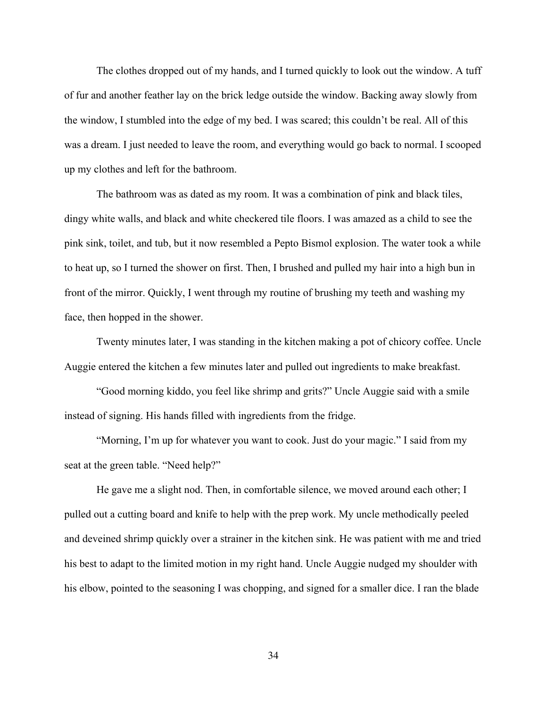The clothes dropped out of my hands, and I turned quickly to look out the window. A tuff of fur and another feather lay on the brick ledge outside the window. Backing away slowly from the window, I stumbled into the edge of my bed. I was scared; this couldn't be real. All of this was a dream. I just needed to leave the room, and everything would go back to normal. I scooped up my clothes and left for the bathroom.

The bathroom was as dated as my room. It was a combination of pink and black tiles, dingy white walls, and black and white checkered tile floors. I was amazed as a child to see the pink sink, toilet, and tub, but it now resembled a Pepto Bismol explosion. The water took a while to heat up, so I turned the shower on first. Then, I brushed and pulled my hair into a high bun in front of the mirror. Quickly, I went through my routine of brushing my teeth and washing my face, then hopped in the shower.

Twenty minutes later, I was standing in the kitchen making a pot of chicory coffee. Uncle Auggie entered the kitchen a few minutes later and pulled out ingredients to make breakfast.

"Good morning kiddo, you feel like shrimp and grits?" Uncle Auggie said with a smile instead of signing. His hands filled with ingredients from the fridge.

"Morning, I'm up for whatever you want to cook. Just do your magic." I said from my seat at the green table. "Need help?"

He gave me a slight nod. Then, in comfortable silence, we moved around each other; I pulled out a cutting board and knife to help with the prep work. My uncle methodically peeled and deveined shrimp quickly over a strainer in the kitchen sink. He was patient with me and tried his best to adapt to the limited motion in my right hand. Uncle Auggie nudged my shoulder with his elbow, pointed to the seasoning I was chopping, and signed for a smaller dice. I ran the blade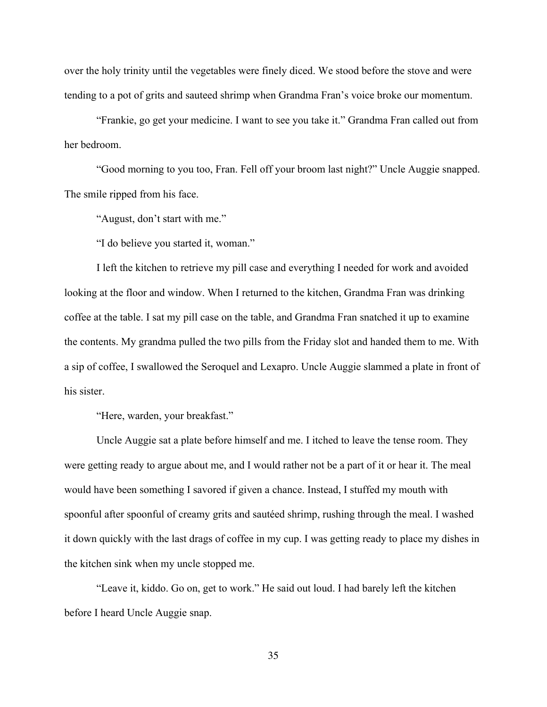over the holy trinity until the vegetables were finely diced. We stood before the stove and were tending to a pot of grits and sauteed shrimp when Grandma Fran's voice broke our momentum.

"Frankie, go get your medicine. I want to see you take it." Grandma Fran called out from her bedroom.

"Good morning to you too, Fran. Fell off your broom last night?" Uncle Auggie snapped. The smile ripped from his face.

"August, don't start with me."

"I do believe you started it, woman."

I left the kitchen to retrieve my pill case and everything I needed for work and avoided looking at the floor and window. When I returned to the kitchen, Grandma Fran was drinking coffee at the table. I sat my pill case on the table, and Grandma Fran snatched it up to examine the contents. My grandma pulled the two pills from the Friday slot and handed them to me. With a sip of coffee, I swallowed the Seroquel and Lexapro. Uncle Auggie slammed a plate in front of his sister.

"Here, warden, your breakfast."

Uncle Auggie sat a plate before himself and me. I itched to leave the tense room. They were getting ready to argue about me, and I would rather not be a part of it or hear it. The meal would have been something I savored if given a chance. Instead, I stuffed my mouth with spoonful after spoonful of creamy grits and sautéed shrimp, rushing through the meal. I washed it down quickly with the last drags of coffee in my cup. I was getting ready to place my dishes in the kitchen sink when my uncle stopped me.

"Leave it, kiddo. Go on, get to work." He said out loud. I had barely left the kitchen before I heard Uncle Auggie snap.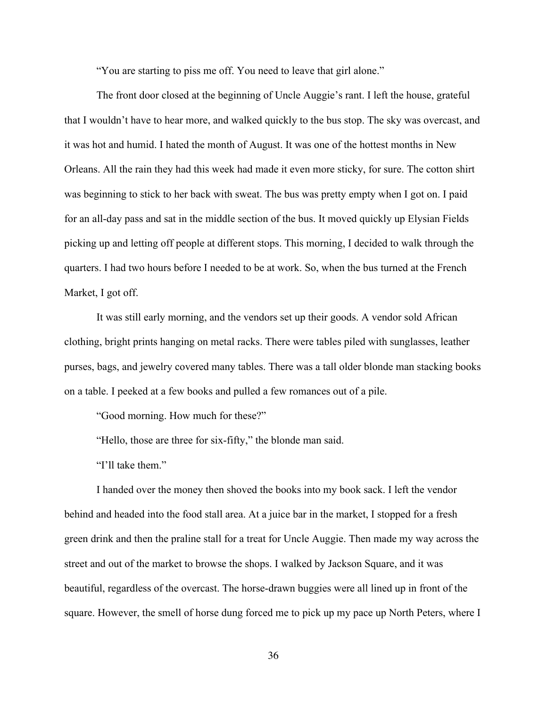"You are starting to piss me off. You need to leave that girl alone."

The front door closed at the beginning of Uncle Auggie's rant. I left the house, grateful that I wouldn't have to hear more, and walked quickly to the bus stop. The sky was overcast, and it was hot and humid. I hated the month of August. It was one of the hottest months in New Orleans. All the rain they had this week had made it even more sticky, for sure. The cotton shirt was beginning to stick to her back with sweat. The bus was pretty empty when I got on. I paid for an all-day pass and sat in the middle section of the bus. It moved quickly up Elysian Fields picking up and letting off people at different stops. This morning, I decided to walk through the quarters. I had two hours before I needed to be at work. So, when the bus turned at the French Market, I got off.

It was still early morning, and the vendors set up their goods. A vendor sold African clothing, bright prints hanging on metal racks. There were tables piled with sunglasses, leather purses, bags, and jewelry covered many tables. There was a tall older blonde man stacking books on a table. I peeked at a few books and pulled a few romances out of a pile.

"Good morning. How much for these?"

"Hello, those are three for six-fifty," the blonde man said.

"I'll take them."

I handed over the money then shoved the books into my book sack. I left the vendor behind and headed into the food stall area. At a juice bar in the market, I stopped for a fresh green drink and then the praline stall for a treat for Uncle Auggie. Then made my way across the street and out of the market to browse the shops. I walked by Jackson Square, and it was beautiful, regardless of the overcast. The horse-drawn buggies were all lined up in front of the square. However, the smell of horse dung forced me to pick up my pace up North Peters, where I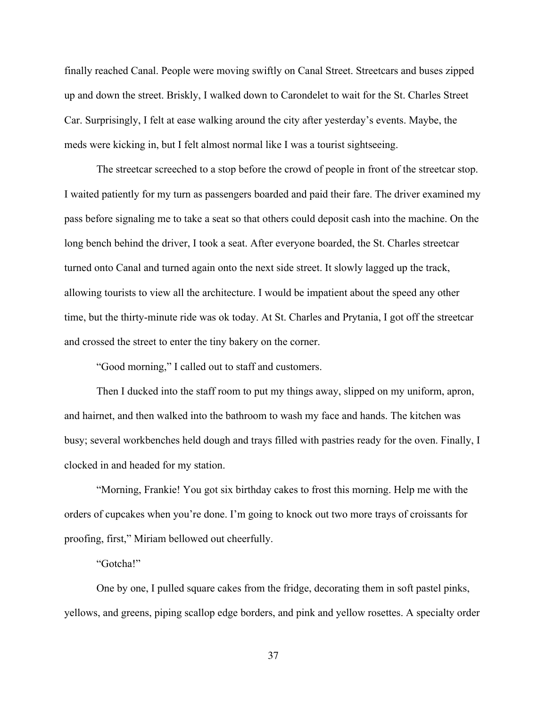finally reached Canal. People were moving swiftly on Canal Street. Streetcars and buses zipped up and down the street. Briskly, I walked down to Carondelet to wait for the St. Charles Street Car. Surprisingly, I felt at ease walking around the city after yesterday's events. Maybe, the meds were kicking in, but I felt almost normal like I was a tourist sightseeing.

The streetcar screeched to a stop before the crowd of people in front of the streetcar stop. I waited patiently for my turn as passengers boarded and paid their fare. The driver examined my pass before signaling me to take a seat so that others could deposit cash into the machine. On the long bench behind the driver, I took a seat. After everyone boarded, the St. Charles streetcar turned onto Canal and turned again onto the next side street. It slowly lagged up the track, allowing tourists to view all the architecture. I would be impatient about the speed any other time, but the thirty-minute ride was ok today. At St. Charles and Prytania, I got off the streetcar and crossed the street to enter the tiny bakery on the corner.

"Good morning," I called out to staff and customers.

Then I ducked into the staff room to put my things away, slipped on my uniform, apron, and hairnet, and then walked into the bathroom to wash my face and hands. The kitchen was busy; several workbenches held dough and trays filled with pastries ready for the oven. Finally, I clocked in and headed for my station.

"Morning, Frankie! You got six birthday cakes to frost this morning. Help me with the orders of cupcakes when you're done. I'm going to knock out two more trays of croissants for proofing, first," Miriam bellowed out cheerfully.

"Gotcha!"

One by one, I pulled square cakes from the fridge, decorating them in soft pastel pinks, yellows, and greens, piping scallop edge borders, and pink and yellow rosettes. A specialty order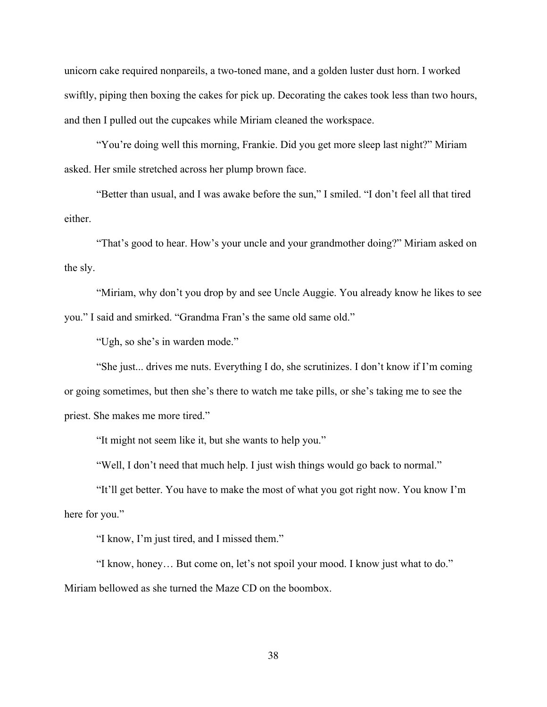unicorn cake required nonpareils, a two-toned mane, and a golden luster dust horn. I worked swiftly, piping then boxing the cakes for pick up. Decorating the cakes took less than two hours, and then I pulled out the cupcakes while Miriam cleaned the workspace.

"You're doing well this morning, Frankie. Did you get more sleep last night?" Miriam asked. Her smile stretched across her plump brown face.

"Better than usual, and I was awake before the sun," I smiled. "I don't feel all that tired either.

"That's good to hear. How's your uncle and your grandmother doing?" Miriam asked on the sly.

"Miriam, why don't you drop by and see Uncle Auggie. You already know he likes to see you." I said and smirked. "Grandma Fran's the same old same old."

"Ugh, so she's in warden mode."

"She just... drives me nuts. Everything I do, she scrutinizes. I don't know if I'm coming or going sometimes, but then she's there to watch me take pills, or she's taking me to see the priest. She makes me more tired."

"It might not seem like it, but she wants to help you."

"Well, I don't need that much help. I just wish things would go back to normal."

"It'll get better. You have to make the most of what you got right now. You know I'm here for you."

"I know, I'm just tired, and I missed them."

"I know, honey… But come on, let's not spoil your mood. I know just what to do." Miriam bellowed as she turned the Maze CD on the boombox.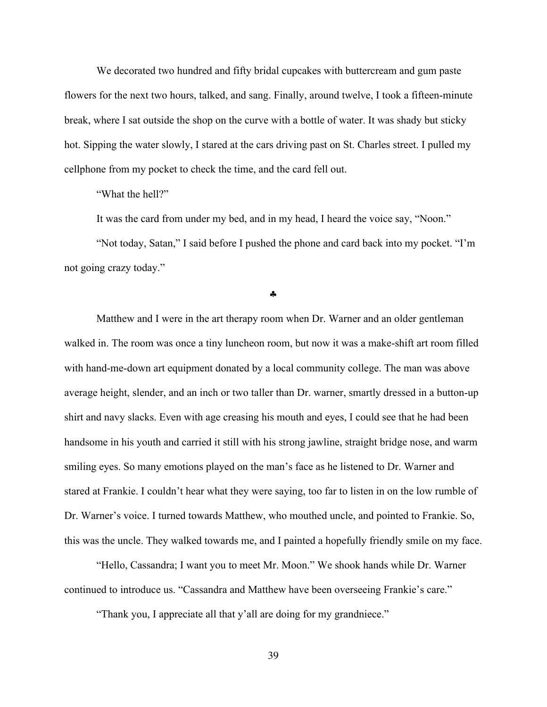We decorated two hundred and fifty bridal cupcakes with buttercream and gum paste flowers for the next two hours, talked, and sang. Finally, around twelve, I took a fifteen-minute break, where I sat outside the shop on the curve with a bottle of water. It was shady but sticky hot. Sipping the water slowly, I stared at the cars driving past on St. Charles street. I pulled my cellphone from my pocket to check the time, and the card fell out.

"What the hell?"

It was the card from under my bed, and in my head, I heard the voice say, "Noon."

"Not today, Satan," I said before I pushed the phone and card back into my pocket. "I'm not going crazy today."

§

Matthew and I were in the art therapy room when Dr. Warner and an older gentleman walked in. The room was once a tiny luncheon room, but now it was a make-shift art room filled with hand-me-down art equipment donated by a local community college. The man was above average height, slender, and an inch or two taller than Dr. warner, smartly dressed in a button-up shirt and navy slacks. Even with age creasing his mouth and eyes, I could see that he had been handsome in his youth and carried it still with his strong jawline, straight bridge nose, and warm smiling eyes. So many emotions played on the man's face as he listened to Dr. Warner and stared at Frankie. I couldn't hear what they were saying, too far to listen in on the low rumble of Dr. Warner's voice. I turned towards Matthew, who mouthed uncle, and pointed to Frankie. So, this was the uncle. They walked towards me, and I painted a hopefully friendly smile on my face.

"Hello, Cassandra; I want you to meet Mr. Moon." We shook hands while Dr. Warner continued to introduce us. "Cassandra and Matthew have been overseeing Frankie's care."

"Thank you, I appreciate all that y'all are doing for my grandniece."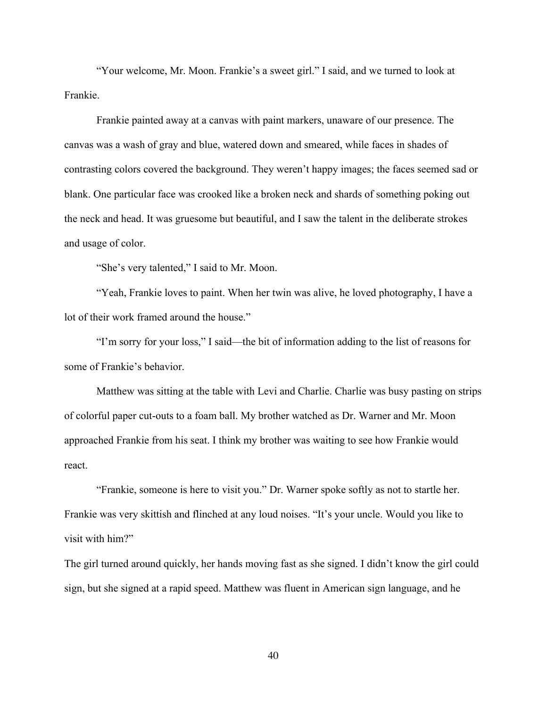"Your welcome, Mr. Moon. Frankie's a sweet girl." I said, and we turned to look at Frankie.

Frankie painted away at a canvas with paint markers, unaware of our presence. The canvas was a wash of gray and blue, watered down and smeared, while faces in shades of contrasting colors covered the background. They weren't happy images; the faces seemed sad or blank. One particular face was crooked like a broken neck and shards of something poking out the neck and head. It was gruesome but beautiful, and I saw the talent in the deliberate strokes and usage of color.

"She's very talented," I said to Mr. Moon.

"Yeah, Frankie loves to paint. When her twin was alive, he loved photography, I have a lot of their work framed around the house."

"I'm sorry for your loss," I said—the bit of information adding to the list of reasons for some of Frankie's behavior.

Matthew was sitting at the table with Levi and Charlie. Charlie was busy pasting on strips of colorful paper cut-outs to a foam ball. My brother watched as Dr. Warner and Mr. Moon approached Frankie from his seat. I think my brother was waiting to see how Frankie would react.

"Frankie, someone is here to visit you." Dr. Warner spoke softly as not to startle her. Frankie was very skittish and flinched at any loud noises. "It's your uncle. Would you like to visit with him?"

The girl turned around quickly, her hands moving fast as she signed. I didn't know the girl could sign, but she signed at a rapid speed. Matthew was fluent in American sign language, and he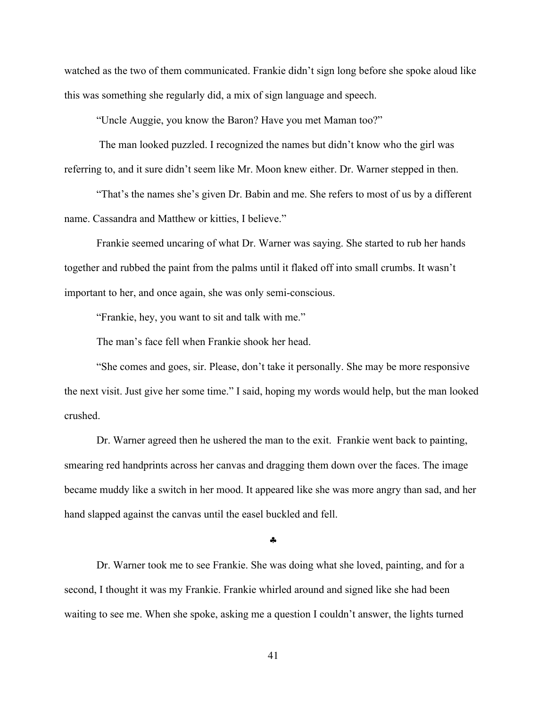watched as the two of them communicated. Frankie didn't sign long before she spoke aloud like this was something she regularly did, a mix of sign language and speech.

"Uncle Auggie, you know the Baron? Have you met Maman too?"

The man looked puzzled. I recognized the names but didn't know who the girl was referring to, and it sure didn't seem like Mr. Moon knew either. Dr. Warner stepped in then.

"That's the names she's given Dr. Babin and me. She refers to most of us by a different name. Cassandra and Matthew or kitties, I believe."

Frankie seemed uncaring of what Dr. Warner was saying. She started to rub her hands together and rubbed the paint from the palms until it flaked off into small crumbs. It wasn't important to her, and once again, she was only semi-conscious.

"Frankie, hey, you want to sit and talk with me."

The man's face fell when Frankie shook her head.

"She comes and goes, sir. Please, don't take it personally. She may be more responsive the next visit. Just give her some time." I said, hoping my words would help, but the man looked crushed.

Dr. Warner agreed then he ushered the man to the exit. Frankie went back to painting, smearing red handprints across her canvas and dragging them down over the faces. The image became muddy like a switch in her mood. It appeared like she was more angry than sad, and her hand slapped against the canvas until the easel buckled and fell.

§

Dr. Warner took me to see Frankie. She was doing what she loved, painting, and for a second, I thought it was my Frankie. Frankie whirled around and signed like she had been waiting to see me. When she spoke, asking me a question I couldn't answer, the lights turned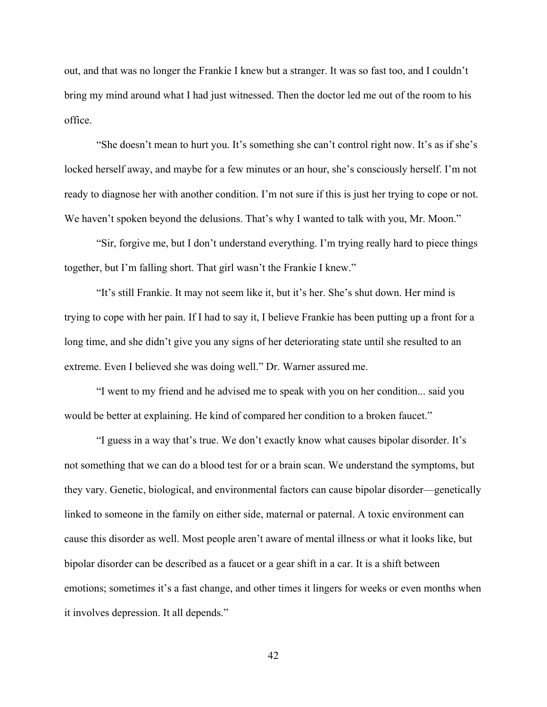out, and that was no longer the Frankie I knew but a stranger. It was so fast too, and I couldn't bring my mind around what I had just witnessed. Then the doctor led me out of the room to his office.

"She doesn't mean to hurt you. It's something she can't control right now. It's as if she's locked herself away, and maybe for a few minutes or an hour, she's consciously herself. I'm not ready to diagnose her with another condition. I'm not sure if this is just her trying to cope or not. We haven't spoken beyond the delusions. That's why I wanted to talk with you, Mr. Moon."

"Sir, forgive me, but I don't understand everything. I'm trying really hard to piece things together, but I'm falling short. That girl wasn't the Frankie I knew."

"It's still Frankie. It may not seem like it, but it's her. She's shut down. Her mind is trying to cope with her pain. If I had to say it, I believe Frankie has been putting up a front for a long time, and she didn't give you any signs of her deteriorating state until she resulted to an extreme. Even I believed she was doing well." Dr. Warner assured me.

"I went to my friend and he advised me to speak with you on her condition... said you would be better at explaining. He kind of compared her condition to a broken faucet."

"I guess in a way that's true. We don't exactly know what causes bipolar disorder. It's not something that we can do a blood test for or a brain scan. We understand the symptoms, but they vary. Genetic, biological, and environmental factors can cause bipolar disorder—genetically linked to someone in the family on either side, maternal or paternal. A toxic environment can cause this disorder as well. Most people aren't aware of mental illness or what it looks like, but bipolar disorder can be described as a faucet or a gear shift in a car. It is a shift between emotions; sometimes it's a fast change, and other times it lingers for weeks or even months when it involves depression. It all depends."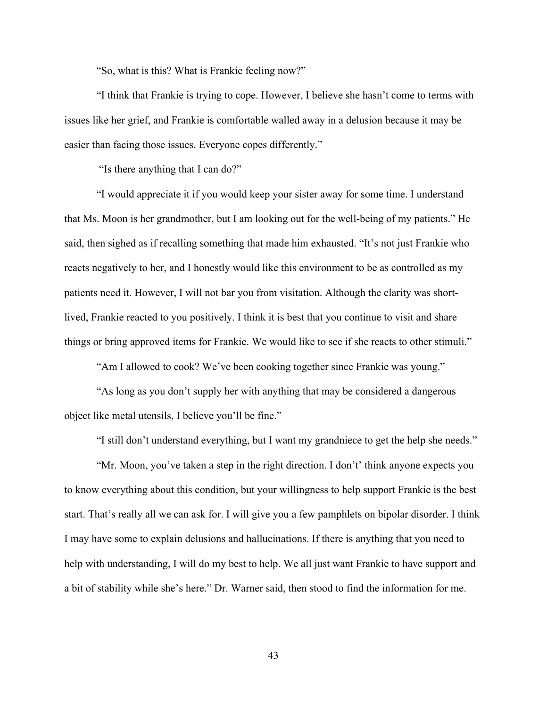"So, what is this? What is Frankie feeling now?"

"I think that Frankie is trying to cope. However, I believe she hasn't come to terms with issues like her grief, and Frankie is comfortable walled away in a delusion because it may be easier than facing those issues. Everyone copes differently."

"Is there anything that I can do?"

"I would appreciate it if you would keep your sister away for some time. I understand that Ms. Moon is her grandmother, but I am looking out for the well-being of my patients." He said, then sighed as if recalling something that made him exhausted. "It's not just Frankie who reacts negatively to her, and I honestly would like this environment to be as controlled as my patients need it. However, I will not bar you from visitation. Although the clarity was shortlived, Frankie reacted to you positively. I think it is best that you continue to visit and share things or bring approved items for Frankie. We would like to see if she reacts to other stimuli."

"Am I allowed to cook? We've been cooking together since Frankie was young."

"As long as you don't supply her with anything that may be considered a dangerous object like metal utensils, I believe you'll be fine."

"I still don't understand everything, but I want my grandniece to get the help she needs."

"Mr. Moon, you've taken a step in the right direction. I don't' think anyone expects you to know everything about this condition, but your willingness to help support Frankie is the best start. That's really all we can ask for. I will give you a few pamphlets on bipolar disorder. I think I may have some to explain delusions and hallucinations. If there is anything that you need to help with understanding, I will do my best to help. We all just want Frankie to have support and a bit of stability while she's here." Dr. Warner said, then stood to find the information for me.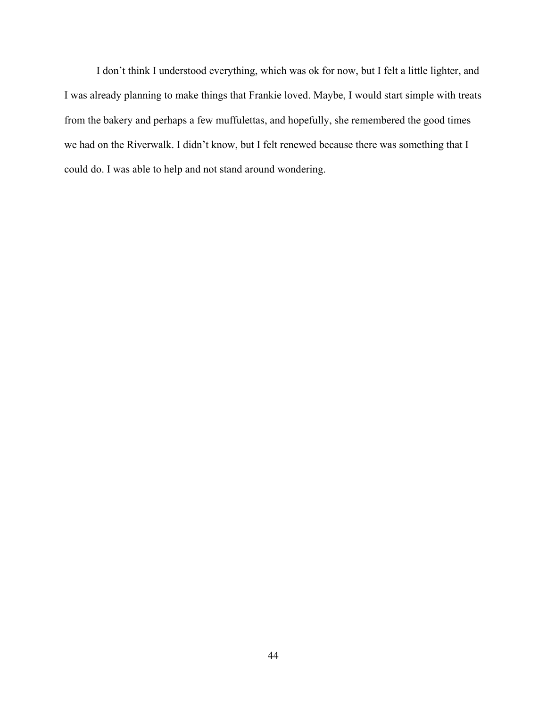I don't think I understood everything, which was ok for now, but I felt a little lighter, and I was already planning to make things that Frankie loved. Maybe, I would start simple with treats from the bakery and perhaps a few muffulettas, and hopefully, she remembered the good times we had on the Riverwalk. I didn't know, but I felt renewed because there was something that I could do. I was able to help and not stand around wondering.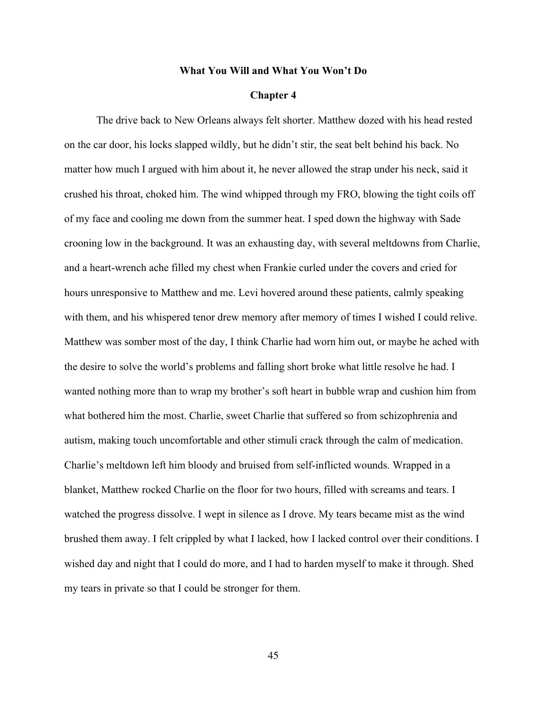#### **What You Will and What You Won't Do**

# **Chapter 4**

The drive back to New Orleans always felt shorter. Matthew dozed with his head rested on the car door, his locks slapped wildly, but he didn't stir, the seat belt behind his back. No matter how much I argued with him about it, he never allowed the strap under his neck, said it crushed his throat, choked him. The wind whipped through my FRO, blowing the tight coils off of my face and cooling me down from the summer heat. I sped down the highway with Sade crooning low in the background. It was an exhausting day, with several meltdowns from Charlie, and a heart-wrench ache filled my chest when Frankie curled under the covers and cried for hours unresponsive to Matthew and me. Levi hovered around these patients, calmly speaking with them, and his whispered tenor drew memory after memory of times I wished I could relive. Matthew was somber most of the day, I think Charlie had worn him out, or maybe he ached with the desire to solve the world's problems and falling short broke what little resolve he had. I wanted nothing more than to wrap my brother's soft heart in bubble wrap and cushion him from what bothered him the most. Charlie, sweet Charlie that suffered so from schizophrenia and autism, making touch uncomfortable and other stimuli crack through the calm of medication. Charlie's meltdown left him bloody and bruised from self-inflicted wounds. Wrapped in a blanket, Matthew rocked Charlie on the floor for two hours, filled with screams and tears. I watched the progress dissolve. I wept in silence as I drove. My tears became mist as the wind brushed them away. I felt crippled by what I lacked, how I lacked control over their conditions. I wished day and night that I could do more, and I had to harden myself to make it through. Shed my tears in private so that I could be stronger for them.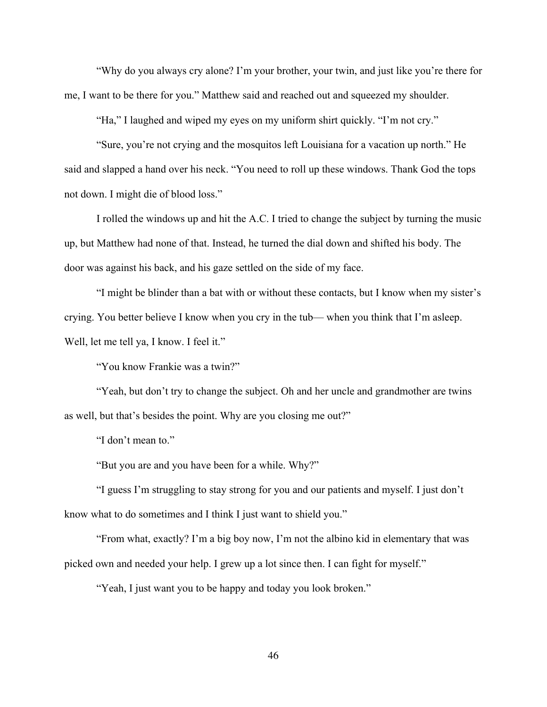"Why do you always cry alone? I'm your brother, your twin, and just like you're there for me, I want to be there for you." Matthew said and reached out and squeezed my shoulder.

"Ha," I laughed and wiped my eyes on my uniform shirt quickly. "I'm not cry."

"Sure, you're not crying and the mosquitos left Louisiana for a vacation up north." He said and slapped a hand over his neck. "You need to roll up these windows. Thank God the tops not down. I might die of blood loss."

I rolled the windows up and hit the A.C. I tried to change the subject by turning the music up, but Matthew had none of that. Instead, he turned the dial down and shifted his body. The door was against his back, and his gaze settled on the side of my face.

"I might be blinder than a bat with or without these contacts, but I know when my sister's crying. You better believe I know when you cry in the tub— when you think that I'm asleep. Well, let me tell ya, I know. I feel it."

"You know Frankie was a twin?"

"Yeah, but don't try to change the subject. Oh and her uncle and grandmother are twins as well, but that's besides the point. Why are you closing me out?"

"I don't mean to."

"But you are and you have been for a while. Why?"

"I guess I'm struggling to stay strong for you and our patients and myself. I just don't know what to do sometimes and I think I just want to shield you."

"From what, exactly? I'm a big boy now, I'm not the albino kid in elementary that was picked own and needed your help. I grew up a lot since then. I can fight for myself."

"Yeah, I just want you to be happy and today you look broken."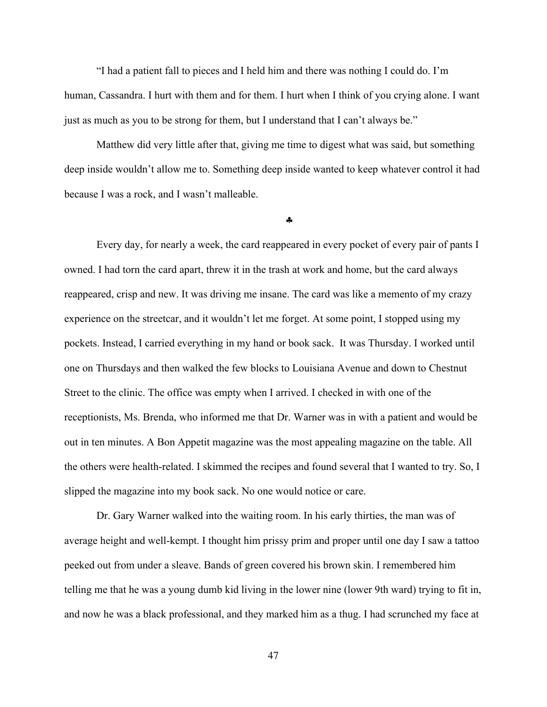"I had a patient fall to pieces and I held him and there was nothing I could do. I'm human, Cassandra. I hurt with them and for them. I hurt when I think of you crying alone. I want just as much as you to be strong for them, but I understand that I can't always be."

Matthew did very little after that, giving me time to digest what was said, but something deep inside wouldn't allow me to. Something deep inside wanted to keep whatever control it had because I was a rock, and I wasn't malleable.

§

Every day, for nearly a week, the card reappeared in every pocket of every pair of pants I owned. I had torn the card apart, threw it in the trash at work and home, but the card always reappeared, crisp and new. It was driving me insane. The card was like a memento of my crazy experience on the streetcar, and it wouldn't let me forget. At some point, I stopped using my pockets. Instead, I carried everything in my hand or book sack. It was Thursday. I worked until one on Thursdays and then walked the few blocks to Louisiana Avenue and down to Chestnut Street to the clinic. The office was empty when I arrived. I checked in with one of the receptionists, Ms. Brenda, who informed me that Dr. Warner was in with a patient and would be out in ten minutes. A Bon Appetit magazine was the most appealing magazine on the table. All the others were health-related. I skimmed the recipes and found several that I wanted to try. So, I slipped the magazine into my book sack. No one would notice or care.

Dr. Gary Warner walked into the waiting room. In his early thirties, the man was of average height and well-kempt. I thought him prissy prim and proper until one day I saw a tattoo peeked out from under a sleave. Bands of green covered his brown skin. I remembered him telling me that he was a young dumb kid living in the lower nine (lower 9th ward) trying to fit in, and now he was a black professional, and they marked him as a thug. I had scrunched my face at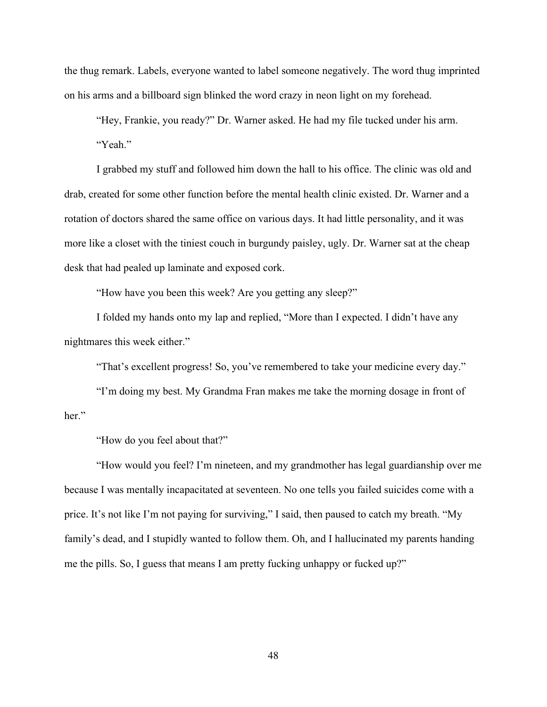the thug remark. Labels, everyone wanted to label someone negatively. The word thug imprinted on his arms and a billboard sign blinked the word crazy in neon light on my forehead.

"Hey, Frankie, you ready?" Dr. Warner asked. He had my file tucked under his arm. "Yeah."

I grabbed my stuff and followed him down the hall to his office. The clinic was old and drab, created for some other function before the mental health clinic existed. Dr. Warner and a rotation of doctors shared the same office on various days. It had little personality, and it was more like a closet with the tiniest couch in burgundy paisley, ugly. Dr. Warner sat at the cheap desk that had pealed up laminate and exposed cork.

"How have you been this week? Are you getting any sleep?"

I folded my hands onto my lap and replied, "More than I expected. I didn't have any nightmares this week either."

"That's excellent progress! So, you've remembered to take your medicine every day."

"I'm doing my best. My Grandma Fran makes me take the morning dosage in front of her."

"How do you feel about that?"

"How would you feel? I'm nineteen, and my grandmother has legal guardianship over me because I was mentally incapacitated at seventeen. No one tells you failed suicides come with a price. It's not like I'm not paying for surviving," I said, then paused to catch my breath. "My family's dead, and I stupidly wanted to follow them. Oh, and I hallucinated my parents handing me the pills. So, I guess that means I am pretty fucking unhappy or fucked up?"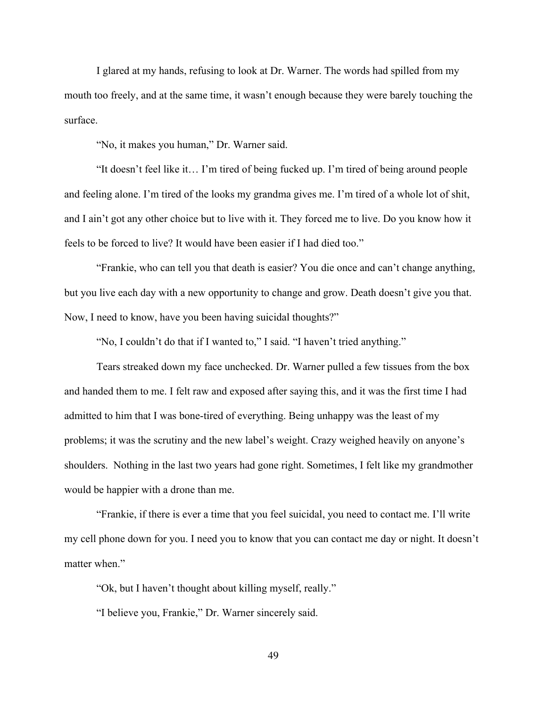I glared at my hands, refusing to look at Dr. Warner. The words had spilled from my mouth too freely, and at the same time, it wasn't enough because they were barely touching the surface.

"No, it makes you human," Dr. Warner said.

"It doesn't feel like it… I'm tired of being fucked up. I'm tired of being around people and feeling alone. I'm tired of the looks my grandma gives me. I'm tired of a whole lot of shit, and I ain't got any other choice but to live with it. They forced me to live. Do you know how it feels to be forced to live? It would have been easier if I had died too."

"Frankie, who can tell you that death is easier? You die once and can't change anything, but you live each day with a new opportunity to change and grow. Death doesn't give you that. Now, I need to know, have you been having suicidal thoughts?"

"No, I couldn't do that if I wanted to," I said. "I haven't tried anything."

Tears streaked down my face unchecked. Dr. Warner pulled a few tissues from the box and handed them to me. I felt raw and exposed after saying this, and it was the first time I had admitted to him that I was bone-tired of everything. Being unhappy was the least of my problems; it was the scrutiny and the new label's weight. Crazy weighed heavily on anyone's shoulders. Nothing in the last two years had gone right. Sometimes, I felt like my grandmother would be happier with a drone than me.

"Frankie, if there is ever a time that you feel suicidal, you need to contact me. I'll write my cell phone down for you. I need you to know that you can contact me day or night. It doesn't matter when."

"Ok, but I haven't thought about killing myself, really."

"I believe you, Frankie," Dr. Warner sincerely said.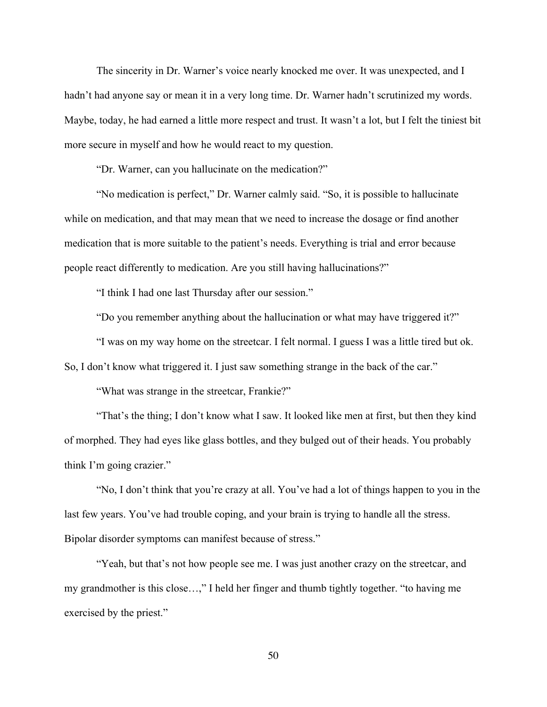The sincerity in Dr. Warner's voice nearly knocked me over. It was unexpected, and I hadn't had anyone say or mean it in a very long time. Dr. Warner hadn't scrutinized my words. Maybe, today, he had earned a little more respect and trust. It wasn't a lot, but I felt the tiniest bit more secure in myself and how he would react to my question.

"Dr. Warner, can you hallucinate on the medication?"

"No medication is perfect," Dr. Warner calmly said. "So, it is possible to hallucinate while on medication, and that may mean that we need to increase the dosage or find another medication that is more suitable to the patient's needs. Everything is trial and error because people react differently to medication. Are you still having hallucinations?"

"I think I had one last Thursday after our session."

"Do you remember anything about the hallucination or what may have triggered it?"

"I was on my way home on the streetcar. I felt normal. I guess I was a little tired but ok.

So, I don't know what triggered it. I just saw something strange in the back of the car."

"What was strange in the streetcar, Frankie?"

"That's the thing; I don't know what I saw. It looked like men at first, but then they kind of morphed. They had eyes like glass bottles, and they bulged out of their heads. You probably think I'm going crazier."

"No, I don't think that you're crazy at all. You've had a lot of things happen to you in the last few years. You've had trouble coping, and your brain is trying to handle all the stress. Bipolar disorder symptoms can manifest because of stress."

"Yeah, but that's not how people see me. I was just another crazy on the streetcar, and my grandmother is this close…," I held her finger and thumb tightly together. "to having me exercised by the priest."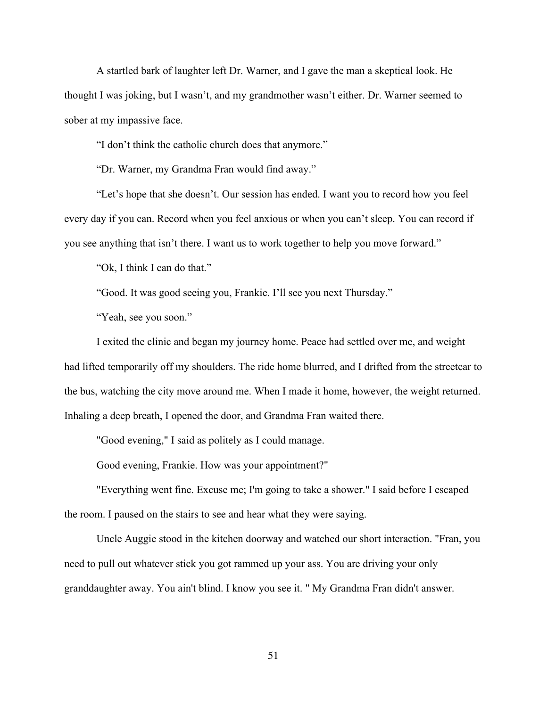A startled bark of laughter left Dr. Warner, and I gave the man a skeptical look. He thought I was joking, but I wasn't, and my grandmother wasn't either. Dr. Warner seemed to sober at my impassive face.

"I don't think the catholic church does that anymore."

"Dr. Warner, my Grandma Fran would find away."

"Let's hope that she doesn't. Our session has ended. I want you to record how you feel every day if you can. Record when you feel anxious or when you can't sleep. You can record if you see anything that isn't there. I want us to work together to help you move forward."

"Ok, I think I can do that."

"Good. It was good seeing you, Frankie. I'll see you next Thursday."

"Yeah, see you soon."

I exited the clinic and began my journey home. Peace had settled over me, and weight had lifted temporarily off my shoulders. The ride home blurred, and I drifted from the streetcar to the bus, watching the city move around me. When I made it home, however, the weight returned. Inhaling a deep breath, I opened the door, and Grandma Fran waited there.

"Good evening," I said as politely as I could manage.

Good evening, Frankie. How was your appointment?"

"Everything went fine. Excuse me; I'm going to take a shower." I said before I escaped the room. I paused on the stairs to see and hear what they were saying.

Uncle Auggie stood in the kitchen doorway and watched our short interaction. "Fran, you need to pull out whatever stick you got rammed up your ass. You are driving your only granddaughter away. You ain't blind. I know you see it. " My Grandma Fran didn't answer.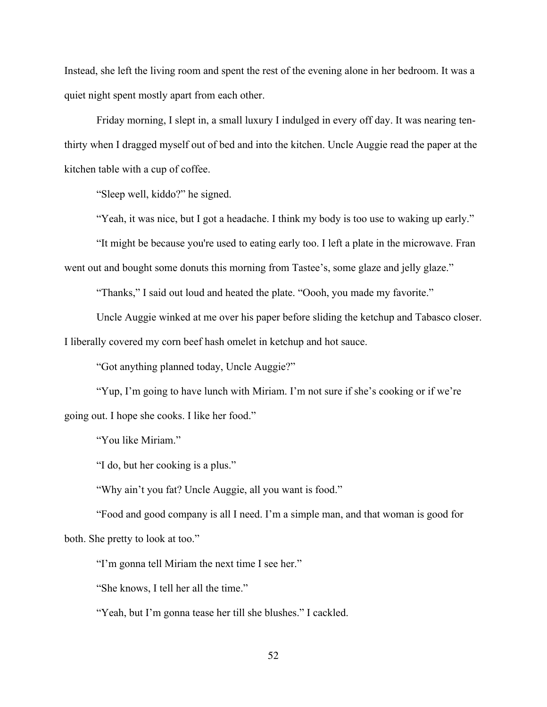Instead, she left the living room and spent the rest of the evening alone in her bedroom. It was a quiet night spent mostly apart from each other.

Friday morning, I slept in, a small luxury I indulged in every off day. It was nearing tenthirty when I dragged myself out of bed and into the kitchen. Uncle Auggie read the paper at the kitchen table with a cup of coffee.

"Sleep well, kiddo?" he signed.

"Yeah, it was nice, but I got a headache. I think my body is too use to waking up early."

"It might be because you're used to eating early too. I left a plate in the microwave. Fran went out and bought some donuts this morning from Tastee's, some glaze and jelly glaze."

"Thanks," I said out loud and heated the plate. "Oooh, you made my favorite."

Uncle Auggie winked at me over his paper before sliding the ketchup and Tabasco closer. I liberally covered my corn beef hash omelet in ketchup and hot sauce.

"Got anything planned today, Uncle Auggie?"

"Yup, I'm going to have lunch with Miriam. I'm not sure if she's cooking or if we're going out. I hope she cooks. I like her food."

"You like Miriam."

"I do, but her cooking is a plus."

"Why ain't you fat? Uncle Auggie, all you want is food."

"Food and good company is all I need. I'm a simple man, and that woman is good for both. She pretty to look at too."

"I'm gonna tell Miriam the next time I see her."

"She knows, I tell her all the time."

"Yeah, but I'm gonna tease her till she blushes." I cackled.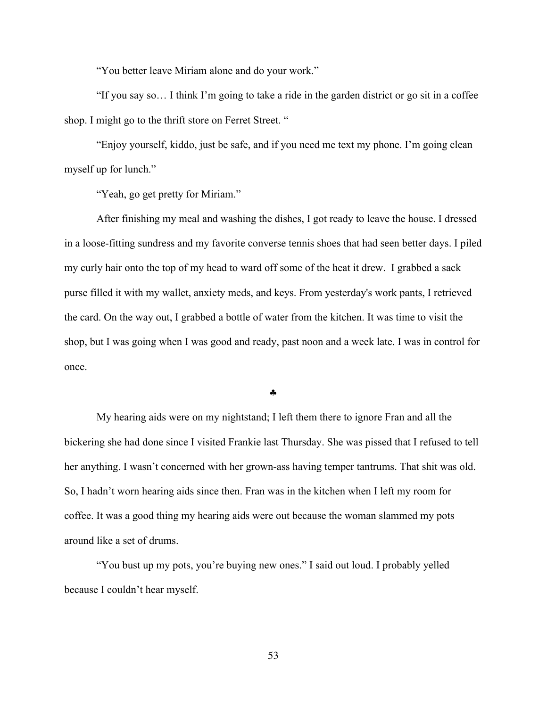"You better leave Miriam alone and do your work."

"If you say so… I think I'm going to take a ride in the garden district or go sit in a coffee shop. I might go to the thrift store on Ferret Street. "

"Enjoy yourself, kiddo, just be safe, and if you need me text my phone. I'm going clean myself up for lunch."

"Yeah, go get pretty for Miriam."

After finishing my meal and washing the dishes, I got ready to leave the house. I dressed in a loose-fitting sundress and my favorite converse tennis shoes that had seen better days. I piled my curly hair onto the top of my head to ward off some of the heat it drew. I grabbed a sack purse filled it with my wallet, anxiety meds, and keys. From yesterday's work pants, I retrieved the card. On the way out, I grabbed a bottle of water from the kitchen. It was time to visit the shop, but I was going when I was good and ready, past noon and a week late. I was in control for once.

§

My hearing aids were on my nightstand; I left them there to ignore Fran and all the bickering she had done since I visited Frankie last Thursday. She was pissed that I refused to tell her anything. I wasn't concerned with her grown-ass having temper tantrums. That shit was old. So, I hadn't worn hearing aids since then. Fran was in the kitchen when I left my room for coffee. It was a good thing my hearing aids were out because the woman slammed my pots around like a set of drums.

"You bust up my pots, you're buying new ones." I said out loud. I probably yelled because I couldn't hear myself.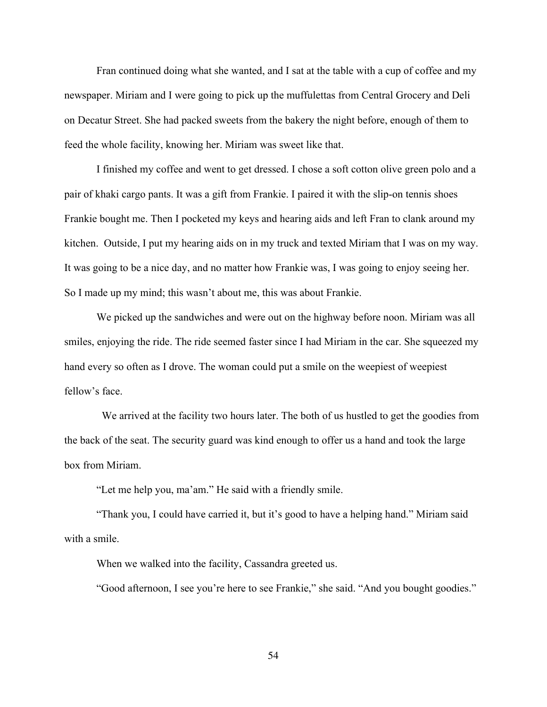Fran continued doing what she wanted, and I sat at the table with a cup of coffee and my newspaper. Miriam and I were going to pick up the muffulettas from Central Grocery and Deli on Decatur Street. She had packed sweets from the bakery the night before, enough of them to feed the whole facility, knowing her. Miriam was sweet like that.

I finished my coffee and went to get dressed. I chose a soft cotton olive green polo and a pair of khaki cargo pants. It was a gift from Frankie. I paired it with the slip-on tennis shoes Frankie bought me. Then I pocketed my keys and hearing aids and left Fran to clank around my kitchen. Outside, I put my hearing aids on in my truck and texted Miriam that I was on my way. It was going to be a nice day, and no matter how Frankie was, I was going to enjoy seeing her. So I made up my mind; this wasn't about me, this was about Frankie.

We picked up the sandwiches and were out on the highway before noon. Miriam was all smiles, enjoying the ride. The ride seemed faster since I had Miriam in the car. She squeezed my hand every so often as I drove. The woman could put a smile on the weepiest of weepiest fellow's face.

 We arrived at the facility two hours later. The both of us hustled to get the goodies from the back of the seat. The security guard was kind enough to offer us a hand and took the large box from Miriam.

"Let me help you, ma'am." He said with a friendly smile.

"Thank you, I could have carried it, but it's good to have a helping hand." Miriam said with a smile.

When we walked into the facility, Cassandra greeted us.

"Good afternoon, I see you're here to see Frankie," she said. "And you bought goodies."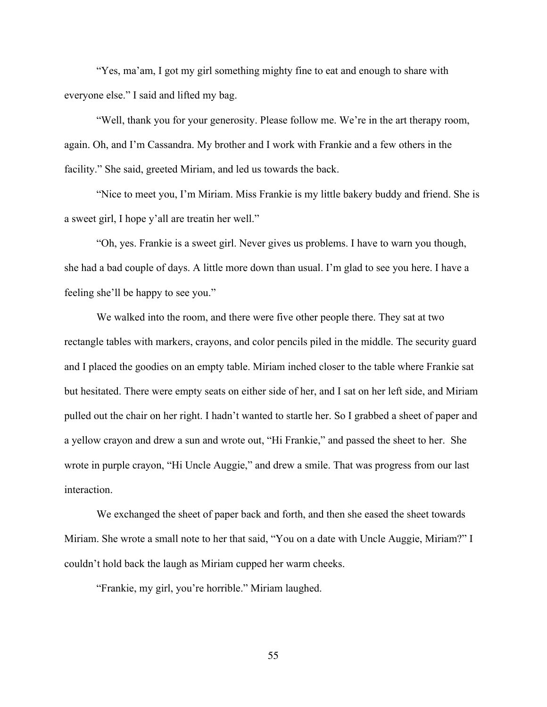"Yes, ma'am, I got my girl something mighty fine to eat and enough to share with everyone else." I said and lifted my bag.

"Well, thank you for your generosity. Please follow me. We're in the art therapy room, again. Oh, and I'm Cassandra. My brother and I work with Frankie and a few others in the facility." She said, greeted Miriam, and led us towards the back.

"Nice to meet you, I'm Miriam. Miss Frankie is my little bakery buddy and friend. She is a sweet girl, I hope y'all are treatin her well."

"Oh, yes. Frankie is a sweet girl. Never gives us problems. I have to warn you though, she had a bad couple of days. A little more down than usual. I'm glad to see you here. I have a feeling she'll be happy to see you."

We walked into the room, and there were five other people there. They sat at two rectangle tables with markers, crayons, and color pencils piled in the middle. The security guard and I placed the goodies on an empty table. Miriam inched closer to the table where Frankie sat but hesitated. There were empty seats on either side of her, and I sat on her left side, and Miriam pulled out the chair on her right. I hadn't wanted to startle her. So I grabbed a sheet of paper and a yellow crayon and drew a sun and wrote out, "Hi Frankie," and passed the sheet to her. She wrote in purple crayon, "Hi Uncle Auggie," and drew a smile. That was progress from our last interaction.

We exchanged the sheet of paper back and forth, and then she eased the sheet towards Miriam. She wrote a small note to her that said, "You on a date with Uncle Auggie, Miriam?" I couldn't hold back the laugh as Miriam cupped her warm cheeks.

"Frankie, my girl, you're horrible." Miriam laughed.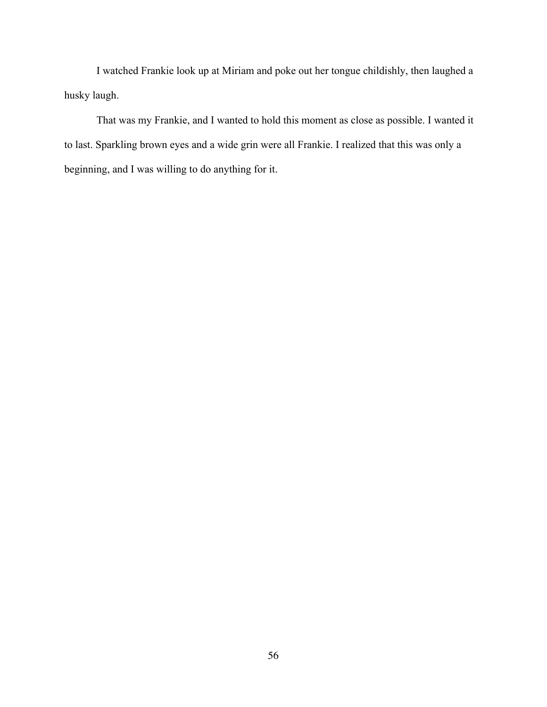I watched Frankie look up at Miriam and poke out her tongue childishly, then laughed a husky laugh.

That was my Frankie, and I wanted to hold this moment as close as possible. I wanted it to last. Sparkling brown eyes and a wide grin were all Frankie. I realized that this was only a beginning, and I was willing to do anything for it.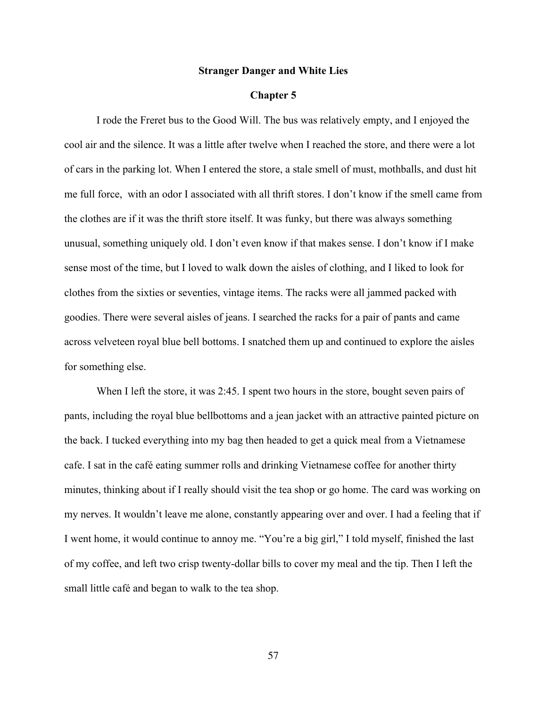#### **Stranger Danger and White Lies**

# **Chapter 5**

I rode the Freret bus to the Good Will. The bus was relatively empty, and I enjoyed the cool air and the silence. It was a little after twelve when I reached the store, and there were a lot of cars in the parking lot. When I entered the store, a stale smell of must, mothballs, and dust hit me full force, with an odor I associated with all thrift stores. I don't know if the smell came from the clothes are if it was the thrift store itself. It was funky, but there was always something unusual, something uniquely old. I don't even know if that makes sense. I don't know if I make sense most of the time, but I loved to walk down the aisles of clothing, and I liked to look for clothes from the sixties or seventies, vintage items. The racks were all jammed packed with goodies. There were several aisles of jeans. I searched the racks for a pair of pants and came across velveteen royal blue bell bottoms. I snatched them up and continued to explore the aisles for something else.

When I left the store, it was 2:45. I spent two hours in the store, bought seven pairs of pants, including the royal blue bellbottoms and a jean jacket with an attractive painted picture on the back. I tucked everything into my bag then headed to get a quick meal from a Vietnamese cafe. I sat in the café eating summer rolls and drinking Vietnamese coffee for another thirty minutes, thinking about if I really should visit the tea shop or go home. The card was working on my nerves. It wouldn't leave me alone, constantly appearing over and over. I had a feeling that if I went home, it would continue to annoy me. "You're a big girl," I told myself, finished the last of my coffee, and left two crisp twenty-dollar bills to cover my meal and the tip. Then I left the small little café and began to walk to the tea shop.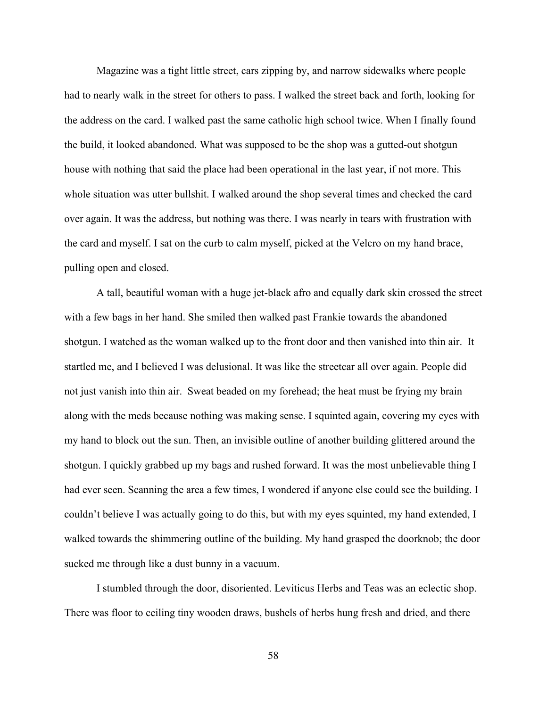Magazine was a tight little street, cars zipping by, and narrow sidewalks where people had to nearly walk in the street for others to pass. I walked the street back and forth, looking for the address on the card. I walked past the same catholic high school twice. When I finally found the build, it looked abandoned. What was supposed to be the shop was a gutted-out shotgun house with nothing that said the place had been operational in the last year, if not more. This whole situation was utter bullshit. I walked around the shop several times and checked the card over again. It was the address, but nothing was there. I was nearly in tears with frustration with the card and myself. I sat on the curb to calm myself, picked at the Velcro on my hand brace, pulling open and closed.

A tall, beautiful woman with a huge jet-black afro and equally dark skin crossed the street with a few bags in her hand. She smiled then walked past Frankie towards the abandoned shotgun. I watched as the woman walked up to the front door and then vanished into thin air. It startled me, and I believed I was delusional. It was like the streetcar all over again. People did not just vanish into thin air. Sweat beaded on my forehead; the heat must be frying my brain along with the meds because nothing was making sense. I squinted again, covering my eyes with my hand to block out the sun. Then, an invisible outline of another building glittered around the shotgun. I quickly grabbed up my bags and rushed forward. It was the most unbelievable thing I had ever seen. Scanning the area a few times, I wondered if anyone else could see the building. I couldn't believe I was actually going to do this, but with my eyes squinted, my hand extended, I walked towards the shimmering outline of the building. My hand grasped the doorknob; the door sucked me through like a dust bunny in a vacuum.

I stumbled through the door, disoriented. Leviticus Herbs and Teas was an eclectic shop. There was floor to ceiling tiny wooden draws, bushels of herbs hung fresh and dried, and there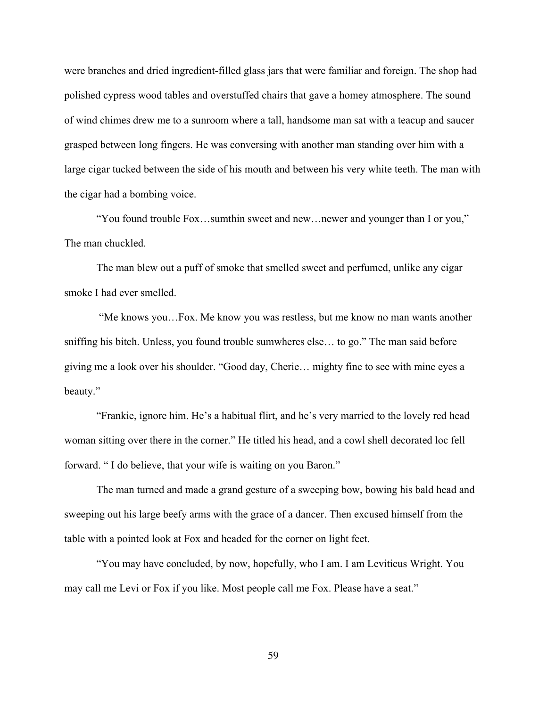were branches and dried ingredient-filled glass jars that were familiar and foreign. The shop had polished cypress wood tables and overstuffed chairs that gave a homey atmosphere. The sound of wind chimes drew me to a sunroom where a tall, handsome man sat with a teacup and saucer grasped between long fingers. He was conversing with another man standing over him with a large cigar tucked between the side of his mouth and between his very white teeth. The man with the cigar had a bombing voice.

"You found trouble Fox…sumthin sweet and new…newer and younger than I or you," The man chuckled.

The man blew out a puff of smoke that smelled sweet and perfumed, unlike any cigar smoke I had ever smelled.

"Me knows you…Fox. Me know you was restless, but me know no man wants another sniffing his bitch. Unless, you found trouble sumwheres else… to go." The man said before giving me a look over his shoulder. "Good day, Cherie… mighty fine to see with mine eyes a beauty."

"Frankie, ignore him. He's a habitual flirt, and he's very married to the lovely red head woman sitting over there in the corner." He titled his head, and a cowl shell decorated loc fell forward. " I do believe, that your wife is waiting on you Baron."

The man turned and made a grand gesture of a sweeping bow, bowing his bald head and sweeping out his large beefy arms with the grace of a dancer. Then excused himself from the table with a pointed look at Fox and headed for the corner on light feet.

"You may have concluded, by now, hopefully, who I am. I am Leviticus Wright. You may call me Levi or Fox if you like. Most people call me Fox. Please have a seat."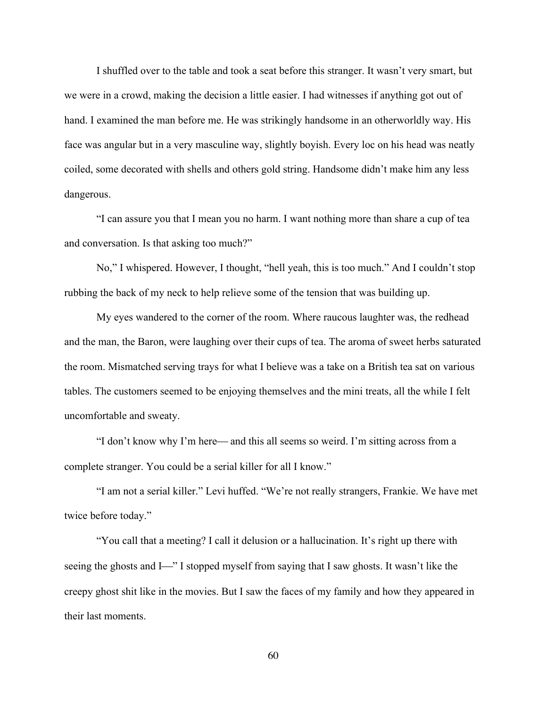I shuffled over to the table and took a seat before this stranger. It wasn't very smart, but we were in a crowd, making the decision a little easier. I had witnesses if anything got out of hand. I examined the man before me. He was strikingly handsome in an otherworldly way. His face was angular but in a very masculine way, slightly boyish. Every loc on his head was neatly coiled, some decorated with shells and others gold string. Handsome didn't make him any less dangerous.

"I can assure you that I mean you no harm. I want nothing more than share a cup of tea and conversation. Is that asking too much?"

No," I whispered. However, I thought, "hell yeah, this is too much." And I couldn't stop rubbing the back of my neck to help relieve some of the tension that was building up.

My eyes wandered to the corner of the room. Where raucous laughter was, the redhead and the man, the Baron, were laughing over their cups of tea. The aroma of sweet herbs saturated the room. Mismatched serving trays for what I believe was a take on a British tea sat on various tables. The customers seemed to be enjoying themselves and the mini treats, all the while I felt uncomfortable and sweaty.

"I don't know why I'm here— and this all seems so weird. I'm sitting across from a complete stranger. You could be a serial killer for all I know."

"I am not a serial killer." Levi huffed. "We're not really strangers, Frankie. We have met twice before today."

"You call that a meeting? I call it delusion or a hallucination. It's right up there with seeing the ghosts and I<sup>{2}</sup>. I stopped myself from saying that I saw ghosts. It wasn't like the creepy ghost shit like in the movies. But I saw the faces of my family and how they appeared in their last moments.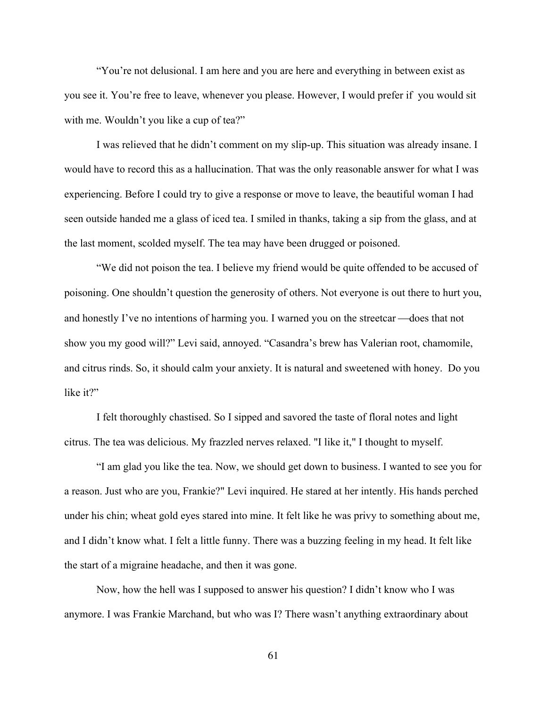"You're not delusional. I am here and you are here and everything in between exist as you see it. You're free to leave, whenever you please. However, I would prefer if you would sit with me. Wouldn't you like a cup of tea?"

I was relieved that he didn't comment on my slip-up. This situation was already insane. I would have to record this as a hallucination. That was the only reasonable answer for what I was experiencing. Before I could try to give a response or move to leave, the beautiful woman I had seen outside handed me a glass of iced tea. I smiled in thanks, taking a sip from the glass, and at the last moment, scolded myself. The tea may have been drugged or poisoned.

"We did not poison the tea. I believe my friend would be quite offended to be accused of poisoning. One shouldn't question the generosity of others. Not everyone is out there to hurt you, and honestly I've no intentions of harming you. I warned you on the streetcar—does that not show you my good will?" Levi said, annoyed. "Casandra's brew has Valerian root, chamomile, and citrus rinds. So, it should calm your anxiety. It is natural and sweetened with honey. Do you like it?"

I felt thoroughly chastised. So I sipped and savored the taste of floral notes and light citrus. The tea was delicious. My frazzled nerves relaxed. "I like it," I thought to myself.

"I am glad you like the tea. Now, we should get down to business. I wanted to see you for a reason. Just who are you, Frankie?" Levi inquired. He stared at her intently. His hands perched under his chin; wheat gold eyes stared into mine. It felt like he was privy to something about me, and I didn't know what. I felt a little funny. There was a buzzing feeling in my head. It felt like the start of a migraine headache, and then it was gone.

Now, how the hell was I supposed to answer his question? I didn't know who I was anymore. I was Frankie Marchand, but who was I? There wasn't anything extraordinary about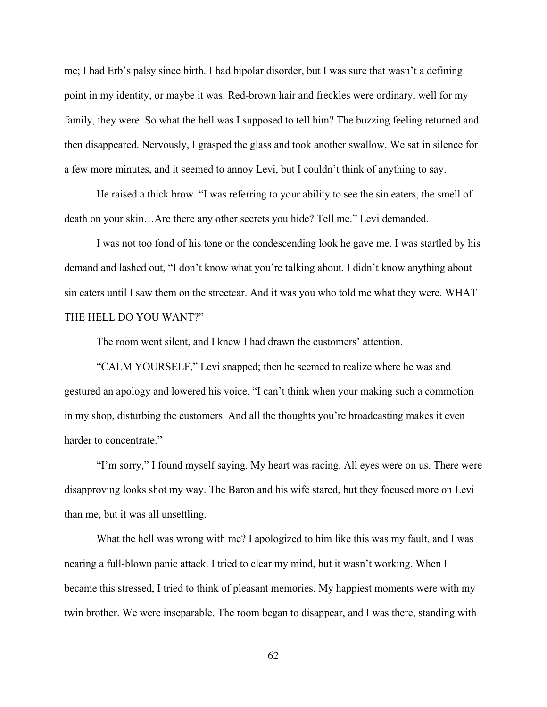me; I had Erb's palsy since birth. I had bipolar disorder, but I was sure that wasn't a defining point in my identity, or maybe it was. Red-brown hair and freckles were ordinary, well for my family, they were. So what the hell was I supposed to tell him? The buzzing feeling returned and then disappeared. Nervously, I grasped the glass and took another swallow. We sat in silence for a few more minutes, and it seemed to annoy Levi, but I couldn't think of anything to say.

He raised a thick brow. "I was referring to your ability to see the sin eaters, the smell of death on your skin…Are there any other secrets you hide? Tell me." Levi demanded.

I was not too fond of his tone or the condescending look he gave me. I was startled by his demand and lashed out, "I don't know what you're talking about. I didn't know anything about sin eaters until I saw them on the streetcar. And it was you who told me what they were. WHAT THE HELL DO YOU WANT?"

The room went silent, and I knew I had drawn the customers' attention.

"CALM YOURSELF," Levi snapped; then he seemed to realize where he was and gestured an apology and lowered his voice. "I can't think when your making such a commotion in my shop, disturbing the customers. And all the thoughts you're broadcasting makes it even harder to concentrate."

"I'm sorry," I found myself saying. My heart was racing. All eyes were on us. There were disapproving looks shot my way. The Baron and his wife stared, but they focused more on Levi than me, but it was all unsettling.

What the hell was wrong with me? I apologized to him like this was my fault, and I was nearing a full-blown panic attack. I tried to clear my mind, but it wasn't working. When I became this stressed, I tried to think of pleasant memories. My happiest moments were with my twin brother. We were inseparable. The room began to disappear, and I was there, standing with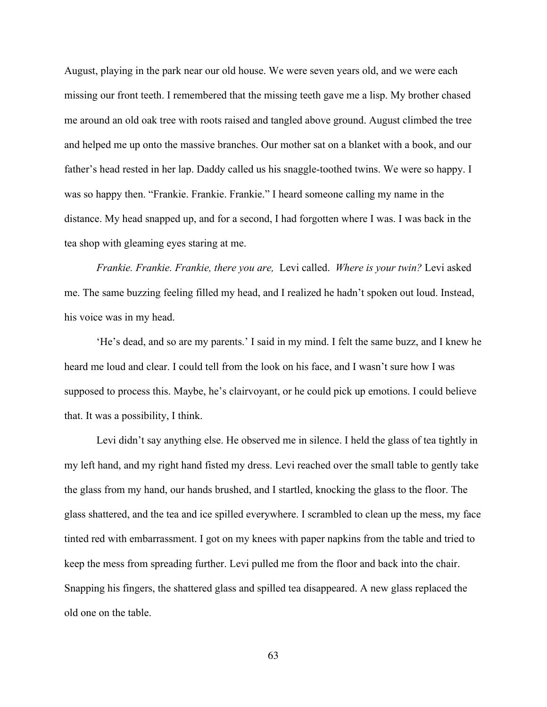August, playing in the park near our old house. We were seven years old, and we were each missing our front teeth. I remembered that the missing teeth gave me a lisp. My brother chased me around an old oak tree with roots raised and tangled above ground. August climbed the tree and helped me up onto the massive branches. Our mother sat on a blanket with a book, and our father's head rested in her lap. Daddy called us his snaggle-toothed twins. We were so happy. I was so happy then. "Frankie. Frankie. Frankie." I heard someone calling my name in the distance. My head snapped up, and for a second, I had forgotten where I was. I was back in the tea shop with gleaming eyes staring at me.

*Frankie. Frankie. Frankie, there you are,* Levi called. *Where is your twin?* Levi asked me. The same buzzing feeling filled my head, and I realized he hadn't spoken out loud. Instead, his voice was in my head.

'He's dead, and so are my parents.' I said in my mind. I felt the same buzz, and I knew he heard me loud and clear. I could tell from the look on his face, and I wasn't sure how I was supposed to process this. Maybe, he's clairvoyant, or he could pick up emotions. I could believe that. It was a possibility, I think.

Levi didn't say anything else. He observed me in silence. I held the glass of tea tightly in my left hand, and my right hand fisted my dress. Levi reached over the small table to gently take the glass from my hand, our hands brushed, and I startled, knocking the glass to the floor. The glass shattered, and the tea and ice spilled everywhere. I scrambled to clean up the mess, my face tinted red with embarrassment. I got on my knees with paper napkins from the table and tried to keep the mess from spreading further. Levi pulled me from the floor and back into the chair. Snapping his fingers, the shattered glass and spilled tea disappeared. A new glass replaced the old one on the table.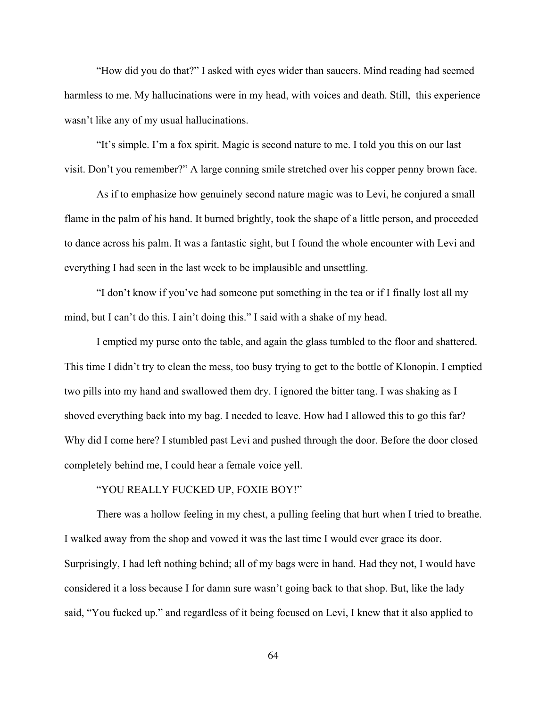"How did you do that?" I asked with eyes wider than saucers. Mind reading had seemed harmless to me. My hallucinations were in my head, with voices and death. Still, this experience wasn't like any of my usual hallucinations.

"It's simple. I'm a fox spirit. Magic is second nature to me. I told you this on our last visit. Don't you remember?" A large conning smile stretched over his copper penny brown face.

As if to emphasize how genuinely second nature magic was to Levi, he conjured a small flame in the palm of his hand. It burned brightly, took the shape of a little person, and proceeded to dance across his palm. It was a fantastic sight, but I found the whole encounter with Levi and everything I had seen in the last week to be implausible and unsettling.

"I don't know if you've had someone put something in the tea or if I finally lost all my mind, but I can't do this. I ain't doing this." I said with a shake of my head.

I emptied my purse onto the table, and again the glass tumbled to the floor and shattered. This time I didn't try to clean the mess, too busy trying to get to the bottle of Klonopin. I emptied two pills into my hand and swallowed them dry. I ignored the bitter tang. I was shaking as I shoved everything back into my bag. I needed to leave. How had I allowed this to go this far? Why did I come here? I stumbled past Levi and pushed through the door. Before the door closed completely behind me, I could hear a female voice yell.

# "YOU REALLY FUCKED UP, FOXIE BOY!"

There was a hollow feeling in my chest, a pulling feeling that hurt when I tried to breathe. I walked away from the shop and vowed it was the last time I would ever grace its door. Surprisingly, I had left nothing behind; all of my bags were in hand. Had they not, I would have considered it a loss because I for damn sure wasn't going back to that shop. But, like the lady said, "You fucked up." and regardless of it being focused on Levi, I knew that it also applied to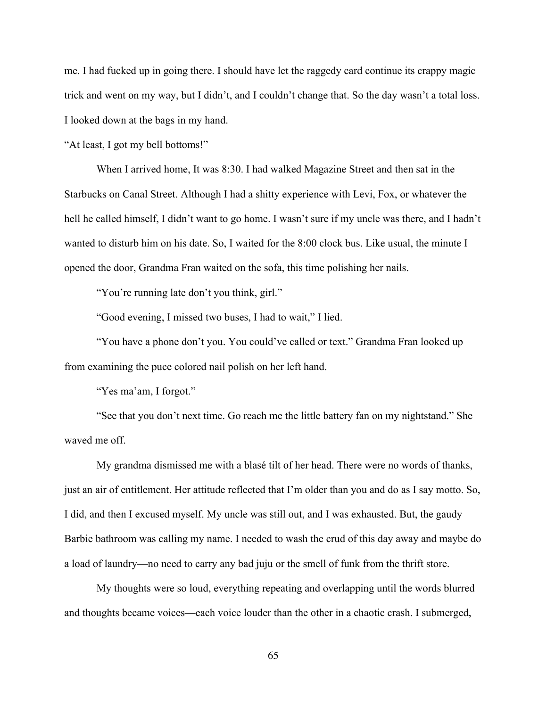me. I had fucked up in going there. I should have let the raggedy card continue its crappy magic trick and went on my way, but I didn't, and I couldn't change that. So the day wasn't a total loss. I looked down at the bags in my hand.

"At least, I got my bell bottoms!"

When I arrived home, It was 8:30. I had walked Magazine Street and then sat in the Starbucks on Canal Street. Although I had a shitty experience with Levi, Fox, or whatever the hell he called himself, I didn't want to go home. I wasn't sure if my uncle was there, and I hadn't wanted to disturb him on his date. So, I waited for the 8:00 clock bus. Like usual, the minute I opened the door, Grandma Fran waited on the sofa, this time polishing her nails.

"You're running late don't you think, girl."

"Good evening, I missed two buses, I had to wait," I lied.

"You have a phone don't you. You could've called or text." Grandma Fran looked up from examining the puce colored nail polish on her left hand.

"Yes ma'am, I forgot."

"See that you don't next time. Go reach me the little battery fan on my nightstand." She waved me off.

My grandma dismissed me with a blasé tilt of her head. There were no words of thanks, just an air of entitlement. Her attitude reflected that I'm older than you and do as I say motto. So, I did, and then I excused myself. My uncle was still out, and I was exhausted. But, the gaudy Barbie bathroom was calling my name. I needed to wash the crud of this day away and maybe do a load of laundry—no need to carry any bad juju or the smell of funk from the thrift store.

My thoughts were so loud, everything repeating and overlapping until the words blurred and thoughts became voices—each voice louder than the other in a chaotic crash. I submerged,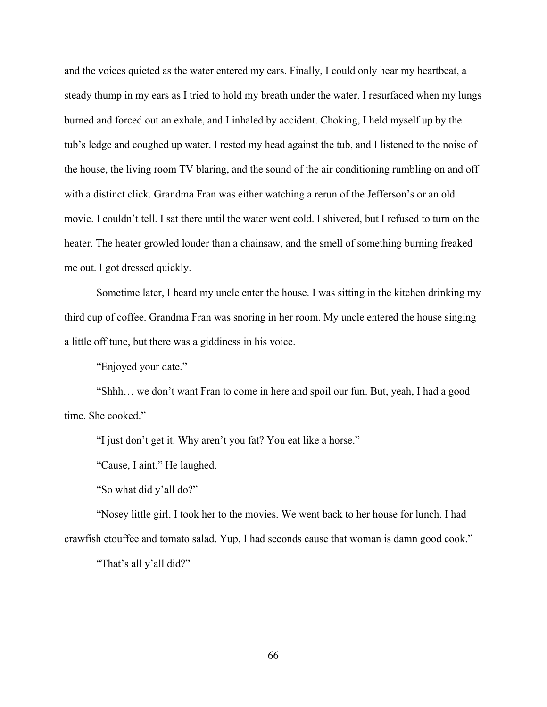and the voices quieted as the water entered my ears. Finally, I could only hear my heartbeat, a steady thump in my ears as I tried to hold my breath under the water. I resurfaced when my lungs burned and forced out an exhale, and I inhaled by accident. Choking, I held myself up by the tub's ledge and coughed up water. I rested my head against the tub, and I listened to the noise of the house, the living room TV blaring, and the sound of the air conditioning rumbling on and off with a distinct click. Grandma Fran was either watching a rerun of the Jefferson's or an old movie. I couldn't tell. I sat there until the water went cold. I shivered, but I refused to turn on the heater. The heater growled louder than a chainsaw, and the smell of something burning freaked me out. I got dressed quickly.

Sometime later, I heard my uncle enter the house. I was sitting in the kitchen drinking my third cup of coffee. Grandma Fran was snoring in her room. My uncle entered the house singing a little off tune, but there was a giddiness in his voice.

"Enjoyed your date."

"Shhh… we don't want Fran to come in here and spoil our fun. But, yeah, I had a good time. She cooked."

"I just don't get it. Why aren't you fat? You eat like a horse."

"Cause, I aint." He laughed.

"So what did y'all do?"

"Nosey little girl. I took her to the movies. We went back to her house for lunch. I had crawfish etouffee and tomato salad. Yup, I had seconds cause that woman is damn good cook."

"That's all y'all did?"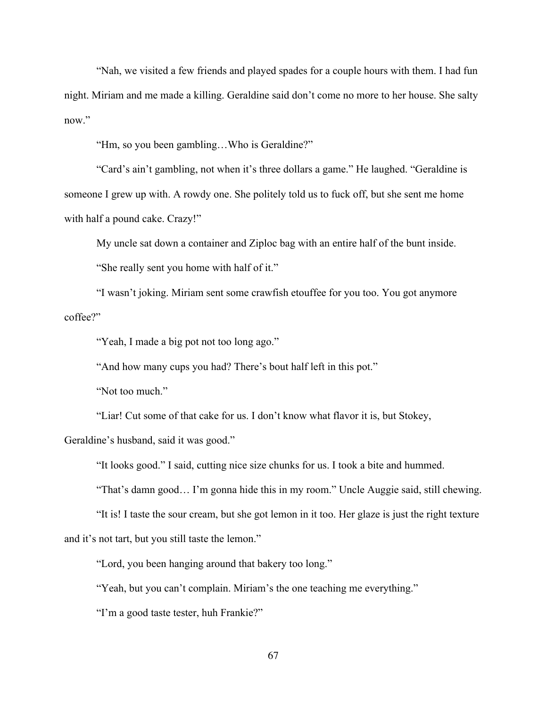"Nah, we visited a few friends and played spades for a couple hours with them. I had fun night. Miriam and me made a killing. Geraldine said don't come no more to her house. She salty now."

"Hm, so you been gambling…Who is Geraldine?"

"Card's ain't gambling, not when it's three dollars a game." He laughed. "Geraldine is someone I grew up with. A rowdy one. She politely told us to fuck off, but she sent me home with half a pound cake. Crazy!"

My uncle sat down a container and Ziploc bag with an entire half of the bunt inside.

"She really sent you home with half of it."

"I wasn't joking. Miriam sent some crawfish etouffee for you too. You got anymore coffee?"

"Yeah, I made a big pot not too long ago."

"And how many cups you had? There's bout half left in this pot."

"Not too much."

"Liar! Cut some of that cake for us. I don't know what flavor it is, but Stokey,

Geraldine's husband, said it was good."

"It looks good." I said, cutting nice size chunks for us. I took a bite and hummed.

"That's damn good… I'm gonna hide this in my room." Uncle Auggie said, still chewing.

"It is! I taste the sour cream, but she got lemon in it too. Her glaze is just the right texture and it's not tart, but you still taste the lemon."

"Lord, you been hanging around that bakery too long."

"Yeah, but you can't complain. Miriam's the one teaching me everything."

"I'm a good taste tester, huh Frankie?"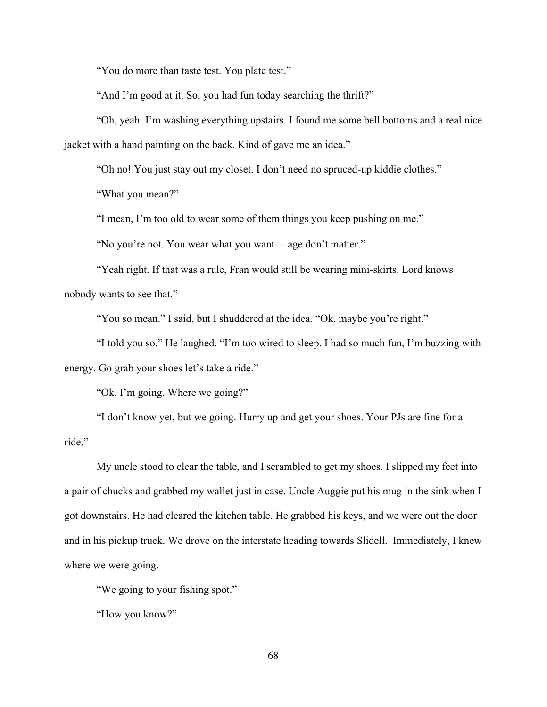"You do more than taste test. You plate test."

"And I'm good at it. So, you had fun today searching the thrift?"

"Oh, yeah. I'm washing everything upstairs. I found me some bell bottoms and a real nice jacket with a hand painting on the back. Kind of gave me an idea."

"Oh no! You just stay out my closet. I don't need no spruced-up kiddie clothes."

"What you mean?"

"I mean, I'm too old to wear some of them things you keep pushing on me."

"No you're not. You wear what you want—age don't matter."

"Yeah right. If that was a rule, Fran would still be wearing mini-skirts. Lord knows nobody wants to see that."

"You so mean." I said, but I shuddered at the idea. "Ok, maybe you're right."

"I told you so." He laughed. "I'm too wired to sleep. I had so much fun, I'm buzzing with energy. Go grab your shoes let's take a ride."

"Ok. I'm going. Where we going?"

"I don't know yet, but we going. Hurry up and get your shoes. Your PJs are fine for a ride."

My uncle stood to clear the table, and I scrambled to get my shoes. I slipped my feet into a pair of chucks and grabbed my wallet just in case. Uncle Auggie put his mug in the sink when I got downstairs. He had cleared the kitchen table. He grabbed his keys, and we were out the door and in his pickup truck. We drove on the interstate heading towards Slidell. Immediately, I knew where we were going.

"We going to your fishing spot."

"How you know?"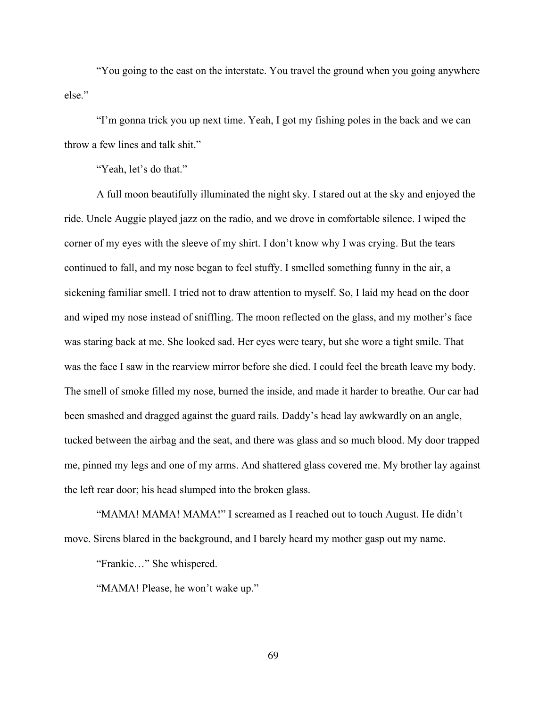"You going to the east on the interstate. You travel the ground when you going anywhere else."

"I'm gonna trick you up next time. Yeah, I got my fishing poles in the back and we can throw a few lines and talk shit."

"Yeah, let's do that."

A full moon beautifully illuminated the night sky. I stared out at the sky and enjoyed the ride. Uncle Auggie played jazz on the radio, and we drove in comfortable silence. I wiped the corner of my eyes with the sleeve of my shirt. I don't know why I was crying. But the tears continued to fall, and my nose began to feel stuffy. I smelled something funny in the air, a sickening familiar smell. I tried not to draw attention to myself. So, I laid my head on the door and wiped my nose instead of sniffling. The moon reflected on the glass, and my mother's face was staring back at me. She looked sad. Her eyes were teary, but she wore a tight smile. That was the face I saw in the rearview mirror before she died. I could feel the breath leave my body. The smell of smoke filled my nose, burned the inside, and made it harder to breathe. Our car had been smashed and dragged against the guard rails. Daddy's head lay awkwardly on an angle, tucked between the airbag and the seat, and there was glass and so much blood. My door trapped me, pinned my legs and one of my arms. And shattered glass covered me. My brother lay against the left rear door; his head slumped into the broken glass.

"MAMA! MAMA! MAMA!" I screamed as I reached out to touch August. He didn't move. Sirens blared in the background, and I barely heard my mother gasp out my name.

"Frankie…" She whispered.

"MAMA! Please, he won't wake up."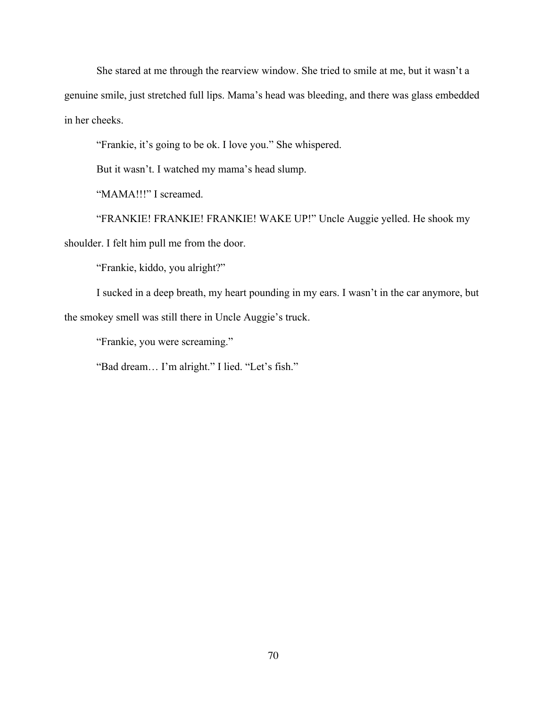She stared at me through the rearview window. She tried to smile at me, but it wasn't a genuine smile, just stretched full lips. Mama's head was bleeding, and there was glass embedded in her cheeks.

"Frankie, it's going to be ok. I love you." She whispered.

But it wasn't. I watched my mama's head slump.

"MAMA!!!" I screamed.

"FRANKIE! FRANKIE! FRANKIE! WAKE UP!" Uncle Auggie yelled. He shook my shoulder. I felt him pull me from the door.

"Frankie, kiddo, you alright?"

I sucked in a deep breath, my heart pounding in my ears. I wasn't in the car anymore, but the smokey smell was still there in Uncle Auggie's truck.

"Frankie, you were screaming."

"Bad dream… I'm alright." I lied. "Let's fish."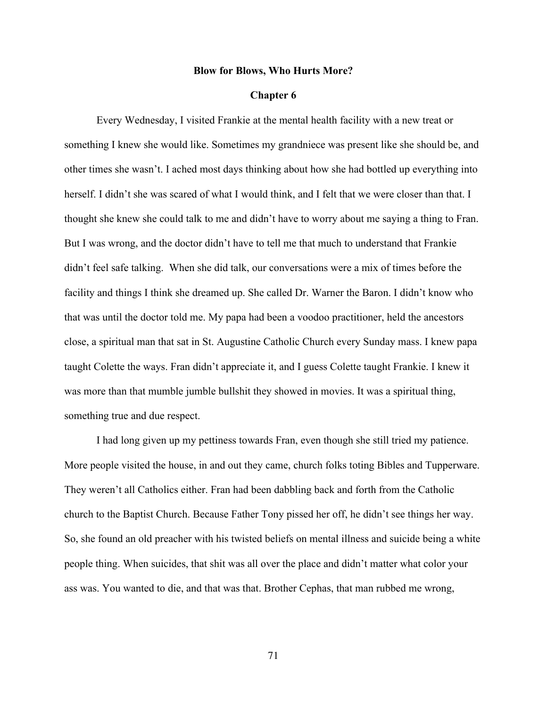# **Blow for Blows, Who Hurts More?**

# **Chapter 6**

Every Wednesday, I visited Frankie at the mental health facility with a new treat or something I knew she would like. Sometimes my grandniece was present like she should be, and other times she wasn't. I ached most days thinking about how she had bottled up everything into herself. I didn't she was scared of what I would think, and I felt that we were closer than that. I thought she knew she could talk to me and didn't have to worry about me saying a thing to Fran. But I was wrong, and the doctor didn't have to tell me that much to understand that Frankie didn't feel safe talking. When she did talk, our conversations were a mix of times before the facility and things I think she dreamed up. She called Dr. Warner the Baron. I didn't know who that was until the doctor told me. My papa had been a voodoo practitioner, held the ancestors close, a spiritual man that sat in St. Augustine Catholic Church every Sunday mass. I knew papa taught Colette the ways. Fran didn't appreciate it, and I guess Colette taught Frankie. I knew it was more than that mumble jumble bullshit they showed in movies. It was a spiritual thing, something true and due respect.

I had long given up my pettiness towards Fran, even though she still tried my patience. More people visited the house, in and out they came, church folks toting Bibles and Tupperware. They weren't all Catholics either. Fran had been dabbling back and forth from the Catholic church to the Baptist Church. Because Father Tony pissed her off, he didn't see things her way. So, she found an old preacher with his twisted beliefs on mental illness and suicide being a white people thing. When suicides, that shit was all over the place and didn't matter what color your ass was. You wanted to die, and that was that. Brother Cephas, that man rubbed me wrong,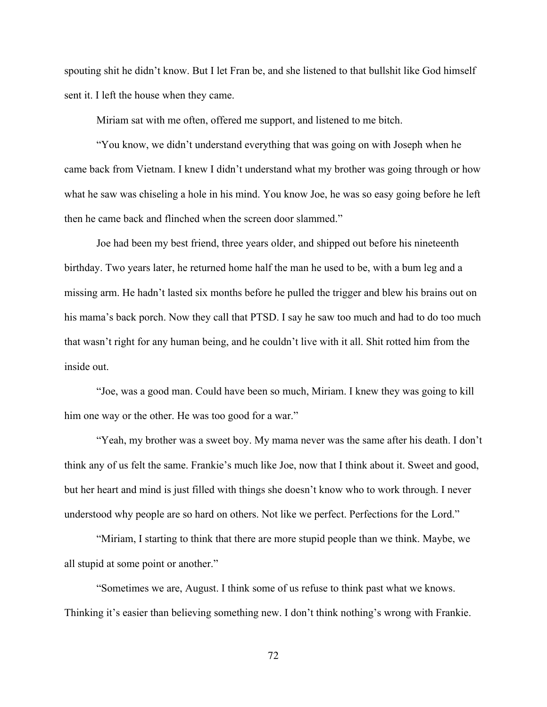spouting shit he didn't know. But I let Fran be, and she listened to that bullshit like God himself sent it. I left the house when they came.

Miriam sat with me often, offered me support, and listened to me bitch.

"You know, we didn't understand everything that was going on with Joseph when he came back from Vietnam. I knew I didn't understand what my brother was going through or how what he saw was chiseling a hole in his mind. You know Joe, he was so easy going before he left then he came back and flinched when the screen door slammed."

Joe had been my best friend, three years older, and shipped out before his nineteenth birthday. Two years later, he returned home half the man he used to be, with a bum leg and a missing arm. He hadn't lasted six months before he pulled the trigger and blew his brains out on his mama's back porch. Now they call that PTSD. I say he saw too much and had to do too much that wasn't right for any human being, and he couldn't live with it all. Shit rotted him from the inside out.

"Joe, was a good man. Could have been so much, Miriam. I knew they was going to kill him one way or the other. He was too good for a war."

"Yeah, my brother was a sweet boy. My mama never was the same after his death. I don't think any of us felt the same. Frankie's much like Joe, now that I think about it. Sweet and good, but her heart and mind is just filled with things she doesn't know who to work through. I never understood why people are so hard on others. Not like we perfect. Perfections for the Lord."

"Miriam, I starting to think that there are more stupid people than we think. Maybe, we all stupid at some point or another."

"Sometimes we are, August. I think some of us refuse to think past what we knows. Thinking it's easier than believing something new. I don't think nothing's wrong with Frankie.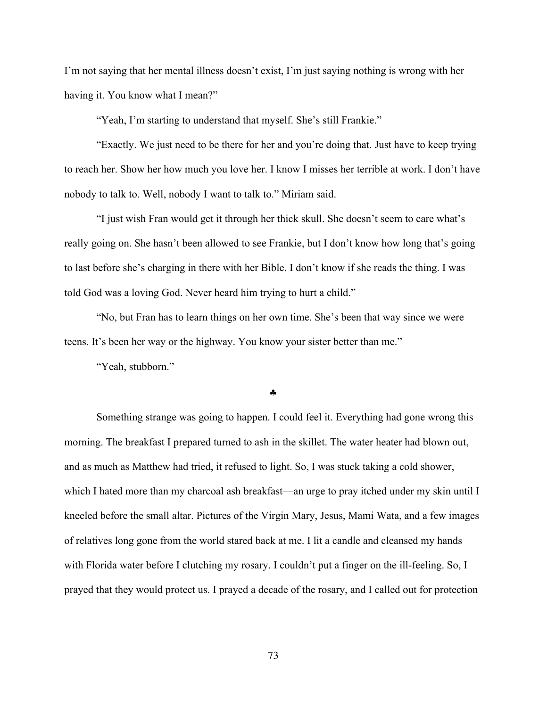I'm not saying that her mental illness doesn't exist, I'm just saying nothing is wrong with her having it. You know what I mean?"

"Yeah, I'm starting to understand that myself. She's still Frankie."

"Exactly. We just need to be there for her and you're doing that. Just have to keep trying to reach her. Show her how much you love her. I know I misses her terrible at work. I don't have nobody to talk to. Well, nobody I want to talk to." Miriam said.

"I just wish Fran would get it through her thick skull. She doesn't seem to care what's really going on. She hasn't been allowed to see Frankie, but I don't know how long that's going to last before she's charging in there with her Bible. I don't know if she reads the thing. I was told God was a loving God. Never heard him trying to hurt a child."

"No, but Fran has to learn things on her own time. She's been that way since we were teens. It's been her way or the highway. You know your sister better than me."

"Yeah, stubborn."

### §

Something strange was going to happen. I could feel it. Everything had gone wrong this morning. The breakfast I prepared turned to ash in the skillet. The water heater had blown out, and as much as Matthew had tried, it refused to light. So, I was stuck taking a cold shower, which I hated more than my charcoal ash breakfast—an urge to pray itched under my skin until I kneeled before the small altar. Pictures of the Virgin Mary, Jesus, Mami Wata, and a few images of relatives long gone from the world stared back at me. I lit a candle and cleansed my hands with Florida water before I clutching my rosary. I couldn't put a finger on the ill-feeling. So, I prayed that they would protect us. I prayed a decade of the rosary, and I called out for protection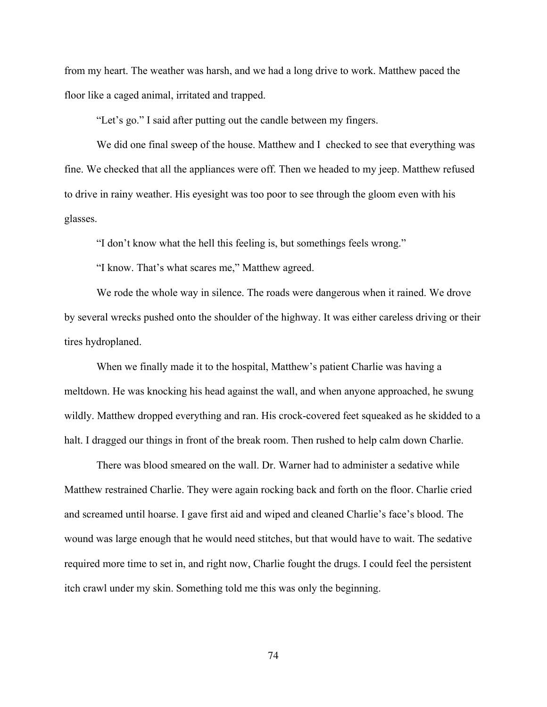from my heart. The weather was harsh, and we had a long drive to work. Matthew paced the floor like a caged animal, irritated and trapped.

"Let's go." I said after putting out the candle between my fingers.

We did one final sweep of the house. Matthew and I checked to see that everything was fine. We checked that all the appliances were off. Then we headed to my jeep. Matthew refused to drive in rainy weather. His eyesight was too poor to see through the gloom even with his glasses.

"I don't know what the hell this feeling is, but somethings feels wrong."

"I know. That's what scares me," Matthew agreed.

We rode the whole way in silence. The roads were dangerous when it rained. We drove by several wrecks pushed onto the shoulder of the highway. It was either careless driving or their tires hydroplaned.

When we finally made it to the hospital, Matthew's patient Charlie was having a meltdown. He was knocking his head against the wall, and when anyone approached, he swung wildly. Matthew dropped everything and ran. His crock-covered feet squeaked as he skidded to a halt. I dragged our things in front of the break room. Then rushed to help calm down Charlie.

There was blood smeared on the wall. Dr. Warner had to administer a sedative while Matthew restrained Charlie. They were again rocking back and forth on the floor. Charlie cried and screamed until hoarse. I gave first aid and wiped and cleaned Charlie's face's blood. The wound was large enough that he would need stitches, but that would have to wait. The sedative required more time to set in, and right now, Charlie fought the drugs. I could feel the persistent itch crawl under my skin. Something told me this was only the beginning.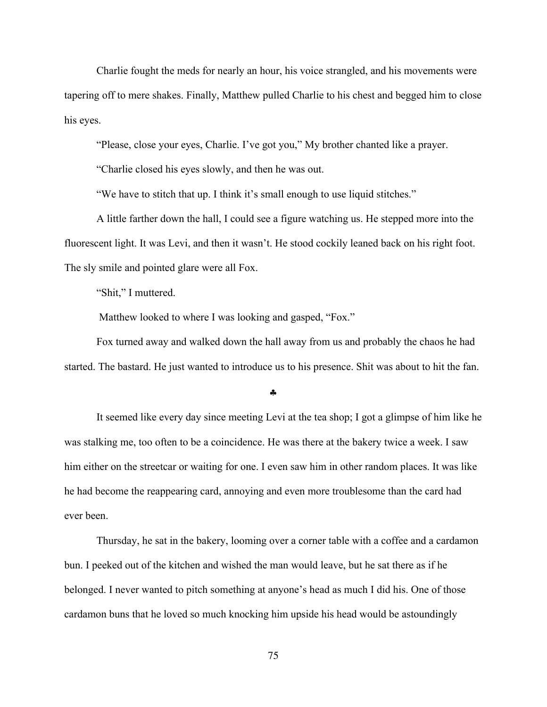Charlie fought the meds for nearly an hour, his voice strangled, and his movements were tapering off to mere shakes. Finally, Matthew pulled Charlie to his chest and begged him to close his eyes.

"Please, close your eyes, Charlie. I've got you," My brother chanted like a prayer.

"Charlie closed his eyes slowly, and then he was out.

"We have to stitch that up. I think it's small enough to use liquid stitches."

A little farther down the hall, I could see a figure watching us. He stepped more into the fluorescent light. It was Levi, and then it wasn't. He stood cockily leaned back on his right foot. The sly smile and pointed glare were all Fox.

"Shit," I muttered.

Matthew looked to where I was looking and gasped, "Fox."

Fox turned away and walked down the hall away from us and probably the chaos he had started. The bastard. He just wanted to introduce us to his presence. Shit was about to hit the fan.

### §

It seemed like every day since meeting Levi at the tea shop; I got a glimpse of him like he was stalking me, too often to be a coincidence. He was there at the bakery twice a week. I saw him either on the streetcar or waiting for one. I even saw him in other random places. It was like he had become the reappearing card, annoying and even more troublesome than the card had ever been.

Thursday, he sat in the bakery, looming over a corner table with a coffee and a cardamon bun. I peeked out of the kitchen and wished the man would leave, but he sat there as if he belonged. I never wanted to pitch something at anyone's head as much I did his. One of those cardamon buns that he loved so much knocking him upside his head would be astoundingly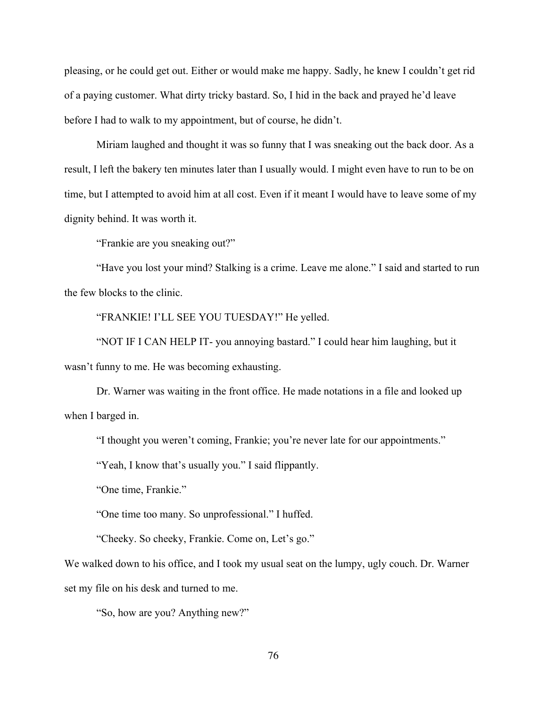pleasing, or he could get out. Either or would make me happy. Sadly, he knew I couldn't get rid of a paying customer. What dirty tricky bastard. So, I hid in the back and prayed he'd leave before I had to walk to my appointment, but of course, he didn't.

Miriam laughed and thought it was so funny that I was sneaking out the back door. As a result, I left the bakery ten minutes later than I usually would. I might even have to run to be on time, but I attempted to avoid him at all cost. Even if it meant I would have to leave some of my dignity behind. It was worth it.

"Frankie are you sneaking out?"

"Have you lost your mind? Stalking is a crime. Leave me alone." I said and started to run the few blocks to the clinic.

"FRANKIE! I'LL SEE YOU TUESDAY!" He yelled.

"NOT IF I CAN HELP IT- you annoying bastard." I could hear him laughing, but it wasn't funny to me. He was becoming exhausting.

Dr. Warner was waiting in the front office. He made notations in a file and looked up when I barged in.

"I thought you weren't coming, Frankie; you're never late for our appointments."

"Yeah, I know that's usually you." I said flippantly.

"One time, Frankie."

"One time too many. So unprofessional." I huffed.

"Cheeky. So cheeky, Frankie. Come on, Let's go."

We walked down to his office, and I took my usual seat on the lumpy, ugly couch. Dr. Warner set my file on his desk and turned to me.

"So, how are you? Anything new?"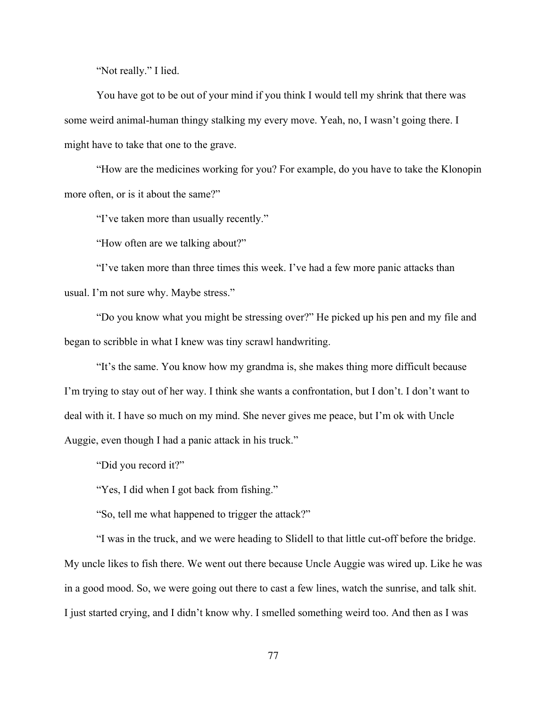"Not really." I lied.

You have got to be out of your mind if you think I would tell my shrink that there was some weird animal-human thingy stalking my every move. Yeah, no, I wasn't going there. I might have to take that one to the grave.

"How are the medicines working for you? For example, do you have to take the Klonopin more often, or is it about the same?"

"I've taken more than usually recently."

"How often are we talking about?"

"I've taken more than three times this week. I've had a few more panic attacks than usual. I'm not sure why. Maybe stress."

"Do you know what you might be stressing over?" He picked up his pen and my file and began to scribble in what I knew was tiny scrawl handwriting.

"It's the same. You know how my grandma is, she makes thing more difficult because I'm trying to stay out of her way. I think she wants a confrontation, but I don't. I don't want to deal with it. I have so much on my mind. She never gives me peace, but I'm ok with Uncle Auggie, even though I had a panic attack in his truck."

"Did you record it?"

"Yes, I did when I got back from fishing."

"So, tell me what happened to trigger the attack?"

"I was in the truck, and we were heading to Slidell to that little cut-off before the bridge. My uncle likes to fish there. We went out there because Uncle Auggie was wired up. Like he was in a good mood. So, we were going out there to cast a few lines, watch the sunrise, and talk shit. I just started crying, and I didn't know why. I smelled something weird too. And then as I was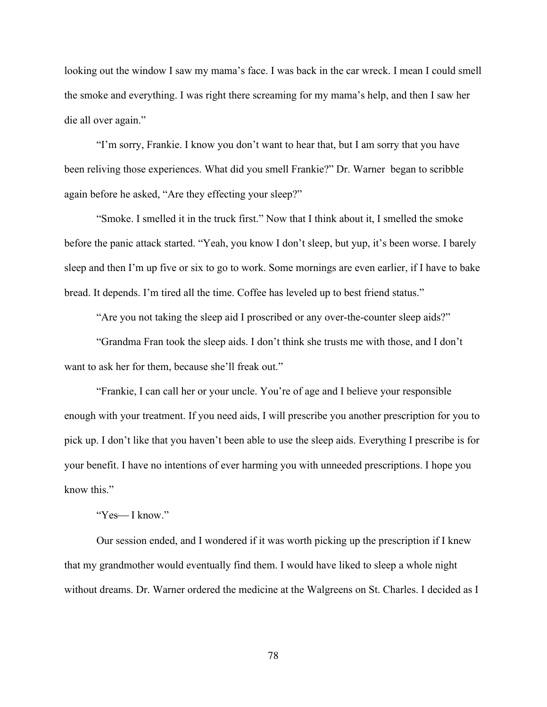looking out the window I saw my mama's face. I was back in the car wreck. I mean I could smell the smoke and everything. I was right there screaming for my mama's help, and then I saw her die all over again."

"I'm sorry, Frankie. I know you don't want to hear that, but I am sorry that you have been reliving those experiences. What did you smell Frankie?" Dr. Warner began to scribble again before he asked, "Are they effecting your sleep?"

"Smoke. I smelled it in the truck first." Now that I think about it, I smelled the smoke before the panic attack started. "Yeah, you know I don't sleep, but yup, it's been worse. I barely sleep and then I'm up five or six to go to work. Some mornings are even earlier, if I have to bake bread. It depends. I'm tired all the time. Coffee has leveled up to best friend status."

"Are you not taking the sleep aid I proscribed or any over-the-counter sleep aids?"

"Grandma Fran took the sleep aids. I don't think she trusts me with those, and I don't want to ask her for them, because she'll freak out."

"Frankie, I can call her or your uncle. You're of age and I believe your responsible enough with your treatment. If you need aids, I will prescribe you another prescription for you to pick up. I don't like that you haven't been able to use the sleep aids. Everything I prescribe is for your benefit. I have no intentions of ever harming you with unneeded prescriptions. I hope you know this."

# "Yes—I know."

Our session ended, and I wondered if it was worth picking up the prescription if I knew that my grandmother would eventually find them. I would have liked to sleep a whole night without dreams. Dr. Warner ordered the medicine at the Walgreens on St. Charles. I decided as I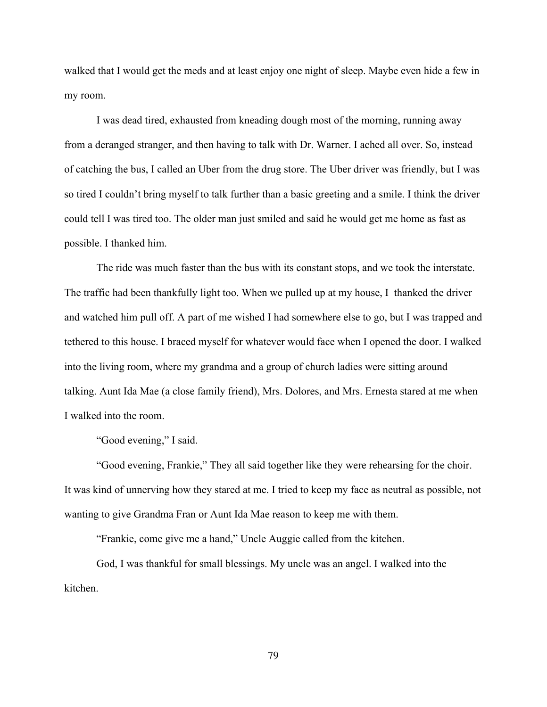walked that I would get the meds and at least enjoy one night of sleep. Maybe even hide a few in my room.

I was dead tired, exhausted from kneading dough most of the morning, running away from a deranged stranger, and then having to talk with Dr. Warner. I ached all over. So, instead of catching the bus, I called an Uber from the drug store. The Uber driver was friendly, but I was so tired I couldn't bring myself to talk further than a basic greeting and a smile. I think the driver could tell I was tired too. The older man just smiled and said he would get me home as fast as possible. I thanked him.

The ride was much faster than the bus with its constant stops, and we took the interstate. The traffic had been thankfully light too. When we pulled up at my house, I thanked the driver and watched him pull off. A part of me wished I had somewhere else to go, but I was trapped and tethered to this house. I braced myself for whatever would face when I opened the door. I walked into the living room, where my grandma and a group of church ladies were sitting around talking. Aunt Ida Mae (a close family friend), Mrs. Dolores, and Mrs. Ernesta stared at me when I walked into the room.

"Good evening," I said.

"Good evening, Frankie," They all said together like they were rehearsing for the choir. It was kind of unnerving how they stared at me. I tried to keep my face as neutral as possible, not wanting to give Grandma Fran or Aunt Ida Mae reason to keep me with them.

"Frankie, come give me a hand," Uncle Auggie called from the kitchen.

God, I was thankful for small blessings. My uncle was an angel. I walked into the kitchen.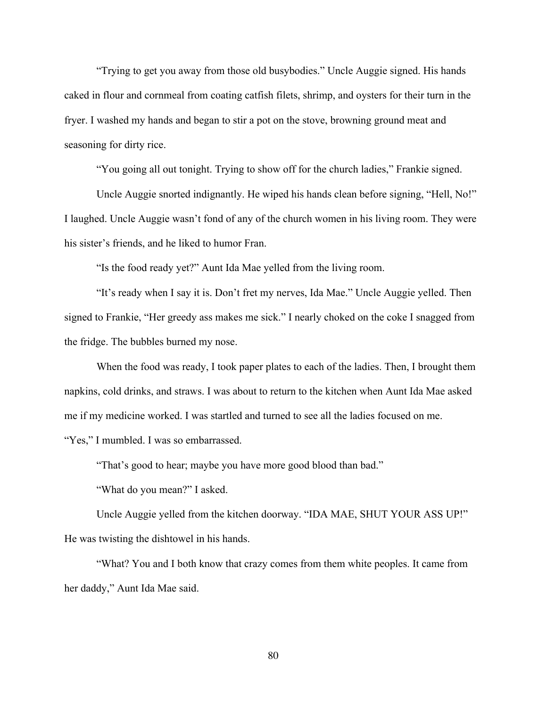"Trying to get you away from those old busybodies." Uncle Auggie signed. His hands caked in flour and cornmeal from coating catfish filets, shrimp, and oysters for their turn in the fryer. I washed my hands and began to stir a pot on the stove, browning ground meat and seasoning for dirty rice.

"You going all out tonight. Trying to show off for the church ladies," Frankie signed.

Uncle Auggie snorted indignantly. He wiped his hands clean before signing, "Hell, No!" I laughed. Uncle Auggie wasn't fond of any of the church women in his living room. They were his sister's friends, and he liked to humor Fran.

"Is the food ready yet?" Aunt Ida Mae yelled from the living room.

"It's ready when I say it is. Don't fret my nerves, Ida Mae." Uncle Auggie yelled. Then signed to Frankie, "Her greedy ass makes me sick." I nearly choked on the coke I snagged from the fridge. The bubbles burned my nose.

When the food was ready, I took paper plates to each of the ladies. Then, I brought them napkins, cold drinks, and straws. I was about to return to the kitchen when Aunt Ida Mae asked me if my medicine worked. I was startled and turned to see all the ladies focused on me. "Yes," I mumbled. I was so embarrassed.

"That's good to hear; maybe you have more good blood than bad."

"What do you mean?" I asked.

Uncle Auggie yelled from the kitchen doorway. "IDA MAE, SHUT YOUR ASS UP!" He was twisting the dishtowel in his hands.

"What? You and I both know that crazy comes from them white peoples. It came from her daddy," Aunt Ida Mae said.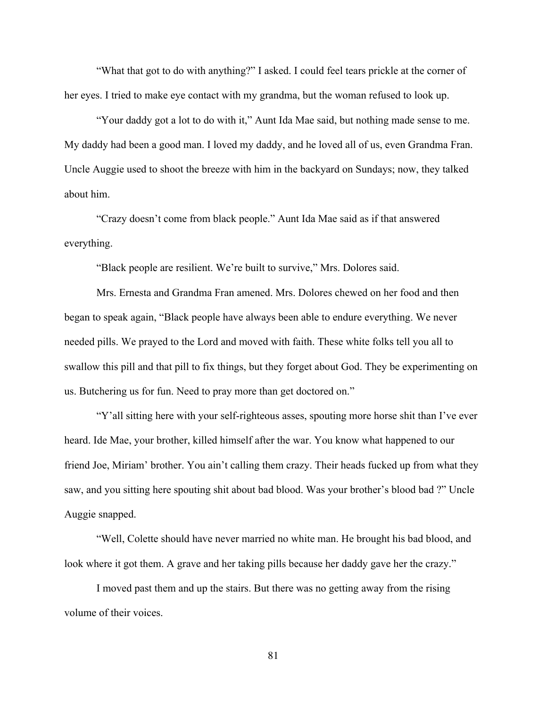"What that got to do with anything?" I asked. I could feel tears prickle at the corner of her eyes. I tried to make eye contact with my grandma, but the woman refused to look up.

"Your daddy got a lot to do with it," Aunt Ida Mae said, but nothing made sense to me. My daddy had been a good man. I loved my daddy, and he loved all of us, even Grandma Fran. Uncle Auggie used to shoot the breeze with him in the backyard on Sundays; now, they talked about him.

"Crazy doesn't come from black people." Aunt Ida Mae said as if that answered everything.

"Black people are resilient. We're built to survive," Mrs. Dolores said.

Mrs. Ernesta and Grandma Fran amened. Mrs. Dolores chewed on her food and then began to speak again, "Black people have always been able to endure everything. We never needed pills. We prayed to the Lord and moved with faith. These white folks tell you all to swallow this pill and that pill to fix things, but they forget about God. They be experimenting on us. Butchering us for fun. Need to pray more than get doctored on."

"Y'all sitting here with your self-righteous asses, spouting more horse shit than I've ever heard. Ide Mae, your brother, killed himself after the war. You know what happened to our friend Joe, Miriam' brother. You ain't calling them crazy. Their heads fucked up from what they saw, and you sitting here spouting shit about bad blood. Was your brother's blood bad ?" Uncle Auggie snapped.

"Well, Colette should have never married no white man. He brought his bad blood, and look where it got them. A grave and her taking pills because her daddy gave her the crazy."

I moved past them and up the stairs. But there was no getting away from the rising volume of their voices.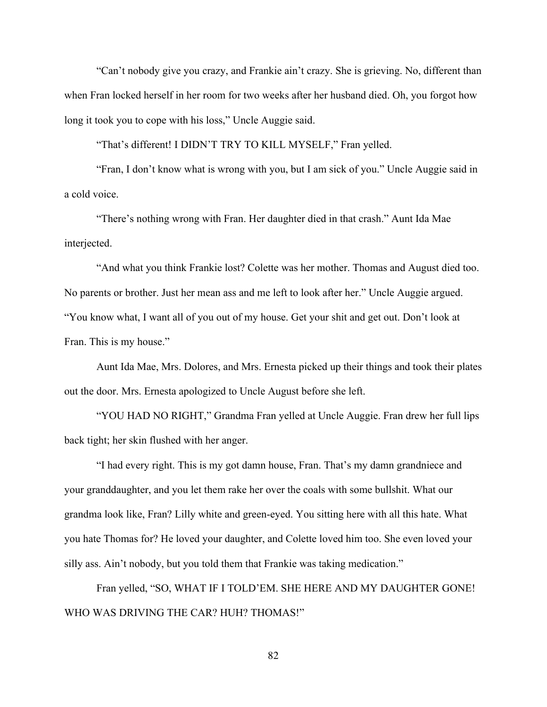"Can't nobody give you crazy, and Frankie ain't crazy. She is grieving. No, different than when Fran locked herself in her room for two weeks after her husband died. Oh, you forgot how long it took you to cope with his loss," Uncle Auggie said.

"That's different! I DIDN'T TRY TO KILL MYSELF," Fran yelled.

"Fran, I don't know what is wrong with you, but I am sick of you." Uncle Auggie said in a cold voice.

"There's nothing wrong with Fran. Her daughter died in that crash." Aunt Ida Mae interjected.

"And what you think Frankie lost? Colette was her mother. Thomas and August died too. No parents or brother. Just her mean ass and me left to look after her." Uncle Auggie argued. "You know what, I want all of you out of my house. Get your shit and get out. Don't look at Fran. This is my house."

Aunt Ida Mae, Mrs. Dolores, and Mrs. Ernesta picked up their things and took their plates out the door. Mrs. Ernesta apologized to Uncle August before she left.

"YOU HAD NO RIGHT," Grandma Fran yelled at Uncle Auggie. Fran drew her full lips back tight; her skin flushed with her anger.

"I had every right. This is my got damn house, Fran. That's my damn grandniece and your granddaughter, and you let them rake her over the coals with some bullshit. What our grandma look like, Fran? Lilly white and green-eyed. You sitting here with all this hate. What you hate Thomas for? He loved your daughter, and Colette loved him too. She even loved your silly ass. Ain't nobody, but you told them that Frankie was taking medication."

Fran yelled, "SO, WHAT IF I TOLD'EM. SHE HERE AND MY DAUGHTER GONE! WHO WAS DRIVING THE CAR? HUH? THOMAS!"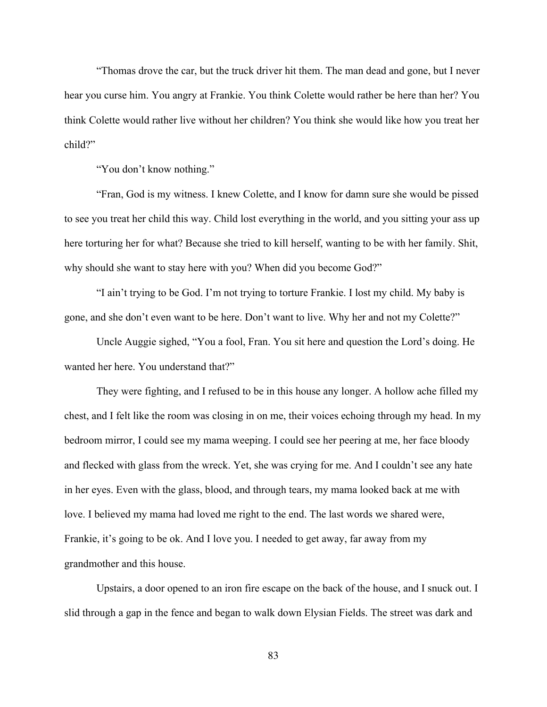"Thomas drove the car, but the truck driver hit them. The man dead and gone, but I never hear you curse him. You angry at Frankie. You think Colette would rather be here than her? You think Colette would rather live without her children? You think she would like how you treat her child?"

"You don't know nothing."

"Fran, God is my witness. I knew Colette, and I know for damn sure she would be pissed to see you treat her child this way. Child lost everything in the world, and you sitting your ass up here torturing her for what? Because she tried to kill herself, wanting to be with her family. Shit, why should she want to stay here with you? When did you become God?"

"I ain't trying to be God. I'm not trying to torture Frankie. I lost my child. My baby is gone, and she don't even want to be here. Don't want to live. Why her and not my Colette?"

Uncle Auggie sighed, "You a fool, Fran. You sit here and question the Lord's doing. He wanted her here. You understand that?"

They were fighting, and I refused to be in this house any longer. A hollow ache filled my chest, and I felt like the room was closing in on me, their voices echoing through my head. In my bedroom mirror, I could see my mama weeping. I could see her peering at me, her face bloody and flecked with glass from the wreck. Yet, she was crying for me. And I couldn't see any hate in her eyes. Even with the glass, blood, and through tears, my mama looked back at me with love. I believed my mama had loved me right to the end. The last words we shared were, Frankie, it's going to be ok. And I love you. I needed to get away, far away from my grandmother and this house.

Upstairs, a door opened to an iron fire escape on the back of the house, and I snuck out. I slid through a gap in the fence and began to walk down Elysian Fields. The street was dark and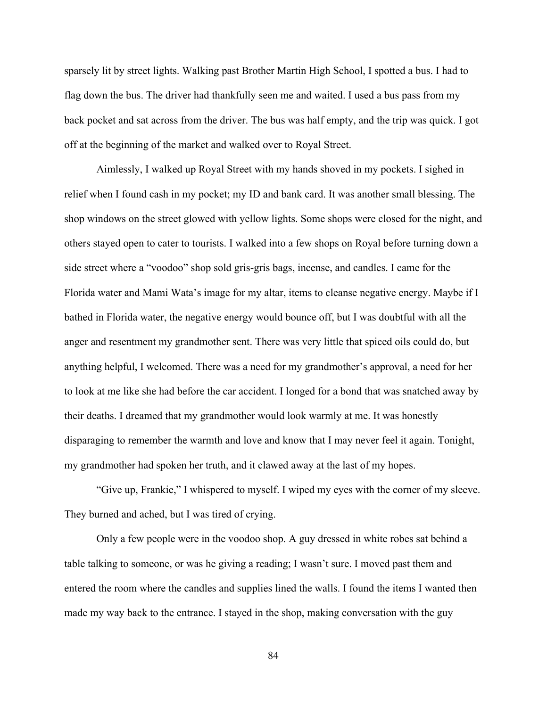sparsely lit by street lights. Walking past Brother Martin High School, I spotted a bus. I had to flag down the bus. The driver had thankfully seen me and waited. I used a bus pass from my back pocket and sat across from the driver. The bus was half empty, and the trip was quick. I got off at the beginning of the market and walked over to Royal Street.

Aimlessly, I walked up Royal Street with my hands shoved in my pockets. I sighed in relief when I found cash in my pocket; my ID and bank card. It was another small blessing. The shop windows on the street glowed with yellow lights. Some shops were closed for the night, and others stayed open to cater to tourists. I walked into a few shops on Royal before turning down a side street where a "voodoo" shop sold gris-gris bags, incense, and candles. I came for the Florida water and Mami Wata's image for my altar, items to cleanse negative energy. Maybe if I bathed in Florida water, the negative energy would bounce off, but I was doubtful with all the anger and resentment my grandmother sent. There was very little that spiced oils could do, but anything helpful, I welcomed. There was a need for my grandmother's approval, a need for her to look at me like she had before the car accident. I longed for a bond that was snatched away by their deaths. I dreamed that my grandmother would look warmly at me. It was honestly disparaging to remember the warmth and love and know that I may never feel it again. Tonight, my grandmother had spoken her truth, and it clawed away at the last of my hopes.

"Give up, Frankie," I whispered to myself. I wiped my eyes with the corner of my sleeve. They burned and ached, but I was tired of crying.

Only a few people were in the voodoo shop. A guy dressed in white robes sat behind a table talking to someone, or was he giving a reading; I wasn't sure. I moved past them and entered the room where the candles and supplies lined the walls. I found the items I wanted then made my way back to the entrance. I stayed in the shop, making conversation with the guy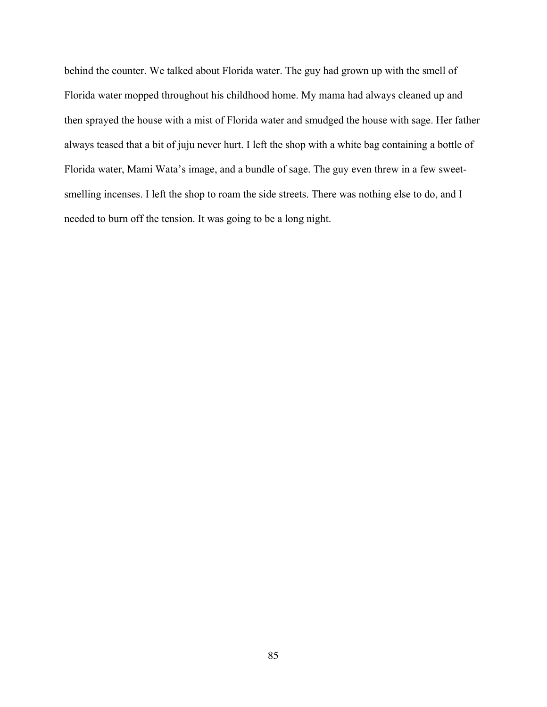behind the counter. We talked about Florida water. The guy had grown up with the smell of Florida water mopped throughout his childhood home. My mama had always cleaned up and then sprayed the house with a mist of Florida water and smudged the house with sage. Her father always teased that a bit of juju never hurt. I left the shop with a white bag containing a bottle of Florida water, Mami Wata's image, and a bundle of sage. The guy even threw in a few sweetsmelling incenses. I left the shop to roam the side streets. There was nothing else to do, and I needed to burn off the tension. It was going to be a long night.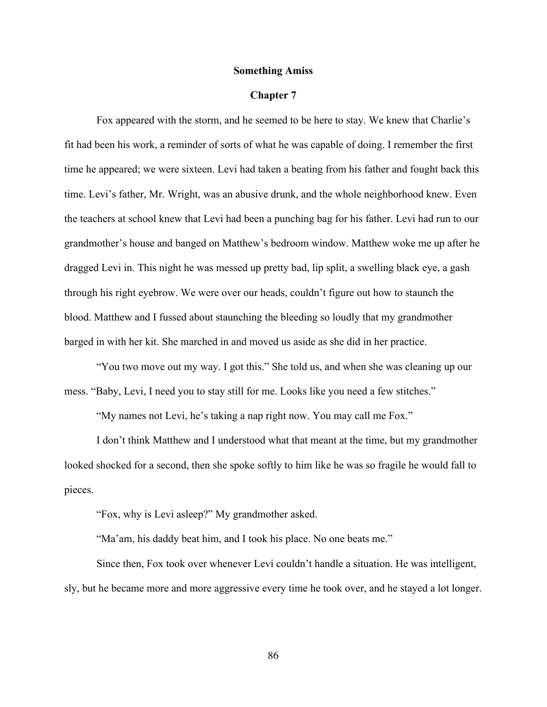# **Something Amiss**

### **Chapter 7**

Fox appeared with the storm, and he seemed to be here to stay. We knew that Charlie's fit had been his work, a reminder of sorts of what he was capable of doing. I remember the first time he appeared; we were sixteen. Levi had taken a beating from his father and fought back this time. Levi's father, Mr. Wright, was an abusive drunk, and the whole neighborhood knew. Even the teachers at school knew that Levi had been a punching bag for his father. Levi had run to our grandmother's house and banged on Matthew's bedroom window. Matthew woke me up after he dragged Levi in. This night he was messed up pretty bad, lip split, a swelling black eye, a gash through his right eyebrow. We were over our heads, couldn't figure out how to staunch the blood. Matthew and I fussed about staunching the bleeding so loudly that my grandmother barged in with her kit. She marched in and moved us aside as she did in her practice.

"You two move out my way. I got this." She told us, and when she was cleaning up our mess. "Baby, Levi, I need you to stay still for me. Looks like you need a few stitches."

"My names not Levi, he's taking a nap right now. You may call me Fox."

I don't think Matthew and I understood what that meant at the time, but my grandmother looked shocked for a second, then she spoke softly to him like he was so fragile he would fall to pieces.

"Fox, why is Levi asleep?" My grandmother asked.

"Ma'am, his daddy beat him, and I took his place. No one beats me."

Since then, Fox took over whenever Levi couldn't handle a situation. He was intelligent, sly, but he became more and more aggressive every time he took over, and he stayed a lot longer.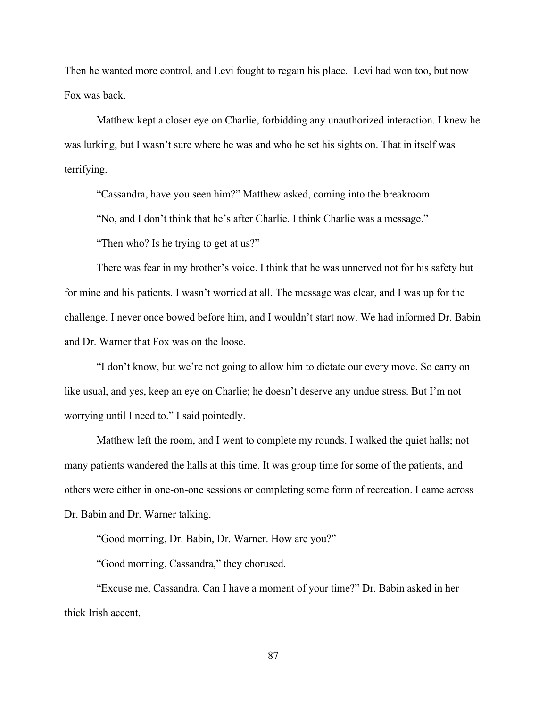Then he wanted more control, and Levi fought to regain his place. Levi had won too, but now Fox was back.

Matthew kept a closer eye on Charlie, forbidding any unauthorized interaction. I knew he was lurking, but I wasn't sure where he was and who he set his sights on. That in itself was terrifying.

"Cassandra, have you seen him?" Matthew asked, coming into the breakroom.

"No, and I don't think that he's after Charlie. I think Charlie was a message."

"Then who? Is he trying to get at us?"

There was fear in my brother's voice. I think that he was unnerved not for his safety but for mine and his patients. I wasn't worried at all. The message was clear, and I was up for the challenge. I never once bowed before him, and I wouldn't start now. We had informed Dr. Babin and Dr. Warner that Fox was on the loose.

"I don't know, but we're not going to allow him to dictate our every move. So carry on like usual, and yes, keep an eye on Charlie; he doesn't deserve any undue stress. But I'm not worrying until I need to." I said pointedly.

Matthew left the room, and I went to complete my rounds. I walked the quiet halls; not many patients wandered the halls at this time. It was group time for some of the patients, and others were either in one-on-one sessions or completing some form of recreation. I came across Dr. Babin and Dr. Warner talking.

"Good morning, Dr. Babin, Dr. Warner. How are you?"

"Good morning, Cassandra," they chorused.

"Excuse me, Cassandra. Can I have a moment of your time?" Dr. Babin asked in her thick Irish accent.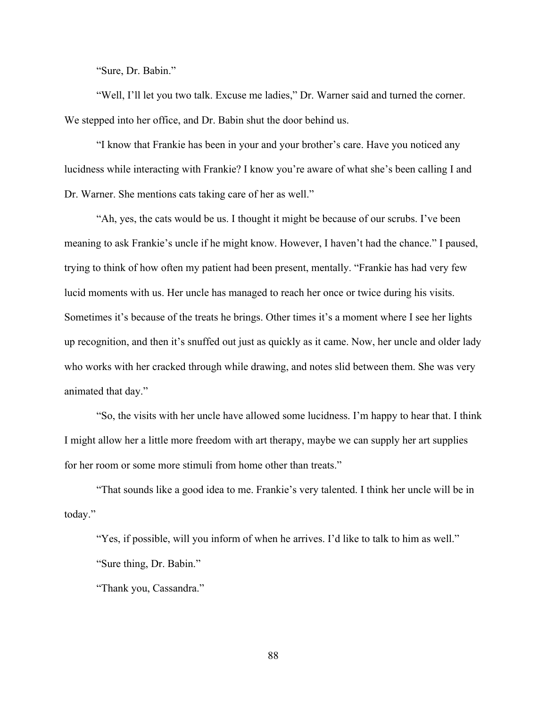"Sure, Dr. Babin."

 "Well, I'll let you two talk. Excuse me ladies," Dr. Warner said and turned the corner. We stepped into her office, and Dr. Babin shut the door behind us.

"I know that Frankie has been in your and your brother's care. Have you noticed any lucidness while interacting with Frankie? I know you're aware of what she's been calling I and Dr. Warner. She mentions cats taking care of her as well."

"Ah, yes, the cats would be us. I thought it might be because of our scrubs. I've been meaning to ask Frankie's uncle if he might know. However, I haven't had the chance." I paused, trying to think of how often my patient had been present, mentally. "Frankie has had very few lucid moments with us. Her uncle has managed to reach her once or twice during his visits. Sometimes it's because of the treats he brings. Other times it's a moment where I see her lights up recognition, and then it's snuffed out just as quickly as it came. Now, her uncle and older lady who works with her cracked through while drawing, and notes slid between them. She was very animated that day."

"So, the visits with her uncle have allowed some lucidness. I'm happy to hear that. I think I might allow her a little more freedom with art therapy, maybe we can supply her art supplies for her room or some more stimuli from home other than treats."

"That sounds like a good idea to me. Frankie's very talented. I think her uncle will be in today."

"Yes, if possible, will you inform of when he arrives. I'd like to talk to him as well." "Sure thing, Dr. Babin."

"Thank you, Cassandra."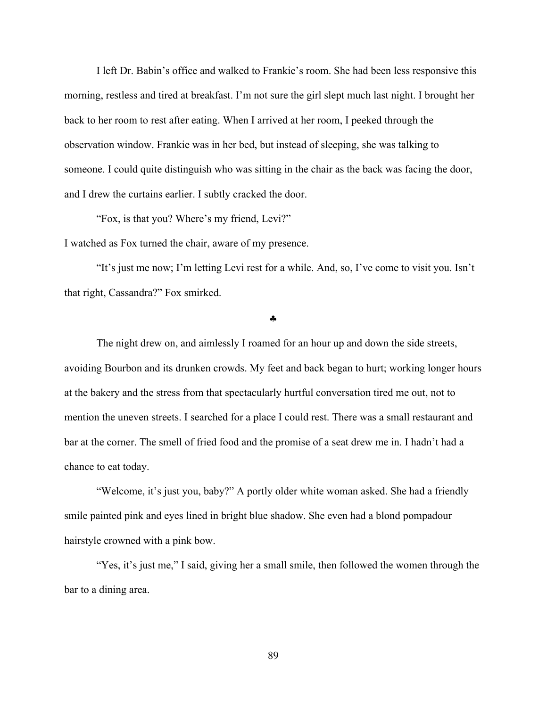I left Dr. Babin's office and walked to Frankie's room. She had been less responsive this morning, restless and tired at breakfast. I'm not sure the girl slept much last night. I brought her back to her room to rest after eating. When I arrived at her room, I peeked through the observation window. Frankie was in her bed, but instead of sleeping, she was talking to someone. I could quite distinguish who was sitting in the chair as the back was facing the door, and I drew the curtains earlier. I subtly cracked the door.

"Fox, is that you? Where's my friend, Levi?"

I watched as Fox turned the chair, aware of my presence.

"It's just me now; I'm letting Levi rest for a while. And, so, I've come to visit you. Isn't that right, Cassandra?" Fox smirked.

§

The night drew on, and aimlessly I roamed for an hour up and down the side streets, avoiding Bourbon and its drunken crowds. My feet and back began to hurt; working longer hours at the bakery and the stress from that spectacularly hurtful conversation tired me out, not to mention the uneven streets. I searched for a place I could rest. There was a small restaurant and bar at the corner. The smell of fried food and the promise of a seat drew me in. I hadn't had a chance to eat today.

"Welcome, it's just you, baby?" A portly older white woman asked. She had a friendly smile painted pink and eyes lined in bright blue shadow. She even had a blond pompadour hairstyle crowned with a pink bow.

"Yes, it's just me," I said, giving her a small smile, then followed the women through the bar to a dining area.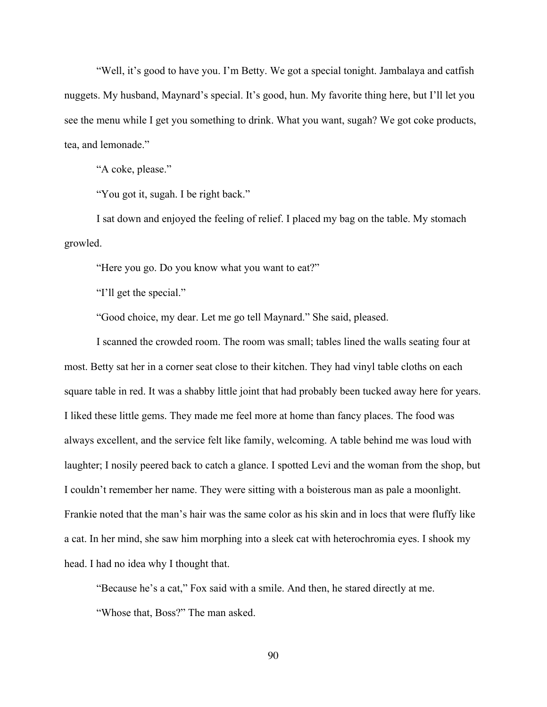"Well, it's good to have you. I'm Betty. We got a special tonight. Jambalaya and catfish nuggets. My husband, Maynard's special. It's good, hun. My favorite thing here, but I'll let you see the menu while I get you something to drink. What you want, sugah? We got coke products, tea, and lemonade."

"A coke, please."

"You got it, sugah. I be right back."

I sat down and enjoyed the feeling of relief. I placed my bag on the table. My stomach growled.

"Here you go. Do you know what you want to eat?"

"I'll get the special."

"Good choice, my dear. Let me go tell Maynard." She said, pleased.

I scanned the crowded room. The room was small; tables lined the walls seating four at most. Betty sat her in a corner seat close to their kitchen. They had vinyl table cloths on each square table in red. It was a shabby little joint that had probably been tucked away here for years. I liked these little gems. They made me feel more at home than fancy places. The food was always excellent, and the service felt like family, welcoming. A table behind me was loud with laughter; I nosily peered back to catch a glance. I spotted Levi and the woman from the shop, but I couldn't remember her name. They were sitting with a boisterous man as pale a moonlight. Frankie noted that the man's hair was the same color as his skin and in locs that were fluffy like a cat. In her mind, she saw him morphing into a sleek cat with heterochromia eyes. I shook my head. I had no idea why I thought that.

"Because he's a cat," Fox said with a smile. And then, he stared directly at me. "Whose that, Boss?" The man asked.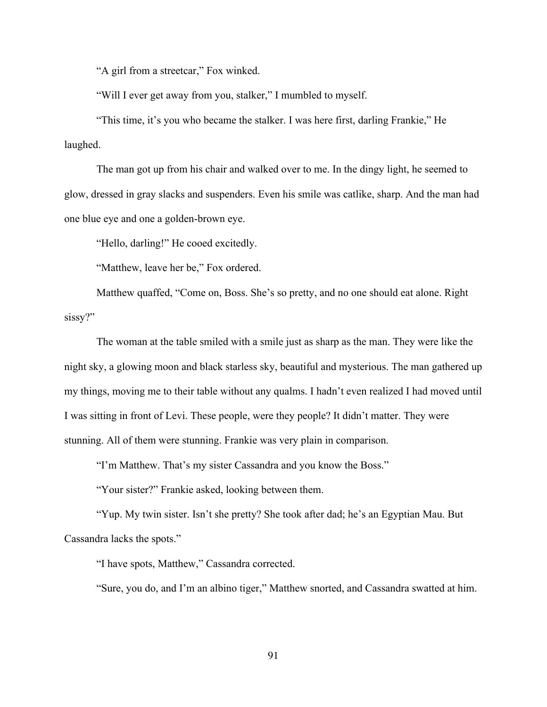"A girl from a streetcar," Fox winked.

"Will I ever get away from you, stalker," I mumbled to myself.

"This time, it's you who became the stalker. I was here first, darling Frankie," He laughed.

The man got up from his chair and walked over to me. In the dingy light, he seemed to glow, dressed in gray slacks and suspenders. Even his smile was catlike, sharp. And the man had one blue eye and one a golden-brown eye.

"Hello, darling!" He cooed excitedly.

"Matthew, leave her be," Fox ordered.

Matthew quaffed, "Come on, Boss. She's so pretty, and no one should eat alone. Right sissy?"

The woman at the table smiled with a smile just as sharp as the man. They were like the night sky, a glowing moon and black starless sky, beautiful and mysterious. The man gathered up my things, moving me to their table without any qualms. I hadn't even realized I had moved until I was sitting in front of Levi. These people, were they people? It didn't matter. They were stunning. All of them were stunning. Frankie was very plain in comparison.

"I'm Matthew. That's my sister Cassandra and you know the Boss."

"Your sister?" Frankie asked, looking between them.

"Yup. My twin sister. Isn't she pretty? She took after dad; he's an Egyptian Mau. But Cassandra lacks the spots."

"I have spots, Matthew," Cassandra corrected.

"Sure, you do, and I'm an albino tiger," Matthew snorted, and Cassandra swatted at him.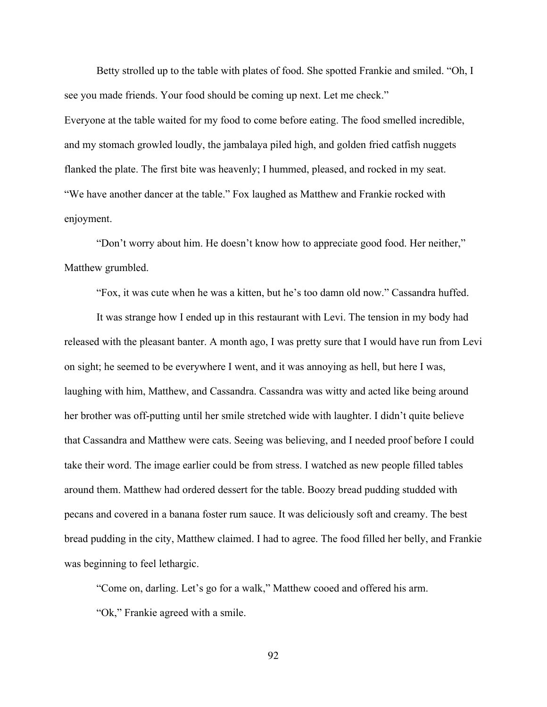Betty strolled up to the table with plates of food. She spotted Frankie and smiled. "Oh, I see you made friends. Your food should be coming up next. Let me check." Everyone at the table waited for my food to come before eating. The food smelled incredible, and my stomach growled loudly, the jambalaya piled high, and golden fried catfish nuggets

"We have another dancer at the table." Fox laughed as Matthew and Frankie rocked with enjoyment.

flanked the plate. The first bite was heavenly; I hummed, pleased, and rocked in my seat.

"Don't worry about him. He doesn't know how to appreciate good food. Her neither," Matthew grumbled.

"Fox, it was cute when he was a kitten, but he's too damn old now." Cassandra huffed.

It was strange how I ended up in this restaurant with Levi. The tension in my body had released with the pleasant banter. A month ago, I was pretty sure that I would have run from Levi on sight; he seemed to be everywhere I went, and it was annoying as hell, but here I was, laughing with him, Matthew, and Cassandra. Cassandra was witty and acted like being around her brother was off-putting until her smile stretched wide with laughter. I didn't quite believe that Cassandra and Matthew were cats. Seeing was believing, and I needed proof before I could take their word. The image earlier could be from stress. I watched as new people filled tables around them. Matthew had ordered dessert for the table. Boozy bread pudding studded with pecans and covered in a banana foster rum sauce. It was deliciously soft and creamy. The best bread pudding in the city, Matthew claimed. I had to agree. The food filled her belly, and Frankie was beginning to feel lethargic.

"Come on, darling. Let's go for a walk," Matthew cooed and offered his arm. "Ok," Frankie agreed with a smile.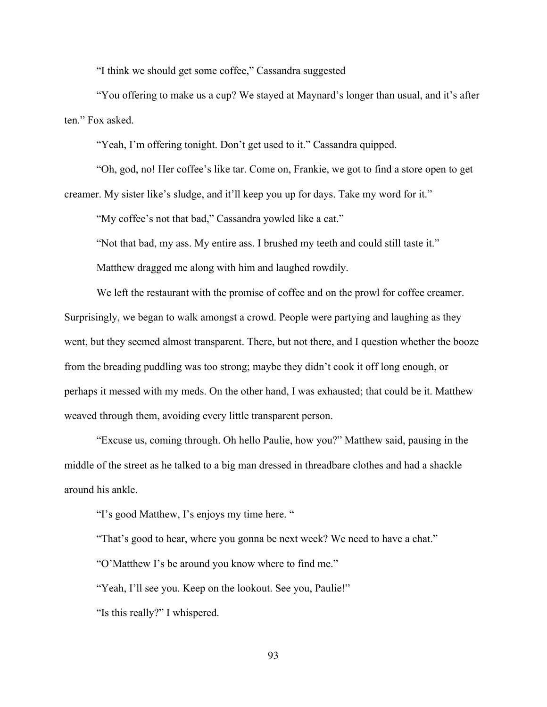"I think we should get some coffee," Cassandra suggested

"You offering to make us a cup? We stayed at Maynard's longer than usual, and it's after ten." Fox asked.

"Yeah, I'm offering tonight. Don't get used to it." Cassandra quipped.

"Oh, god, no! Her coffee's like tar. Come on, Frankie, we got to find a store open to get creamer. My sister like's sludge, and it'll keep you up for days. Take my word for it."

"My coffee's not that bad," Cassandra yowled like a cat."

"Not that bad, my ass. My entire ass. I brushed my teeth and could still taste it." Matthew dragged me along with him and laughed rowdily.

We left the restaurant with the promise of coffee and on the prowl for coffee creamer. Surprisingly, we began to walk amongst a crowd. People were partying and laughing as they went, but they seemed almost transparent. There, but not there, and I question whether the booze from the breading puddling was too strong; maybe they didn't cook it off long enough, or perhaps it messed with my meds. On the other hand, I was exhausted; that could be it. Matthew weaved through them, avoiding every little transparent person.

"Excuse us, coming through. Oh hello Paulie, how you?" Matthew said, pausing in the middle of the street as he talked to a big man dressed in threadbare clothes and had a shackle around his ankle.

"I's good Matthew, I's enjoys my time here. "

"That's good to hear, where you gonna be next week? We need to have a chat."

"O'Matthew I's be around you know where to find me."

"Yeah, I'll see you. Keep on the lookout. See you, Paulie!"

"Is this really?" I whispered.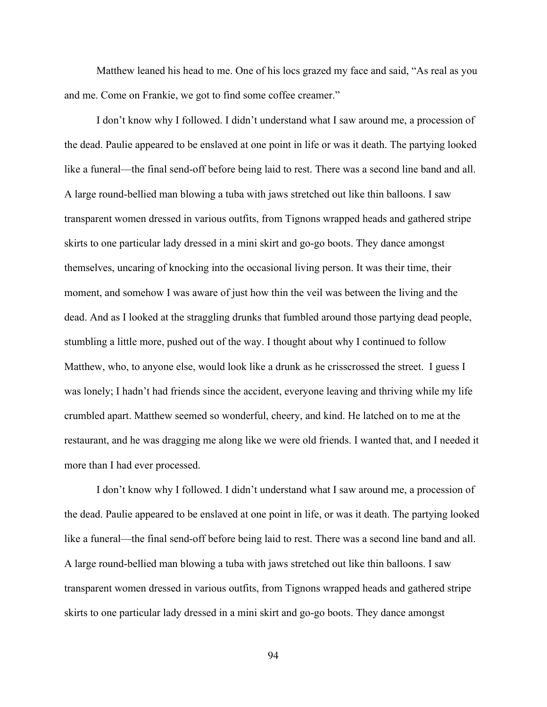Matthew leaned his head to me. One of his locs grazed my face and said, "As real as you and me. Come on Frankie, we got to find some coffee creamer."

I don't know why I followed. I didn't understand what I saw around me, a procession of the dead. Paulie appeared to be enslaved at one point in life or was it death. The partying looked like a funeral—the final send-off before being laid to rest. There was a second line band and all. A large round-bellied man blowing a tuba with jaws stretched out like thin balloons. I saw transparent women dressed in various outfits, from Tignons wrapped heads and gathered stripe skirts to one particular lady dressed in a mini skirt and go-go boots. They dance amongst themselves, uncaring of knocking into the occasional living person. It was their time, their moment, and somehow I was aware of just how thin the veil was between the living and the dead. And as I looked at the straggling drunks that fumbled around those partying dead people, stumbling a little more, pushed out of the way. I thought about why I continued to follow Matthew, who, to anyone else, would look like a drunk as he crisscrossed the street. I guess I was lonely; I hadn't had friends since the accident, everyone leaving and thriving while my life crumbled apart. Matthew seemed so wonderful, cheery, and kind. He latched on to me at the restaurant, and he was dragging me along like we were old friends. I wanted that, and I needed it more than I had ever processed.

I don't know why I followed. I didn't understand what I saw around me, a procession of the dead. Paulie appeared to be enslaved at one point in life, or was it death. The partying looked like a funeral—the final send-off before being laid to rest. There was a second line band and all. A large round-bellied man blowing a tuba with jaws stretched out like thin balloons. I saw transparent women dressed in various outfits, from Tignons wrapped heads and gathered stripe skirts to one particular lady dressed in a mini skirt and go-go boots. They dance amongst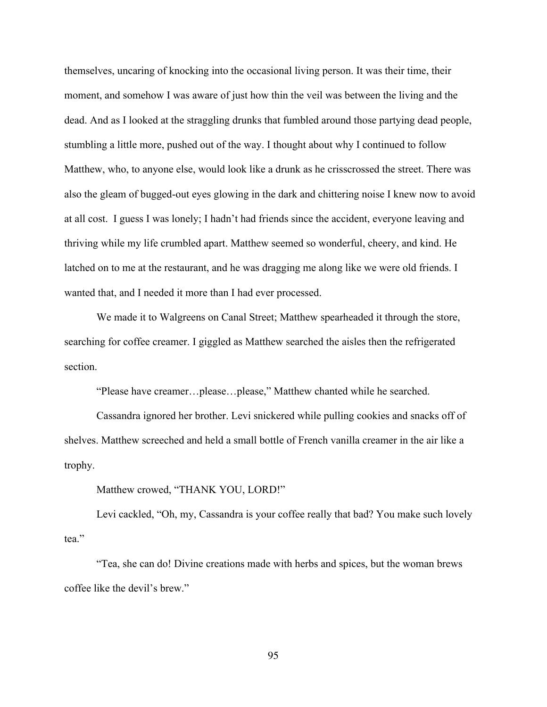themselves, uncaring of knocking into the occasional living person. It was their time, their moment, and somehow I was aware of just how thin the veil was between the living and the dead. And as I looked at the straggling drunks that fumbled around those partying dead people, stumbling a little more, pushed out of the way. I thought about why I continued to follow Matthew, who, to anyone else, would look like a drunk as he crisscrossed the street. There was also the gleam of bugged-out eyes glowing in the dark and chittering noise I knew now to avoid at all cost. I guess I was lonely; I hadn't had friends since the accident, everyone leaving and thriving while my life crumbled apart. Matthew seemed so wonderful, cheery, and kind. He latched on to me at the restaurant, and he was dragging me along like we were old friends. I wanted that, and I needed it more than I had ever processed.

We made it to Walgreens on Canal Street; Matthew spearheaded it through the store, searching for coffee creamer. I giggled as Matthew searched the aisles then the refrigerated section.

"Please have creamer…please…please," Matthew chanted while he searched.

Cassandra ignored her brother. Levi snickered while pulling cookies and snacks off of shelves. Matthew screeched and held a small bottle of French vanilla creamer in the air like a trophy.

Matthew crowed, "THANK YOU, LORD!"

Levi cackled, "Oh, my, Cassandra is your coffee really that bad? You make such lovely tea."

"Tea, she can do! Divine creations made with herbs and spices, but the woman brews coffee like the devil's brew."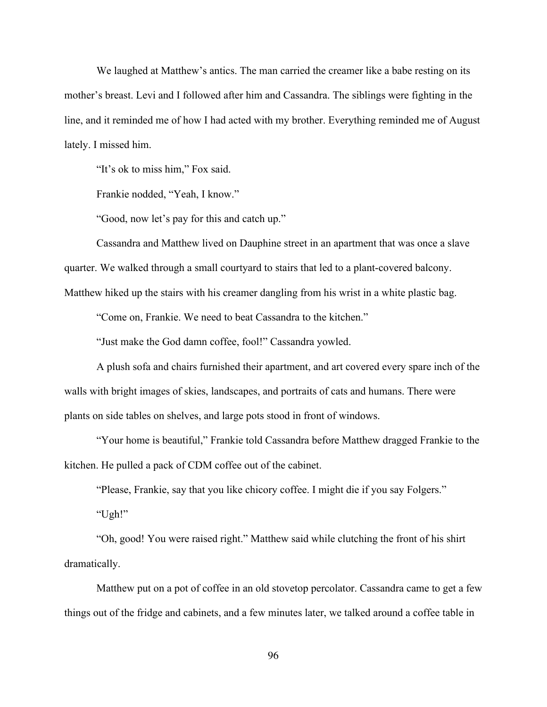We laughed at Matthew's antics. The man carried the creamer like a babe resting on its mother's breast. Levi and I followed after him and Cassandra. The siblings were fighting in the line, and it reminded me of how I had acted with my brother. Everything reminded me of August lately. I missed him.

"It's ok to miss him," Fox said.

Frankie nodded, "Yeah, I know."

"Good, now let's pay for this and catch up."

Cassandra and Matthew lived on Dauphine street in an apartment that was once a slave quarter. We walked through a small courtyard to stairs that led to a plant-covered balcony. Matthew hiked up the stairs with his creamer dangling from his wrist in a white plastic bag.

"Come on, Frankie. We need to beat Cassandra to the kitchen."

"Just make the God damn coffee, fool!" Cassandra yowled.

A plush sofa and chairs furnished their apartment, and art covered every spare inch of the walls with bright images of skies, landscapes, and portraits of cats and humans. There were plants on side tables on shelves, and large pots stood in front of windows.

"Your home is beautiful," Frankie told Cassandra before Matthew dragged Frankie to the kitchen. He pulled a pack of CDM coffee out of the cabinet.

"Please, Frankie, say that you like chicory coffee. I might die if you say Folgers."

"Ugh!"

"Oh, good! You were raised right." Matthew said while clutching the front of his shirt dramatically.

Matthew put on a pot of coffee in an old stovetop percolator. Cassandra came to get a few things out of the fridge and cabinets, and a few minutes later, we talked around a coffee table in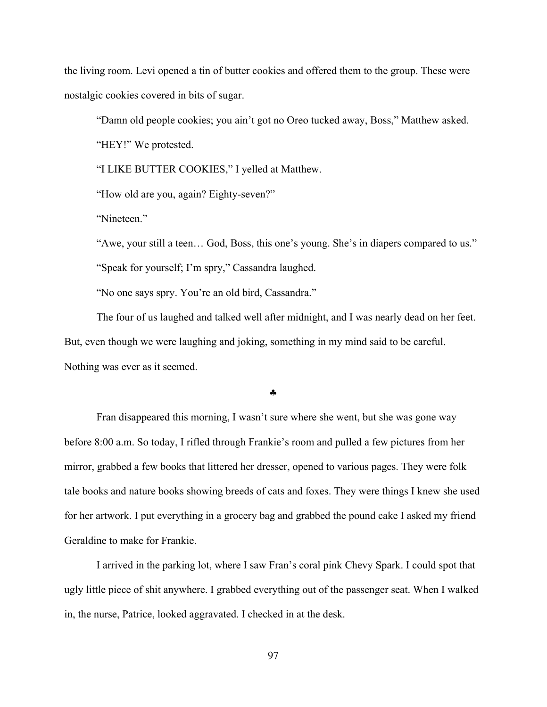the living room. Levi opened a tin of butter cookies and offered them to the group. These were nostalgic cookies covered in bits of sugar.

"Damn old people cookies; you ain't got no Oreo tucked away, Boss," Matthew asked.

"HEY!" We protested.

"I LIKE BUTTER COOKIES," I yelled at Matthew.

"How old are you, again? Eighty-seven?"

"Nineteen."

"Awe, your still a teen… God, Boss, this one's young. She's in diapers compared to us."

"Speak for yourself; I'm spry," Cassandra laughed.

"No one says spry. You're an old bird, Cassandra."

The four of us laughed and talked well after midnight, and I was nearly dead on her feet. But, even though we were laughing and joking, something in my mind said to be careful. Nothing was ever as it seemed.

## §

Fran disappeared this morning, I wasn't sure where she went, but she was gone way before 8:00 a.m. So today, I rifled through Frankie's room and pulled a few pictures from her mirror, grabbed a few books that littered her dresser, opened to various pages. They were folk tale books and nature books showing breeds of cats and foxes. They were things I knew she used for her artwork. I put everything in a grocery bag and grabbed the pound cake I asked my friend Geraldine to make for Frankie.

I arrived in the parking lot, where I saw Fran's coral pink Chevy Spark. I could spot that ugly little piece of shit anywhere. I grabbed everything out of the passenger seat. When I walked in, the nurse, Patrice, looked aggravated. I checked in at the desk.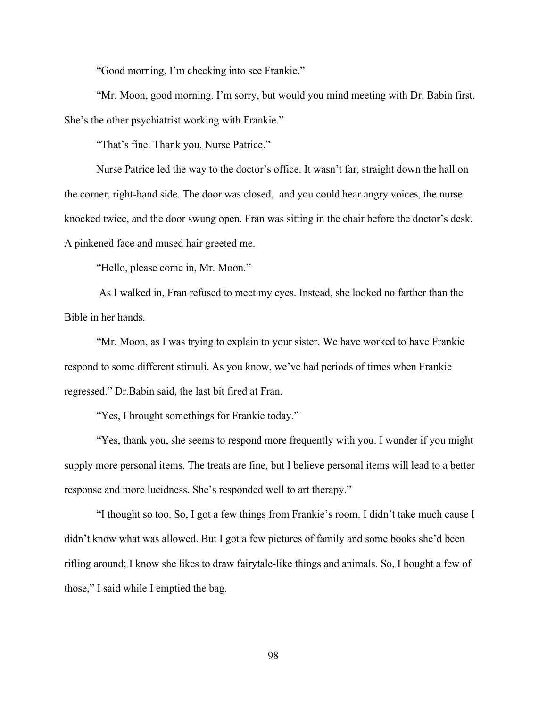"Good morning, I'm checking into see Frankie."

"Mr. Moon, good morning. I'm sorry, but would you mind meeting with Dr. Babin first. She's the other psychiatrist working with Frankie."

"That's fine. Thank you, Nurse Patrice."

Nurse Patrice led the way to the doctor's office. It wasn't far, straight down the hall on the corner, right-hand side. The door was closed, and you could hear angry voices, the nurse knocked twice, and the door swung open. Fran was sitting in the chair before the doctor's desk. A pinkened face and mused hair greeted me.

"Hello, please come in, Mr. Moon."

As I walked in, Fran refused to meet my eyes. Instead, she looked no farther than the Bible in her hands.

"Mr. Moon, as I was trying to explain to your sister. We have worked to have Frankie respond to some different stimuli. As you know, we've had periods of times when Frankie regressed." Dr.Babin said, the last bit fired at Fran.

"Yes, I brought somethings for Frankie today."

"Yes, thank you, she seems to respond more frequently with you. I wonder if you might supply more personal items. The treats are fine, but I believe personal items will lead to a better response and more lucidness. She's responded well to art therapy."

"I thought so too. So, I got a few things from Frankie's room. I didn't take much cause I didn't know what was allowed. But I got a few pictures of family and some books she'd been rifling around; I know she likes to draw fairytale-like things and animals. So, I bought a few of those," I said while I emptied the bag.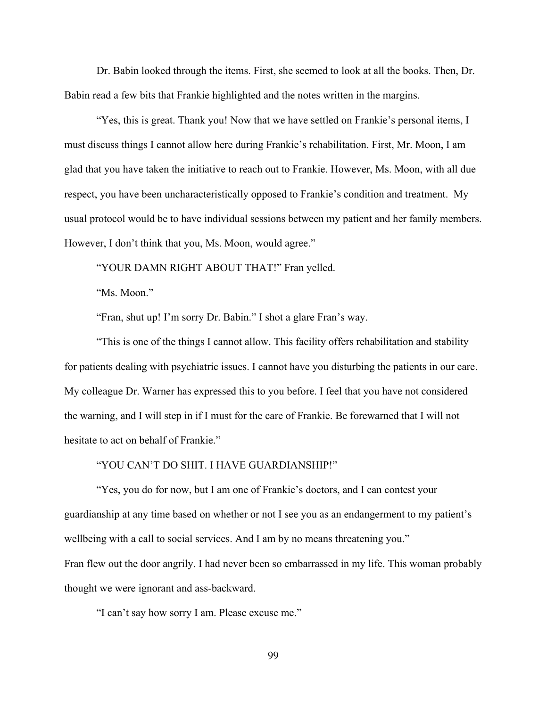Dr. Babin looked through the items. First, she seemed to look at all the books. Then, Dr. Babin read a few bits that Frankie highlighted and the notes written in the margins.

"Yes, this is great. Thank you! Now that we have settled on Frankie's personal items, I must discuss things I cannot allow here during Frankie's rehabilitation. First, Mr. Moon, I am glad that you have taken the initiative to reach out to Frankie. However, Ms. Moon, with all due respect, you have been uncharacteristically opposed to Frankie's condition and treatment. My usual protocol would be to have individual sessions between my patient and her family members. However, I don't think that you, Ms. Moon, would agree."

"YOUR DAMN RIGHT ABOUT THAT!" Fran yelled.

"Ms. Moon."

"Fran, shut up! I'm sorry Dr. Babin." I shot a glare Fran's way.

"This is one of the things I cannot allow. This facility offers rehabilitation and stability for patients dealing with psychiatric issues. I cannot have you disturbing the patients in our care. My colleague Dr. Warner has expressed this to you before. I feel that you have not considered the warning, and I will step in if I must for the care of Frankie. Be forewarned that I will not hesitate to act on behalf of Frankie."

#### "YOU CAN'T DO SHIT. I HAVE GUARDIANSHIP!"

"Yes, you do for now, but I am one of Frankie's doctors, and I can contest your guardianship at any time based on whether or not I see you as an endangerment to my patient's wellbeing with a call to social services. And I am by no means threatening you." Fran flew out the door angrily. I had never been so embarrassed in my life. This woman probably thought we were ignorant and ass-backward.

"I can't say how sorry I am. Please excuse me."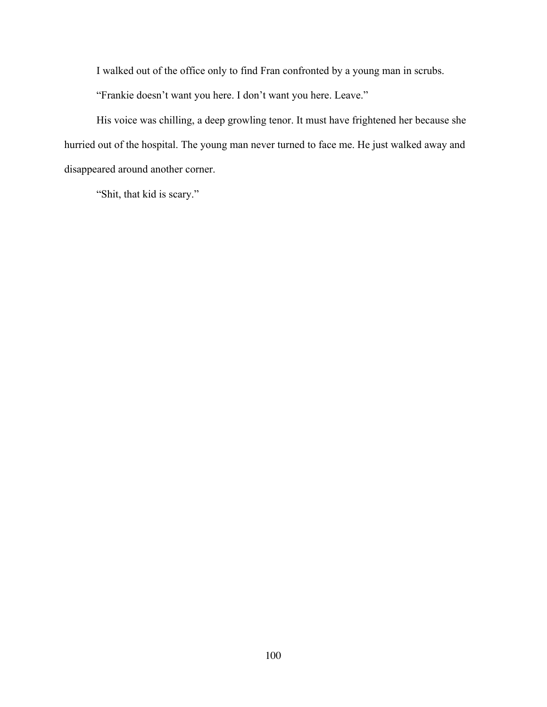I walked out of the office only to find Fran confronted by a young man in scrubs.

"Frankie doesn't want you here. I don't want you here. Leave."

His voice was chilling, a deep growling tenor. It must have frightened her because she hurried out of the hospital. The young man never turned to face me. He just walked away and disappeared around another corner.

"Shit, that kid is scary."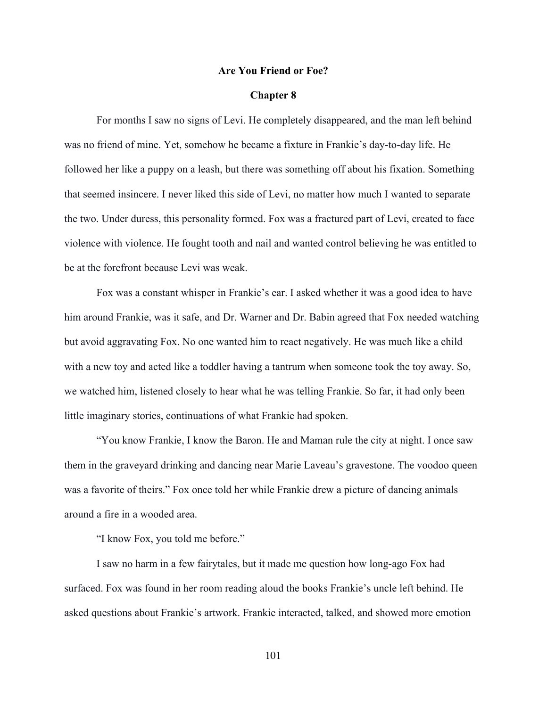### **Are You Friend or Foe?**

### **Chapter 8**

For months I saw no signs of Levi. He completely disappeared, and the man left behind was no friend of mine. Yet, somehow he became a fixture in Frankie's day-to-day life. He followed her like a puppy on a leash, but there was something off about his fixation. Something that seemed insincere. I never liked this side of Levi, no matter how much I wanted to separate the two. Under duress, this personality formed. Fox was a fractured part of Levi, created to face violence with violence. He fought tooth and nail and wanted control believing he was entitled to be at the forefront because Levi was weak.

Fox was a constant whisper in Frankie's ear. I asked whether it was a good idea to have him around Frankie, was it safe, and Dr. Warner and Dr. Babin agreed that Fox needed watching but avoid aggravating Fox. No one wanted him to react negatively. He was much like a child with a new toy and acted like a toddler having a tantrum when someone took the toy away. So, we watched him, listened closely to hear what he was telling Frankie. So far, it had only been little imaginary stories, continuations of what Frankie had spoken.

"You know Frankie, I know the Baron. He and Maman rule the city at night. I once saw them in the graveyard drinking and dancing near Marie Laveau's gravestone. The voodoo queen was a favorite of theirs." Fox once told her while Frankie drew a picture of dancing animals around a fire in a wooded area.

"I know Fox, you told me before."

I saw no harm in a few fairytales, but it made me question how long-ago Fox had surfaced. Fox was found in her room reading aloud the books Frankie's uncle left behind. He asked questions about Frankie's artwork. Frankie interacted, talked, and showed more emotion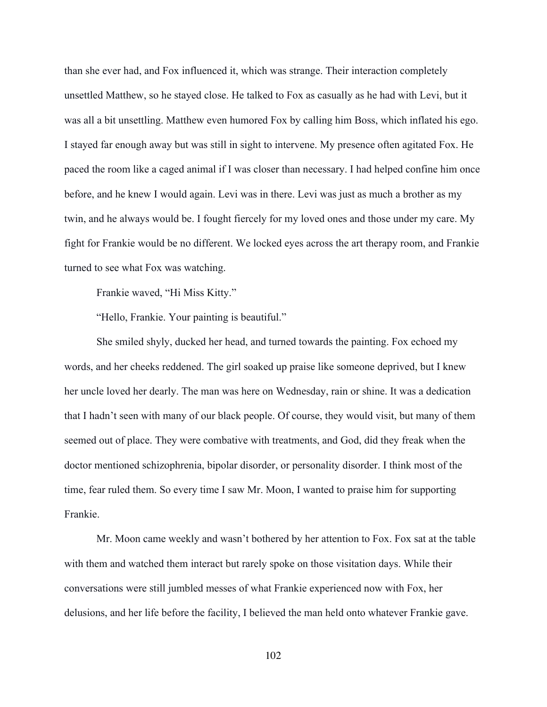than she ever had, and Fox influenced it, which was strange. Their interaction completely unsettled Matthew, so he stayed close. He talked to Fox as casually as he had with Levi, but it was all a bit unsettling. Matthew even humored Fox by calling him Boss, which inflated his ego. I stayed far enough away but was still in sight to intervene. My presence often agitated Fox. He paced the room like a caged animal if I was closer than necessary. I had helped confine him once before, and he knew I would again. Levi was in there. Levi was just as much a brother as my twin, and he always would be. I fought fiercely for my loved ones and those under my care. My fight for Frankie would be no different. We locked eyes across the art therapy room, and Frankie turned to see what Fox was watching.

Frankie waved, "Hi Miss Kitty."

"Hello, Frankie. Your painting is beautiful."

She smiled shyly, ducked her head, and turned towards the painting. Fox echoed my words, and her cheeks reddened. The girl soaked up praise like someone deprived, but I knew her uncle loved her dearly. The man was here on Wednesday, rain or shine. It was a dedication that I hadn't seen with many of our black people. Of course, they would visit, but many of them seemed out of place. They were combative with treatments, and God, did they freak when the doctor mentioned schizophrenia, bipolar disorder, or personality disorder. I think most of the time, fear ruled them. So every time I saw Mr. Moon, I wanted to praise him for supporting Frankie.

Mr. Moon came weekly and wasn't bothered by her attention to Fox. Fox sat at the table with them and watched them interact but rarely spoke on those visitation days. While their conversations were still jumbled messes of what Frankie experienced now with Fox, her delusions, and her life before the facility, I believed the man held onto whatever Frankie gave.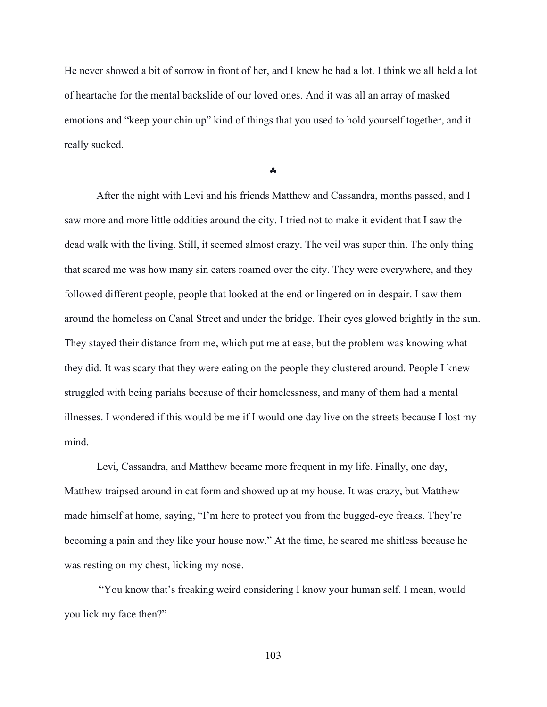He never showed a bit of sorrow in front of her, and I knew he had a lot. I think we all held a lot of heartache for the mental backslide of our loved ones. And it was all an array of masked emotions and "keep your chin up" kind of things that you used to hold yourself together, and it really sucked.

§

After the night with Levi and his friends Matthew and Cassandra, months passed, and I saw more and more little oddities around the city. I tried not to make it evident that I saw the dead walk with the living. Still, it seemed almost crazy. The veil was super thin. The only thing that scared me was how many sin eaters roamed over the city. They were everywhere, and they followed different people, people that looked at the end or lingered on in despair. I saw them around the homeless on Canal Street and under the bridge. Their eyes glowed brightly in the sun. They stayed their distance from me, which put me at ease, but the problem was knowing what they did. It was scary that they were eating on the people they clustered around. People I knew struggled with being pariahs because of their homelessness, and many of them had a mental illnesses. I wondered if this would be me if I would one day live on the streets because I lost my mind.

Levi, Cassandra, and Matthew became more frequent in my life. Finally, one day, Matthew traipsed around in cat form and showed up at my house. It was crazy, but Matthew made himself at home, saying, "I'm here to protect you from the bugged-eye freaks. They're becoming a pain and they like your house now." At the time, he scared me shitless because he was resting on my chest, licking my nose.

"You know that's freaking weird considering I know your human self. I mean, would you lick my face then?"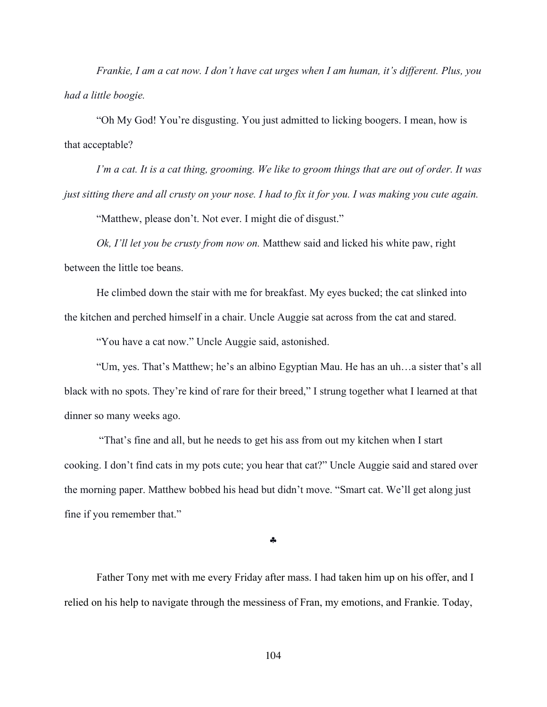*Frankie, I am a cat now. I don't have cat urges when I am human, it's different. Plus, you had a little boogie.*

"Oh My God! You're disgusting. You just admitted to licking boogers. I mean, how is that acceptable?

*I'm a cat. It is a cat thing, grooming. We like to groom things that are out of order. It was just sitting there and all crusty on your nose. I had to fix it for you. I was making you cute again.*

"Matthew, please don't. Not ever. I might die of disgust."

*Ok, I'll let you be crusty from now on.* Matthew said and licked his white paw, right between the little toe beans.

He climbed down the stair with me for breakfast. My eyes bucked; the cat slinked into the kitchen and perched himself in a chair. Uncle Auggie sat across from the cat and stared.

"You have a cat now." Uncle Auggie said, astonished.

"Um, yes. That's Matthew; he's an albino Egyptian Mau. He has an uh…a sister that's all black with no spots. They're kind of rare for their breed," I strung together what I learned at that dinner so many weeks ago.

 "That's fine and all, but he needs to get his ass from out my kitchen when I start cooking. I don't find cats in my pots cute; you hear that cat?" Uncle Auggie said and stared over the morning paper. Matthew bobbed his head but didn't move. "Smart cat. We'll get along just fine if you remember that."

§

Father Tony met with me every Friday after mass. I had taken him up on his offer, and I relied on his help to navigate through the messiness of Fran, my emotions, and Frankie. Today,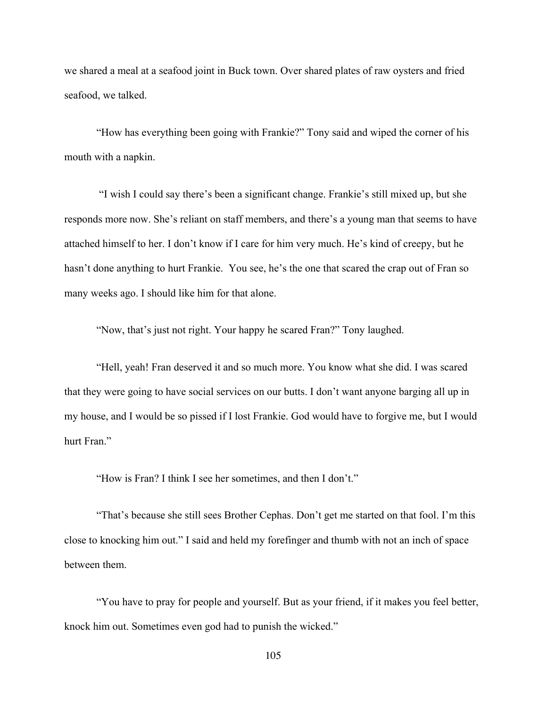we shared a meal at a seafood joint in Buck town. Over shared plates of raw oysters and fried seafood, we talked.

"How has everything been going with Frankie?" Tony said and wiped the corner of his mouth with a napkin.

"I wish I could say there's been a significant change. Frankie's still mixed up, but she responds more now. She's reliant on staff members, and there's a young man that seems to have attached himself to her. I don't know if I care for him very much. He's kind of creepy, but he hasn't done anything to hurt Frankie. You see, he's the one that scared the crap out of Fran so many weeks ago. I should like him for that alone.

"Now, that's just not right. Your happy he scared Fran?" Tony laughed.

"Hell, yeah! Fran deserved it and so much more. You know what she did. I was scared that they were going to have social services on our butts. I don't want anyone barging all up in my house, and I would be so pissed if I lost Frankie. God would have to forgive me, but I would hurt Fran."

"How is Fran? I think I see her sometimes, and then I don't."

"That's because she still sees Brother Cephas. Don't get me started on that fool. I'm this close to knocking him out." I said and held my forefinger and thumb with not an inch of space between them.

"You have to pray for people and yourself. But as your friend, if it makes you feel better, knock him out. Sometimes even god had to punish the wicked."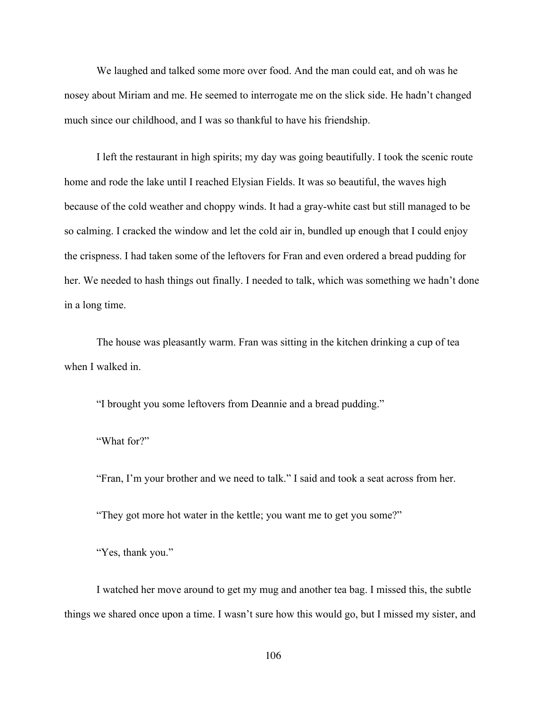We laughed and talked some more over food. And the man could eat, and oh was he nosey about Miriam and me. He seemed to interrogate me on the slick side. He hadn't changed much since our childhood, and I was so thankful to have his friendship.

I left the restaurant in high spirits; my day was going beautifully. I took the scenic route home and rode the lake until I reached Elysian Fields. It was so beautiful, the waves high because of the cold weather and choppy winds. It had a gray-white cast but still managed to be so calming. I cracked the window and let the cold air in, bundled up enough that I could enjoy the crispness. I had taken some of the leftovers for Fran and even ordered a bread pudding for her. We needed to hash things out finally. I needed to talk, which was something we hadn't done in a long time.

The house was pleasantly warm. Fran was sitting in the kitchen drinking a cup of tea when I walked in.

"I brought you some leftovers from Deannie and a bread pudding."

"What for?"

"Fran, I'm your brother and we need to talk." I said and took a seat across from her.

"They got more hot water in the kettle; you want me to get you some?"

"Yes, thank you."

I watched her move around to get my mug and another tea bag. I missed this, the subtle things we shared once upon a time. I wasn't sure how this would go, but I missed my sister, and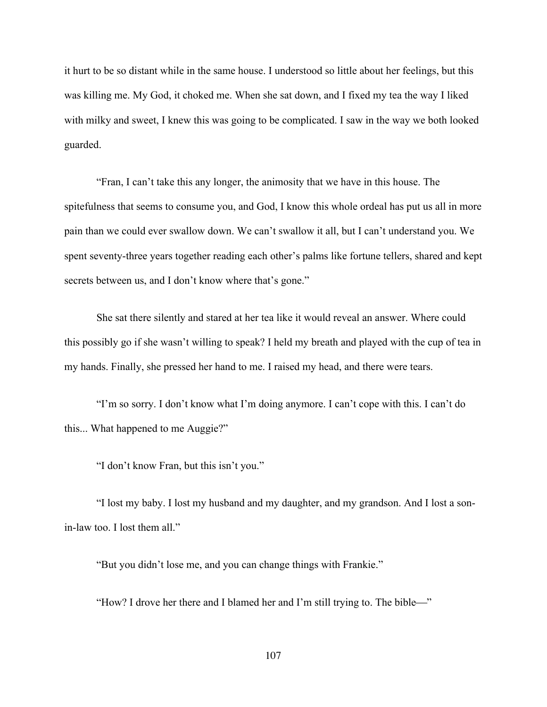it hurt to be so distant while in the same house. I understood so little about her feelings, but this was killing me. My God, it choked me. When she sat down, and I fixed my tea the way I liked with milky and sweet, I knew this was going to be complicated. I saw in the way we both looked guarded.

"Fran, I can't take this any longer, the animosity that we have in this house. The spitefulness that seems to consume you, and God, I know this whole ordeal has put us all in more pain than we could ever swallow down. We can't swallow it all, but I can't understand you. We spent seventy-three years together reading each other's palms like fortune tellers, shared and kept secrets between us, and I don't know where that's gone."

She sat there silently and stared at her tea like it would reveal an answer. Where could this possibly go if she wasn't willing to speak? I held my breath and played with the cup of tea in my hands. Finally, she pressed her hand to me. I raised my head, and there were tears.

"I'm so sorry. I don't know what I'm doing anymore. I can't cope with this. I can't do this... What happened to me Auggie?"

"I don't know Fran, but this isn't you."

"I lost my baby. I lost my husband and my daughter, and my grandson. And I lost a sonin-law too. I lost them all."

"But you didn't lose me, and you can change things with Frankie."

"How? I drove her there and I blamed her and I'm still trying to. The bible—"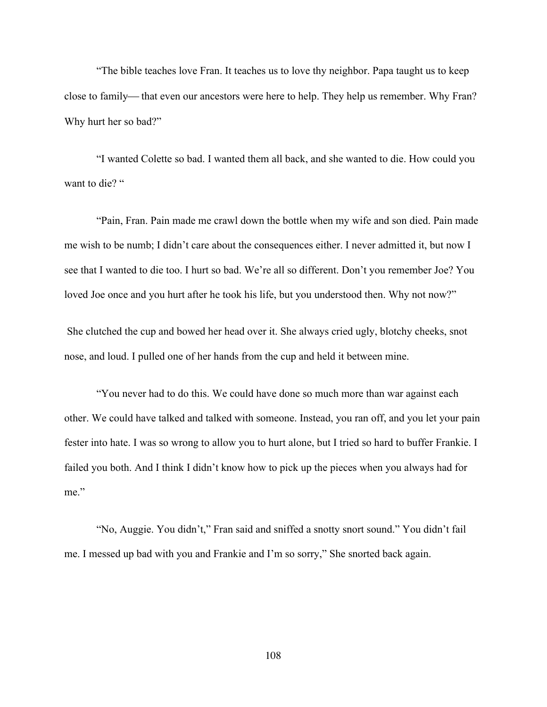"The bible teaches love Fran. It teaches us to love thy neighbor. Papa taught us to keep close to family—that even our ancestors were here to help. They help us remember. Why Fran? Why hurt her so bad?"

"I wanted Colette so bad. I wanted them all back, and she wanted to die. How could you want to die? "

"Pain, Fran. Pain made me crawl down the bottle when my wife and son died. Pain made me wish to be numb; I didn't care about the consequences either. I never admitted it, but now I see that I wanted to die too. I hurt so bad. We're all so different. Don't you remember Joe? You loved Joe once and you hurt after he took his life, but you understood then. Why not now?"

She clutched the cup and bowed her head over it. She always cried ugly, blotchy cheeks, snot nose, and loud. I pulled one of her hands from the cup and held it between mine.

"You never had to do this. We could have done so much more than war against each other. We could have talked and talked with someone. Instead, you ran off, and you let your pain fester into hate. I was so wrong to allow you to hurt alone, but I tried so hard to buffer Frankie. I failed you both. And I think I didn't know how to pick up the pieces when you always had for me."

"No, Auggie. You didn't," Fran said and sniffed a snotty snort sound." You didn't fail me. I messed up bad with you and Frankie and I'm so sorry," She snorted back again.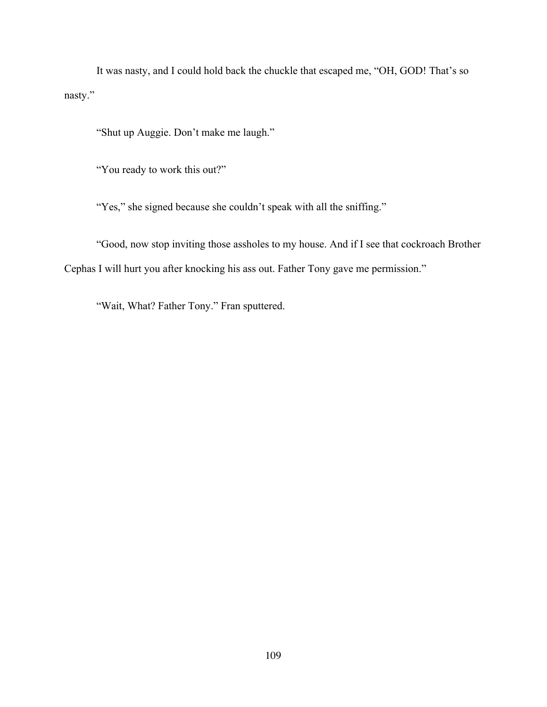It was nasty, and I could hold back the chuckle that escaped me, "OH, GOD! That's so nasty."

"Shut up Auggie. Don't make me laugh."

"You ready to work this out?"

"Yes," she signed because she couldn't speak with all the sniffing."

"Good, now stop inviting those assholes to my house. And if I see that cockroach Brother Cephas I will hurt you after knocking his ass out. Father Tony gave me permission."

"Wait, What? Father Tony." Fran sputtered.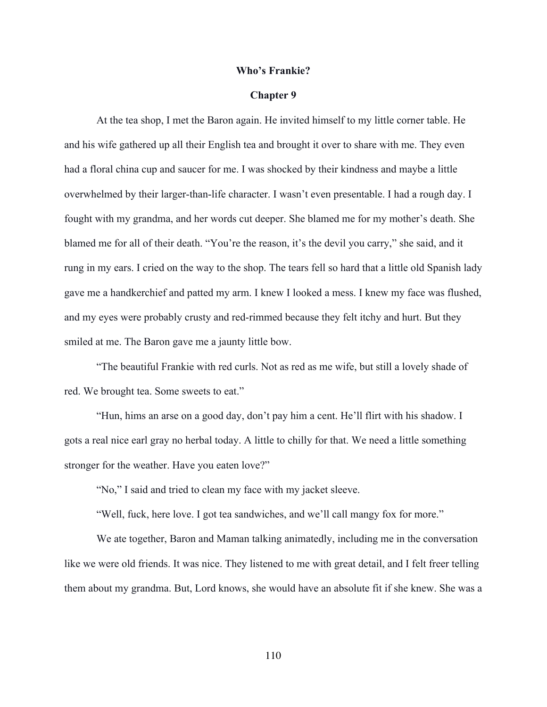#### **Who's Frankie?**

### **Chapter 9**

At the tea shop, I met the Baron again. He invited himself to my little corner table. He and his wife gathered up all their English tea and brought it over to share with me. They even had a floral china cup and saucer for me. I was shocked by their kindness and maybe a little overwhelmed by their larger-than-life character. I wasn't even presentable. I had a rough day. I fought with my grandma, and her words cut deeper. She blamed me for my mother's death. She blamed me for all of their death. "You're the reason, it's the devil you carry," she said, and it rung in my ears. I cried on the way to the shop. The tears fell so hard that a little old Spanish lady gave me a handkerchief and patted my arm. I knew I looked a mess. I knew my face was flushed, and my eyes were probably crusty and red-rimmed because they felt itchy and hurt. But they smiled at me. The Baron gave me a jaunty little bow.

"The beautiful Frankie with red curls. Not as red as me wife, but still a lovely shade of red. We brought tea. Some sweets to eat."

"Hun, hims an arse on a good day, don't pay him a cent. He'll flirt with his shadow. I gots a real nice earl gray no herbal today. A little to chilly for that. We need a little something stronger for the weather. Have you eaten love?"

"No," I said and tried to clean my face with my jacket sleeve.

"Well, fuck, here love. I got tea sandwiches, and we'll call mangy fox for more."

We ate together, Baron and Maman talking animatedly, including me in the conversation like we were old friends. It was nice. They listened to me with great detail, and I felt freer telling them about my grandma. But, Lord knows, she would have an absolute fit if she knew. She was a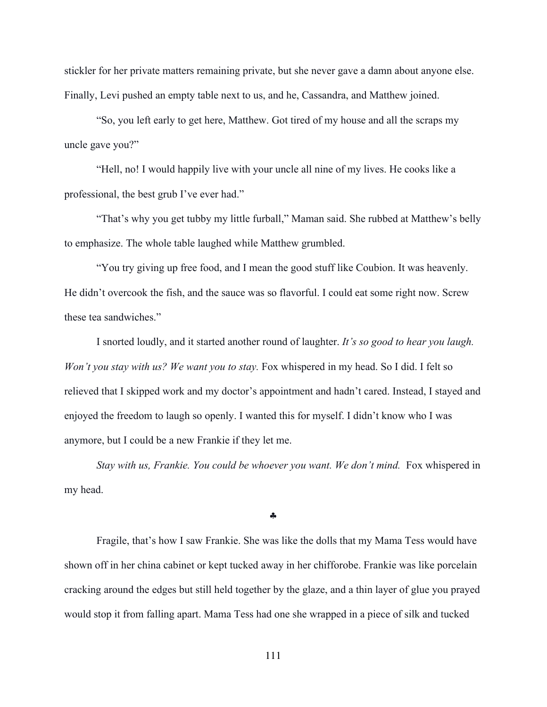stickler for her private matters remaining private, but she never gave a damn about anyone else. Finally, Levi pushed an empty table next to us, and he, Cassandra, and Matthew joined.

"So, you left early to get here, Matthew. Got tired of my house and all the scraps my uncle gave you?"

"Hell, no! I would happily live with your uncle all nine of my lives. He cooks like a professional, the best grub I've ever had."

"That's why you get tubby my little furball," Maman said. She rubbed at Matthew's belly to emphasize. The whole table laughed while Matthew grumbled.

"You try giving up free food, and I mean the good stuff like Coubion. It was heavenly. He didn't overcook the fish, and the sauce was so flavorful. I could eat some right now. Screw these tea sandwiches."

I snorted loudly, and it started another round of laughter. *It's so good to hear you laugh. Won't you stay with us? We want you to stay.* Fox whispered in my head. So I did. I felt so relieved that I skipped work and my doctor's appointment and hadn't cared. Instead, I stayed and enjoyed the freedom to laugh so openly. I wanted this for myself. I didn't know who I was anymore, but I could be a new Frankie if they let me.

*Stay with us, Frankie. You could be whoever you want. We don't mind.* Fox whispered in my head.

§

Fragile, that's how I saw Frankie. She was like the dolls that my Mama Tess would have shown off in her china cabinet or kept tucked away in her chifforobe. Frankie was like porcelain cracking around the edges but still held together by the glaze, and a thin layer of glue you prayed would stop it from falling apart. Mama Tess had one she wrapped in a piece of silk and tucked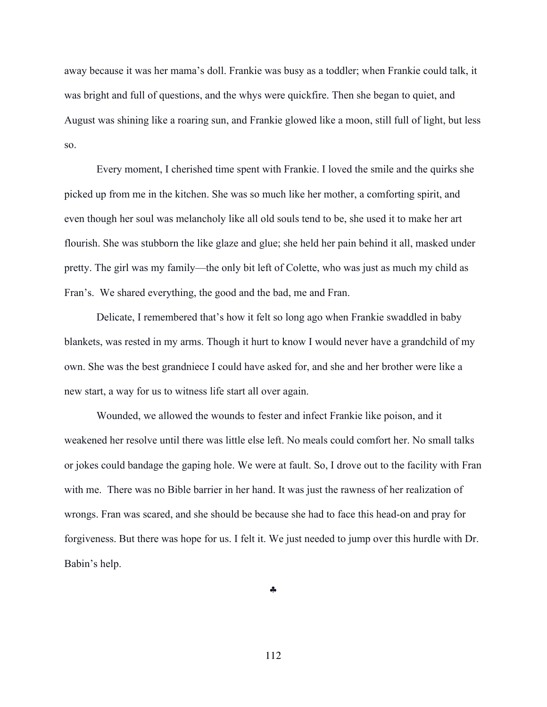away because it was her mama's doll. Frankie was busy as a toddler; when Frankie could talk, it was bright and full of questions, and the whys were quickfire. Then she began to quiet, and August was shining like a roaring sun, and Frankie glowed like a moon, still full of light, but less so.

Every moment, I cherished time spent with Frankie. I loved the smile and the quirks she picked up from me in the kitchen. She was so much like her mother, a comforting spirit, and even though her soul was melancholy like all old souls tend to be, she used it to make her art flourish. She was stubborn the like glaze and glue; she held her pain behind it all, masked under pretty. The girl was my family—the only bit left of Colette, who was just as much my child as Fran's. We shared everything, the good and the bad, me and Fran.

Delicate, I remembered that's how it felt so long ago when Frankie swaddled in baby blankets, was rested in my arms. Though it hurt to know I would never have a grandchild of my own. She was the best grandniece I could have asked for, and she and her brother were like a new start, a way for us to witness life start all over again.

Wounded, we allowed the wounds to fester and infect Frankie like poison, and it weakened her resolve until there was little else left. No meals could comfort her. No small talks or jokes could bandage the gaping hole. We were at fault. So, I drove out to the facility with Fran with me. There was no Bible barrier in her hand. It was just the rawness of her realization of wrongs. Fran was scared, and she should be because she had to face this head-on and pray for forgiveness. But there was hope for us. I felt it. We just needed to jump over this hurdle with Dr. Babin's help.

§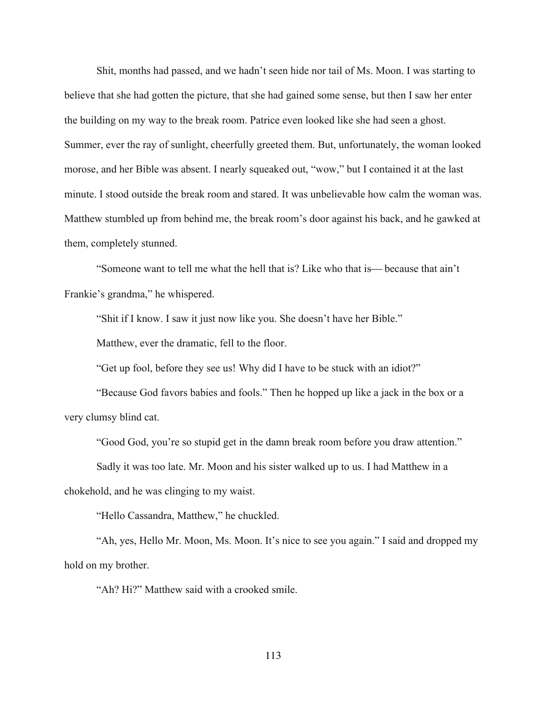Shit, months had passed, and we hadn't seen hide nor tail of Ms. Moon. I was starting to believe that she had gotten the picture, that she had gained some sense, but then I saw her enter the building on my way to the break room. Patrice even looked like she had seen a ghost. Summer, ever the ray of sunlight, cheerfully greeted them. But, unfortunately, the woman looked morose, and her Bible was absent. I nearly squeaked out, "wow," but I contained it at the last minute. I stood outside the break room and stared. It was unbelievable how calm the woman was. Matthew stumbled up from behind me, the break room's door against his back, and he gawked at them, completely stunned.

"Someone want to tell me what the hell that is? Like who that is—because that ain't Frankie's grandma," he whispered.

"Shit if I know. I saw it just now like you. She doesn't have her Bible."

Matthew, ever the dramatic, fell to the floor.

"Get up fool, before they see us! Why did I have to be stuck with an idiot?"

"Because God favors babies and fools." Then he hopped up like a jack in the box or a very clumsy blind cat.

"Good God, you're so stupid get in the damn break room before you draw attention."

Sadly it was too late. Mr. Moon and his sister walked up to us. I had Matthew in a

chokehold, and he was clinging to my waist.

"Hello Cassandra, Matthew," he chuckled.

"Ah, yes, Hello Mr. Moon, Ms. Moon. It's nice to see you again." I said and dropped my hold on my brother.

"Ah? Hi?" Matthew said with a crooked smile.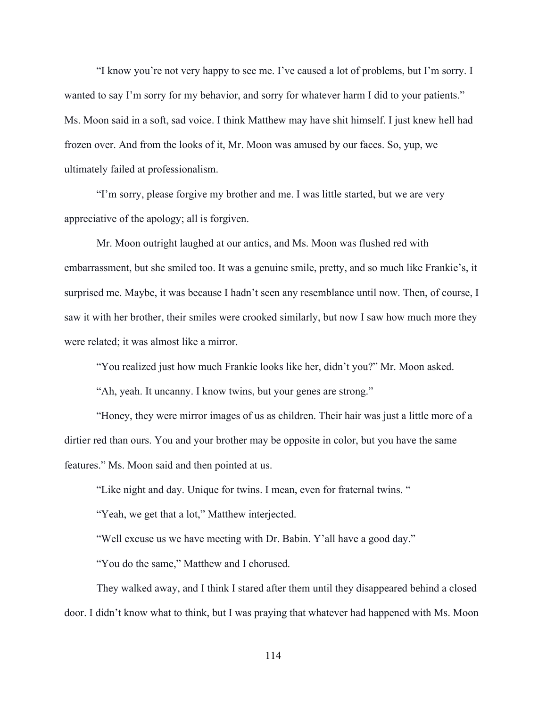"I know you're not very happy to see me. I've caused a lot of problems, but I'm sorry. I wanted to say I'm sorry for my behavior, and sorry for whatever harm I did to your patients." Ms. Moon said in a soft, sad voice. I think Matthew may have shit himself. I just knew hell had frozen over. And from the looks of it, Mr. Moon was amused by our faces. So, yup, we ultimately failed at professionalism.

"I'm sorry, please forgive my brother and me. I was little started, but we are very appreciative of the apology; all is forgiven.

Mr. Moon outright laughed at our antics, and Ms. Moon was flushed red with embarrassment, but she smiled too. It was a genuine smile, pretty, and so much like Frankie's, it surprised me. Maybe, it was because I hadn't seen any resemblance until now. Then, of course, I saw it with her brother, their smiles were crooked similarly, but now I saw how much more they were related; it was almost like a mirror.

"You realized just how much Frankie looks like her, didn't you?" Mr. Moon asked.

"Ah, yeah. It uncanny. I know twins, but your genes are strong."

"Honey, they were mirror images of us as children. Their hair was just a little more of a dirtier red than ours. You and your brother may be opposite in color, but you have the same features." Ms. Moon said and then pointed at us.

"Like night and day. Unique for twins. I mean, even for fraternal twins. "

"Yeah, we get that a lot," Matthew interjected.

"Well excuse us we have meeting with Dr. Babin. Y'all have a good day."

"You do the same," Matthew and I chorused.

They walked away, and I think I stared after them until they disappeared behind a closed door. I didn't know what to think, but I was praying that whatever had happened with Ms. Moon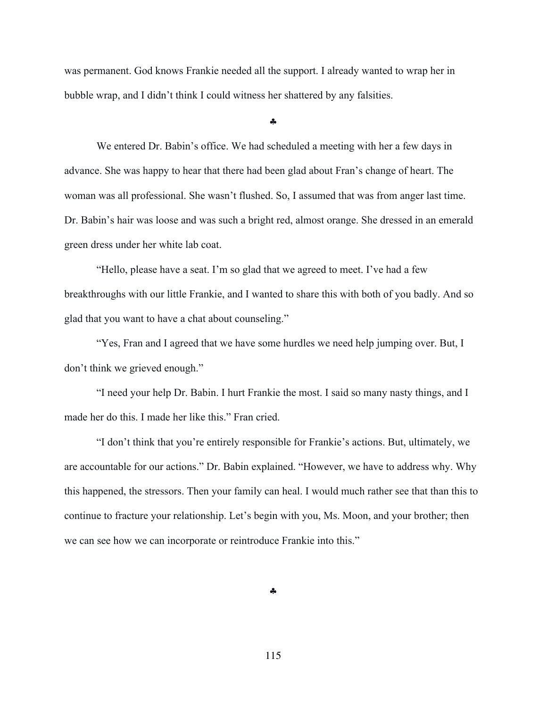was permanent. God knows Frankie needed all the support. I already wanted to wrap her in bubble wrap, and I didn't think I could witness her shattered by any falsities.

§

We entered Dr. Babin's office. We had scheduled a meeting with her a few days in advance. She was happy to hear that there had been glad about Fran's change of heart. The woman was all professional. She wasn't flushed. So, I assumed that was from anger last time. Dr. Babin's hair was loose and was such a bright red, almost orange. She dressed in an emerald green dress under her white lab coat.

"Hello, please have a seat. I'm so glad that we agreed to meet. I've had a few breakthroughs with our little Frankie, and I wanted to share this with both of you badly. And so glad that you want to have a chat about counseling."

"Yes, Fran and I agreed that we have some hurdles we need help jumping over. But, I don't think we grieved enough."

"I need your help Dr. Babin. I hurt Frankie the most. I said so many nasty things, and I made her do this. I made her like this." Fran cried.

"I don't think that you're entirely responsible for Frankie's actions. But, ultimately, we are accountable for our actions." Dr. Babin explained. "However, we have to address why. Why this happened, the stressors. Then your family can heal. I would much rather see that than this to continue to fracture your relationship. Let's begin with you, Ms. Moon, and your brother; then we can see how we can incorporate or reintroduce Frankie into this."

§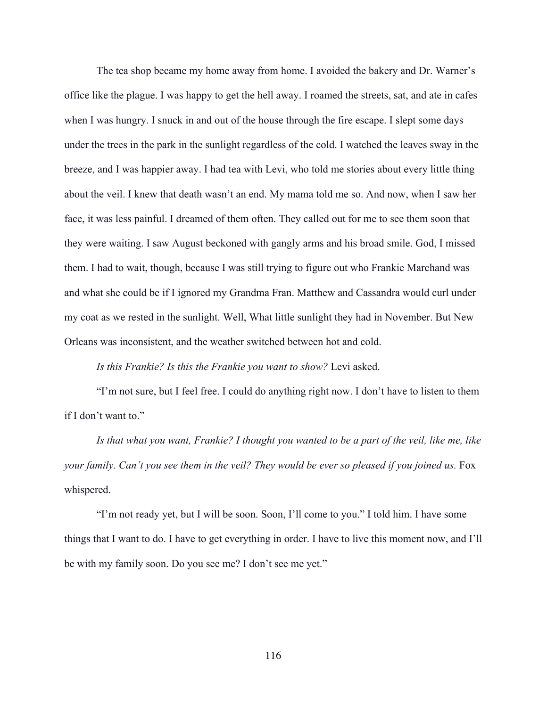The tea shop became my home away from home. I avoided the bakery and Dr. Warner's office like the plague. I was happy to get the hell away. I roamed the streets, sat, and ate in cafes when I was hungry. I snuck in and out of the house through the fire escape. I slept some days under the trees in the park in the sunlight regardless of the cold. I watched the leaves sway in the breeze, and I was happier away. I had tea with Levi, who told me stories about every little thing about the veil. I knew that death wasn't an end. My mama told me so. And now, when I saw her face, it was less painful. I dreamed of them often. They called out for me to see them soon that they were waiting. I saw August beckoned with gangly arms and his broad smile. God, I missed them. I had to wait, though, because I was still trying to figure out who Frankie Marchand was and what she could be if I ignored my Grandma Fran. Matthew and Cassandra would curl under my coat as we rested in the sunlight. Well, What little sunlight they had in November. But New Orleans was inconsistent, and the weather switched between hot and cold.

*Is this Frankie? Is this the Frankie you want to show?* Levi asked.

"I'm not sure, but I feel free. I could do anything right now. I don't have to listen to them if I don't want to."

*Is that what you want, Frankie? I thought you wanted to be a part of the veil, like me, like your family. Can't you see them in the veil? They would be ever so pleased if you joined us.* Fox whispered.

"I'm not ready yet, but I will be soon. Soon, I'll come to you." I told him. I have some things that I want to do. I have to get everything in order. I have to live this moment now, and I'll be with my family soon. Do you see me? I don't see me yet."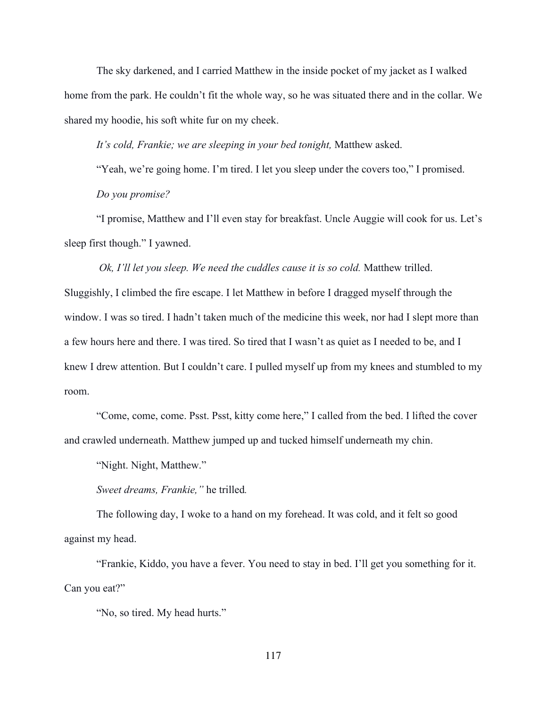The sky darkened, and I carried Matthew in the inside pocket of my jacket as I walked home from the park. He couldn't fit the whole way, so he was situated there and in the collar. We shared my hoodie, his soft white fur on my cheek.

*It's cold, Frankie; we are sleeping in your bed tonight,* Matthew asked.

"Yeah, we're going home. I'm tired. I let you sleep under the covers too," I promised. *Do you promise?*

"I promise, Matthew and I'll even stay for breakfast. Uncle Auggie will cook for us. Let's sleep first though." I yawned.

*Ok, I'll let you sleep. We need the cuddles cause it is so cold.* Matthew trilled. Sluggishly, I climbed the fire escape. I let Matthew in before I dragged myself through the window. I was so tired. I hadn't taken much of the medicine this week, nor had I slept more than a few hours here and there. I was tired. So tired that I wasn't as quiet as I needed to be, and I knew I drew attention. But I couldn't care. I pulled myself up from my knees and stumbled to my room.

"Come, come, come. Psst. Psst, kitty come here," I called from the bed. I lifted the cover and crawled underneath. Matthew jumped up and tucked himself underneath my chin.

"Night. Night, Matthew."

*Sweet dreams, Frankie,"* he trilled*.*

The following day, I woke to a hand on my forehead. It was cold, and it felt so good against my head.

"Frankie, Kiddo, you have a fever. You need to stay in bed. I'll get you something for it. Can you eat?"

"No, so tired. My head hurts."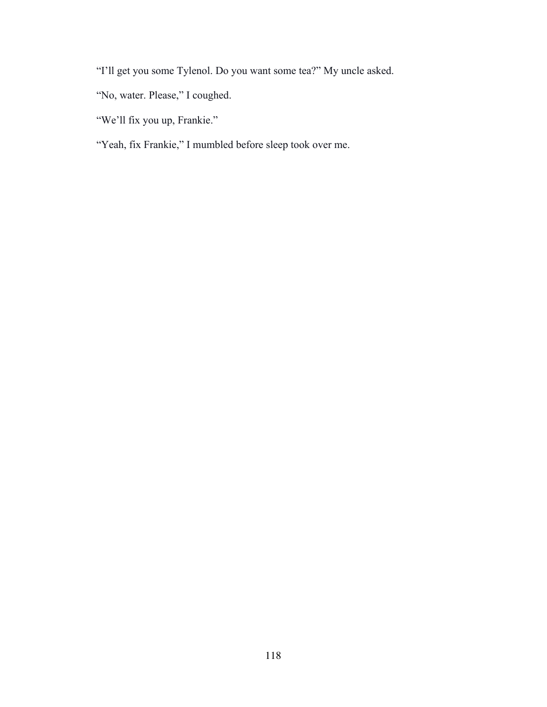"I'll get you some Tylenol. Do you want some tea?" My uncle asked.

- "No, water. Please," I coughed.
- "We'll fix you up, Frankie."
- "Yeah, fix Frankie," I mumbled before sleep took over me.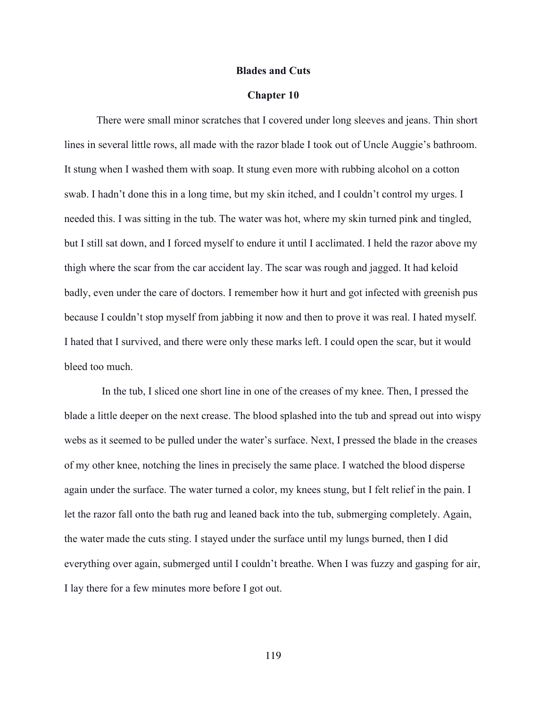### **Blades and Cuts**

### **Chapter 10**

There were small minor scratches that I covered under long sleeves and jeans. Thin short lines in several little rows, all made with the razor blade I took out of Uncle Auggie's bathroom. It stung when I washed them with soap. It stung even more with rubbing alcohol on a cotton swab. I hadn't done this in a long time, but my skin itched, and I couldn't control my urges. I needed this. I was sitting in the tub. The water was hot, where my skin turned pink and tingled, but I still sat down, and I forced myself to endure it until I acclimated. I held the razor above my thigh where the scar from the car accident lay. The scar was rough and jagged. It had keloid badly, even under the care of doctors. I remember how it hurt and got infected with greenish pus because I couldn't stop myself from jabbing it now and then to prove it was real. I hated myself. I hated that I survived, and there were only these marks left. I could open the scar, but it would bleed too much.

 In the tub, I sliced one short line in one of the creases of my knee. Then, I pressed the blade a little deeper on the next crease. The blood splashed into the tub and spread out into wispy webs as it seemed to be pulled under the water's surface. Next, I pressed the blade in the creases of my other knee, notching the lines in precisely the same place. I watched the blood disperse again under the surface. The water turned a color, my knees stung, but I felt relief in the pain. I let the razor fall onto the bath rug and leaned back into the tub, submerging completely. Again, the water made the cuts sting. I stayed under the surface until my lungs burned, then I did everything over again, submerged until I couldn't breathe. When I was fuzzy and gasping for air, I lay there for a few minutes more before I got out.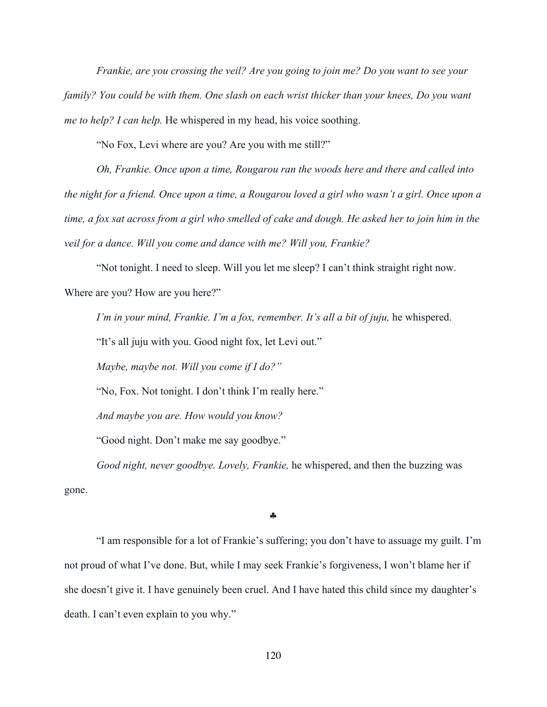*Frankie, are you crossing the veil? Are you going to join me? Do you want to see your family? You could be with them. One slash on each wrist thicker than your knees, Do you want me to help? I can help.* He whispered in my head, his voice soothing.

"No Fox, Levi where are you? Are you with me still?"

*Oh, Frankie. Once upon a time, Rougarou ran the woods here and there and called into the night for a friend. Once upon a time, a Rougarou loved a girl who wasn't a girl. Once upon a time, a fox sat across from a girl who smelled of cake and dough. He asked her to join him in the veil for a dance. Will you come and dance with me? Will you, Frankie?*

"Not tonight. I need to sleep. Will you let me sleep? I can't think straight right now. Where are you? How are you here?"

*I'm in your mind, Frankie. I'm a fox, remember. It's all a bit of juju,* he whispered.

"It's all juju with you. Good night fox, let Levi out."

*Maybe, maybe not. Will you come if I do?"*

"No, Fox. Not tonight. I don't think I'm really here."

*And maybe you are. How would you know?*

"Good night. Don't make me say goodbye."

*Good night, never goodbye. Lovely, Frankie,* he whispered, and then the buzzing was gone.

§

"I am responsible for a lot of Frankie's suffering; you don't have to assuage my guilt. I'm not proud of what I've done. But, while I may seek Frankie's forgiveness, I won't blame her if she doesn't give it. I have genuinely been cruel. And I have hated this child since my daughter's death. I can't even explain to you why."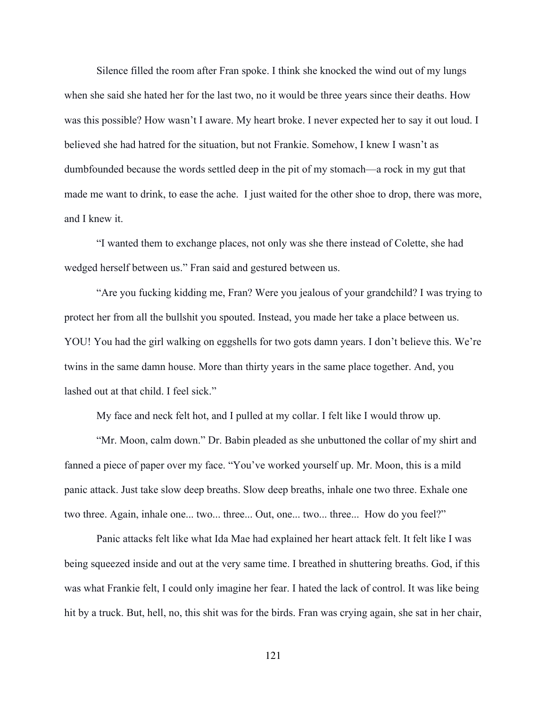Silence filled the room after Fran spoke. I think she knocked the wind out of my lungs when she said she hated her for the last two, no it would be three years since their deaths. How was this possible? How wasn't I aware. My heart broke. I never expected her to say it out loud. I believed she had hatred for the situation, but not Frankie. Somehow, I knew I wasn't as dumbfounded because the words settled deep in the pit of my stomach—a rock in my gut that made me want to drink, to ease the ache. I just waited for the other shoe to drop, there was more, and I knew it.

"I wanted them to exchange places, not only was she there instead of Colette, she had wedged herself between us." Fran said and gestured between us.

"Are you fucking kidding me, Fran? Were you jealous of your grandchild? I was trying to protect her from all the bullshit you spouted. Instead, you made her take a place between us. YOU! You had the girl walking on eggshells for two gots damn years. I don't believe this. We're twins in the same damn house. More than thirty years in the same place together. And, you lashed out at that child. I feel sick."

My face and neck felt hot, and I pulled at my collar. I felt like I would throw up.

"Mr. Moon, calm down." Dr. Babin pleaded as she unbuttoned the collar of my shirt and fanned a piece of paper over my face. "You've worked yourself up. Mr. Moon, this is a mild panic attack. Just take slow deep breaths. Slow deep breaths, inhale one two three. Exhale one two three. Again, inhale one... two... three... Out, one... two... three... How do you feel?"

Panic attacks felt like what Ida Mae had explained her heart attack felt. It felt like I was being squeezed inside and out at the very same time. I breathed in shuttering breaths. God, if this was what Frankie felt, I could only imagine her fear. I hated the lack of control. It was like being hit by a truck. But, hell, no, this shit was for the birds. Fran was crying again, she sat in her chair,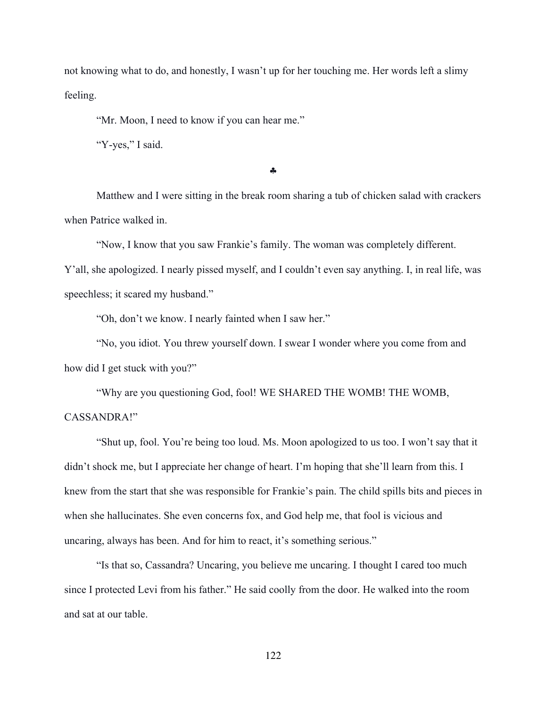not knowing what to do, and honestly, I wasn't up for her touching me. Her words left a slimy feeling.

"Mr. Moon, I need to know if you can hear me."

"Y-yes," I said.

§

Matthew and I were sitting in the break room sharing a tub of chicken salad with crackers when Patrice walked in.

"Now, I know that you saw Frankie's family. The woman was completely different. Y'all, she apologized. I nearly pissed myself, and I couldn't even say anything. I, in real life, was speechless; it scared my husband."

"Oh, don't we know. I nearly fainted when I saw her."

"No, you idiot. You threw yourself down. I swear I wonder where you come from and how did I get stuck with you?"

"Why are you questioning God, fool! WE SHARED THE WOMB! THE WOMB, CASSANDRA!"

"Shut up, fool. You're being too loud. Ms. Moon apologized to us too. I won't say that it didn't shock me, but I appreciate her change of heart. I'm hoping that she'll learn from this. I knew from the start that she was responsible for Frankie's pain. The child spills bits and pieces in when she hallucinates. She even concerns fox, and God help me, that fool is vicious and uncaring, always has been. And for him to react, it's something serious."

"Is that so, Cassandra? Uncaring, you believe me uncaring. I thought I cared too much since I protected Levi from his father." He said coolly from the door. He walked into the room and sat at our table.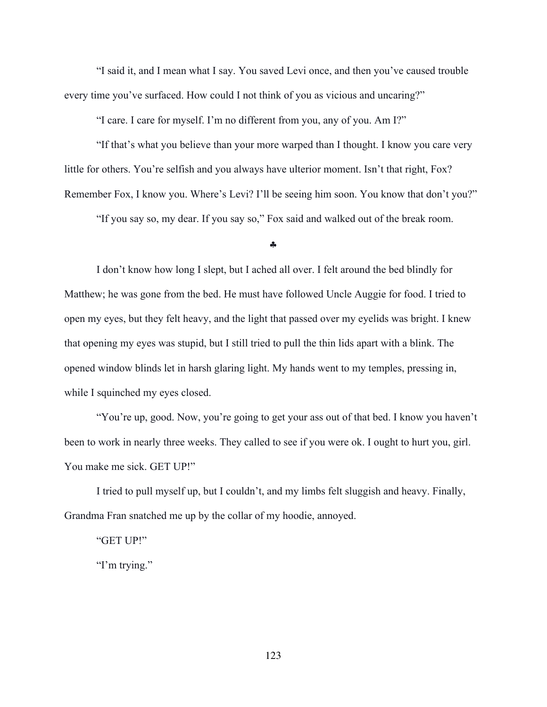"I said it, and I mean what I say. You saved Levi once, and then you've caused trouble every time you've surfaced. How could I not think of you as vicious and uncaring?"

"I care. I care for myself. I'm no different from you, any of you. Am I?"

"If that's what you believe than your more warped than I thought. I know you care very little for others. You're selfish and you always have ulterior moment. Isn't that right, Fox? Remember Fox, I know you. Where's Levi? I'll be seeing him soon. You know that don't you?"

"If you say so, my dear. If you say so," Fox said and walked out of the break room.

#### §

I don't know how long I slept, but I ached all over. I felt around the bed blindly for Matthew; he was gone from the bed. He must have followed Uncle Auggie for food. I tried to open my eyes, but they felt heavy, and the light that passed over my eyelids was bright. I knew that opening my eyes was stupid, but I still tried to pull the thin lids apart with a blink. The opened window blinds let in harsh glaring light. My hands went to my temples, pressing in, while I squinched my eyes closed.

"You're up, good. Now, you're going to get your ass out of that bed. I know you haven't been to work in nearly three weeks. They called to see if you were ok. I ought to hurt you, girl. You make me sick. GET UP!"

I tried to pull myself up, but I couldn't, and my limbs felt sluggish and heavy. Finally, Grandma Fran snatched me up by the collar of my hoodie, annoyed.

"GET UP!"

"I'm trying."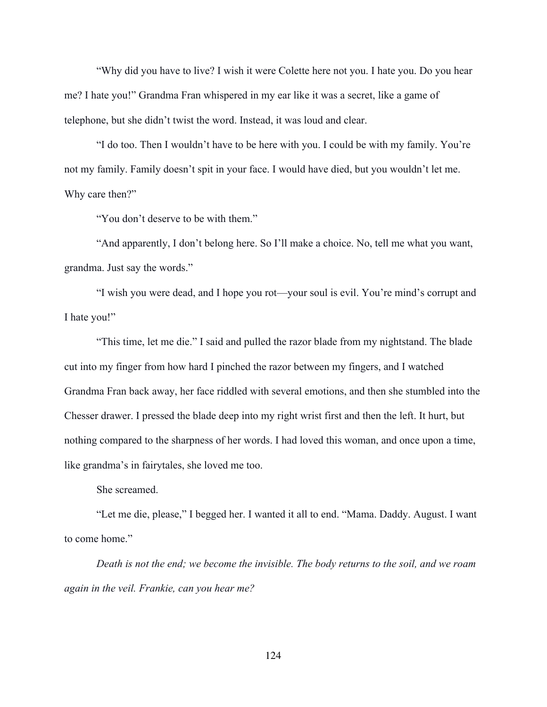"Why did you have to live? I wish it were Colette here not you. I hate you. Do you hear me? I hate you!" Grandma Fran whispered in my ear like it was a secret, like a game of telephone, but she didn't twist the word. Instead, it was loud and clear.

"I do too. Then I wouldn't have to be here with you. I could be with my family. You're not my family. Family doesn't spit in your face. I would have died, but you wouldn't let me. Why care then?"

"You don't deserve to be with them."

"And apparently, I don't belong here. So I'll make a choice. No, tell me what you want, grandma. Just say the words."

"I wish you were dead, and I hope you rot—your soul is evil. You're mind's corrupt and I hate you!"

"This time, let me die." I said and pulled the razor blade from my nightstand. The blade cut into my finger from how hard I pinched the razor between my fingers, and I watched Grandma Fran back away, her face riddled with several emotions, and then she stumbled into the Chesser drawer. I pressed the blade deep into my right wrist first and then the left. It hurt, but nothing compared to the sharpness of her words. I had loved this woman, and once upon a time, like grandma's in fairytales, she loved me too.

She screamed.

"Let me die, please," I begged her. I wanted it all to end. "Mama. Daddy. August. I want to come home."

*Death is not the end; we become the invisible. The body returns to the soil, and we roam again in the veil. Frankie, can you hear me?*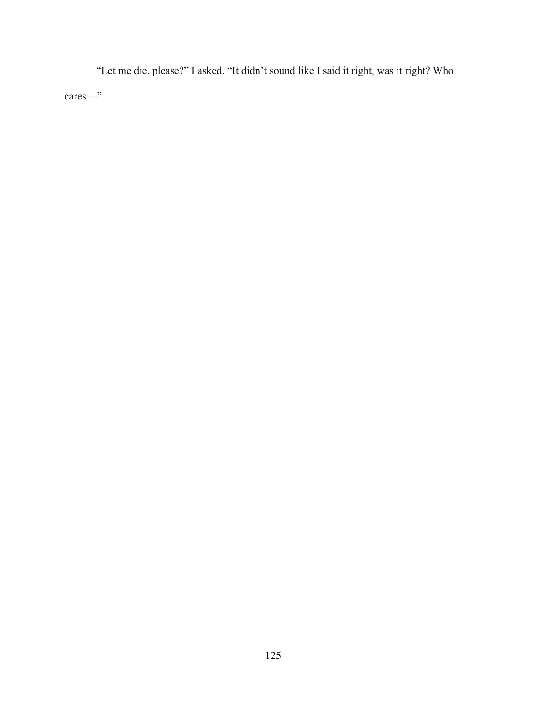"Let me die, please?" I asked. "It didn't sound like I said it right, was it right? Who cares—"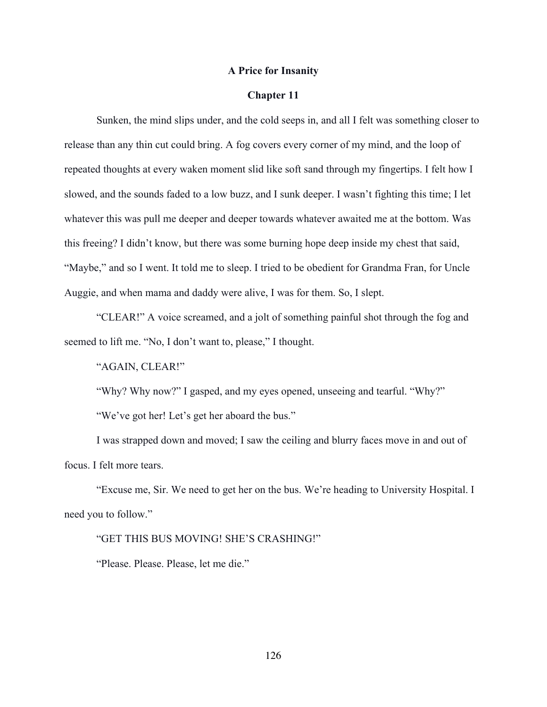# **A Price for Insanity**

# **Chapter 11**

Sunken, the mind slips under, and the cold seeps in, and all I felt was something closer to release than any thin cut could bring. A fog covers every corner of my mind, and the loop of repeated thoughts at every waken moment slid like soft sand through my fingertips. I felt how I slowed, and the sounds faded to a low buzz, and I sunk deeper. I wasn't fighting this time; I let whatever this was pull me deeper and deeper towards whatever awaited me at the bottom. Was this freeing? I didn't know, but there was some burning hope deep inside my chest that said, "Maybe," and so I went. It told me to sleep. I tried to be obedient for Grandma Fran, for Uncle Auggie, and when mama and daddy were alive, I was for them. So, I slept.

"CLEAR!" A voice screamed, and a jolt of something painful shot through the fog and seemed to lift me. "No, I don't want to, please," I thought.

"AGAIN, CLEAR!"

"Why? Why now?" I gasped, and my eyes opened, unseeing and tearful. "Why?" "We've got her! Let's get her aboard the bus."

I was strapped down and moved; I saw the ceiling and blurry faces move in and out of focus. I felt more tears.

"Excuse me, Sir. We need to get her on the bus. We're heading to University Hospital. I need you to follow."

# "GET THIS BUS MOVING! SHE'S CRASHING!"

"Please. Please. Please, let me die."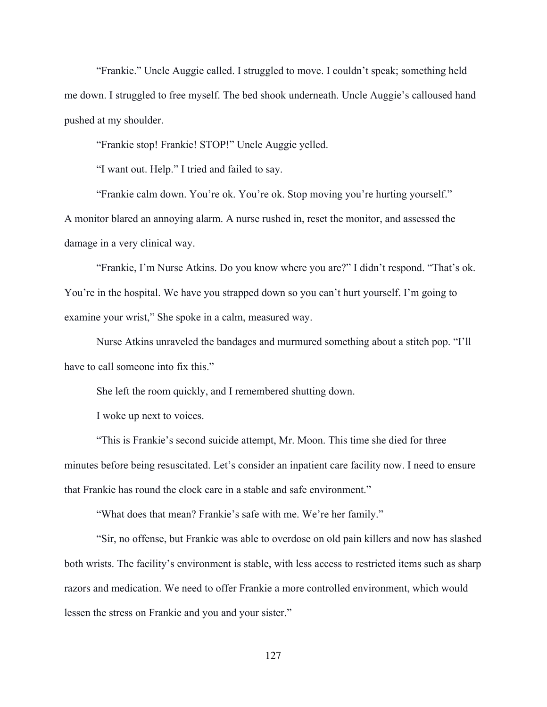"Frankie." Uncle Auggie called. I struggled to move. I couldn't speak; something held me down. I struggled to free myself. The bed shook underneath. Uncle Auggie's calloused hand pushed at my shoulder.

"Frankie stop! Frankie! STOP!" Uncle Auggie yelled.

"I want out. Help." I tried and failed to say.

"Frankie calm down. You're ok. You're ok. Stop moving you're hurting yourself." A monitor blared an annoying alarm. A nurse rushed in, reset the monitor, and assessed the damage in a very clinical way.

"Frankie, I'm Nurse Atkins. Do you know where you are?" I didn't respond. "That's ok. You're in the hospital. We have you strapped down so you can't hurt yourself. I'm going to examine your wrist," She spoke in a calm, measured way.

Nurse Atkins unraveled the bandages and murmured something about a stitch pop. "I'll have to call someone into fix this."

She left the room quickly, and I remembered shutting down.

I woke up next to voices.

"This is Frankie's second suicide attempt, Mr. Moon. This time she died for three minutes before being resuscitated. Let's consider an inpatient care facility now. I need to ensure that Frankie has round the clock care in a stable and safe environment."

"What does that mean? Frankie's safe with me. We're her family."

"Sir, no offense, but Frankie was able to overdose on old pain killers and now has slashed both wrists. The facility's environment is stable, with less access to restricted items such as sharp razors and medication. We need to offer Frankie a more controlled environment, which would lessen the stress on Frankie and you and your sister."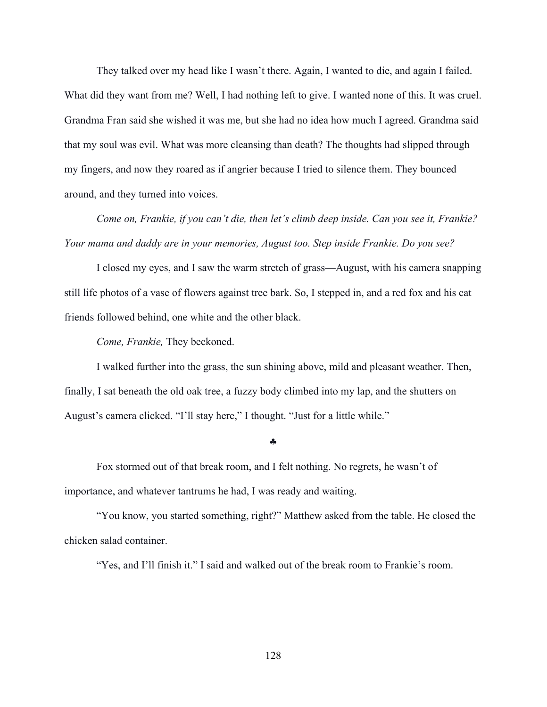They talked over my head like I wasn't there. Again, I wanted to die, and again I failed. What did they want from me? Well, I had nothing left to give. I wanted none of this. It was cruel. Grandma Fran said she wished it was me, but she had no idea how much I agreed. Grandma said that my soul was evil. What was more cleansing than death? The thoughts had slipped through my fingers, and now they roared as if angrier because I tried to silence them. They bounced around, and they turned into voices.

*Come on, Frankie, if you can't die, then let's climb deep inside. Can you see it, Frankie? Your mama and daddy are in your memories, August too. Step inside Frankie. Do you see?*

I closed my eyes, and I saw the warm stretch of grass—August, with his camera snapping still life photos of a vase of flowers against tree bark. So, I stepped in, and a red fox and his cat friends followed behind, one white and the other black.

*Come, Frankie,* They beckoned.

I walked further into the grass, the sun shining above, mild and pleasant weather. Then, finally, I sat beneath the old oak tree, a fuzzy body climbed into my lap, and the shutters on August's camera clicked. "I'll stay here," I thought. "Just for a little while."

### §

Fox stormed out of that break room, and I felt nothing. No regrets, he wasn't of importance, and whatever tantrums he had, I was ready and waiting.

"You know, you started something, right?" Matthew asked from the table. He closed the chicken salad container.

"Yes, and I'll finish it." I said and walked out of the break room to Frankie's room.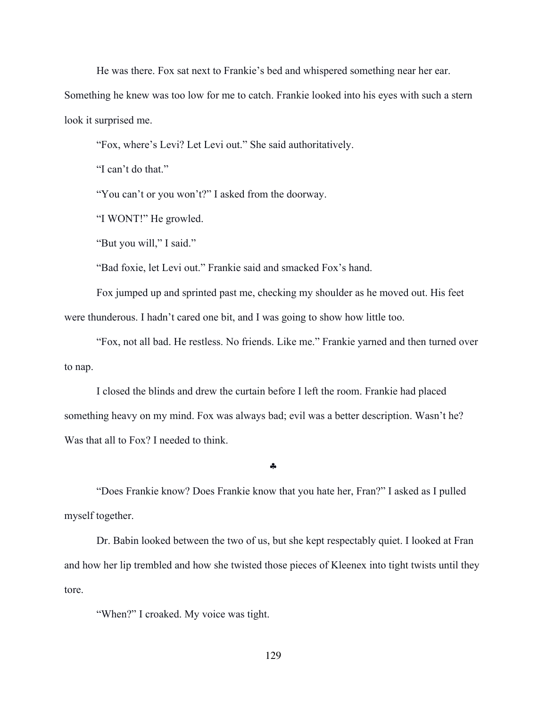He was there. Fox sat next to Frankie's bed and whispered something near her ear.

Something he knew was too low for me to catch. Frankie looked into his eyes with such a stern look it surprised me.

"Fox, where's Levi? Let Levi out." She said authoritatively.

"I can't do that."

"You can't or you won't?" I asked from the doorway.

"I WONT!" He growled.

"But you will," I said."

"Bad foxie, let Levi out." Frankie said and smacked Fox's hand.

Fox jumped up and sprinted past me, checking my shoulder as he moved out. His feet were thunderous. I hadn't cared one bit, and I was going to show how little too.

"Fox, not all bad. He restless. No friends. Like me." Frankie yarned and then turned over to nap.

I closed the blinds and drew the curtain before I left the room. Frankie had placed something heavy on my mind. Fox was always bad; evil was a better description. Wasn't he? Was that all to Fox? I needed to think.

§

"Does Frankie know? Does Frankie know that you hate her, Fran?" I asked as I pulled myself together.

Dr. Babin looked between the two of us, but she kept respectably quiet. I looked at Fran and how her lip trembled and how she twisted those pieces of Kleenex into tight twists until they tore.

"When?" I croaked. My voice was tight.

129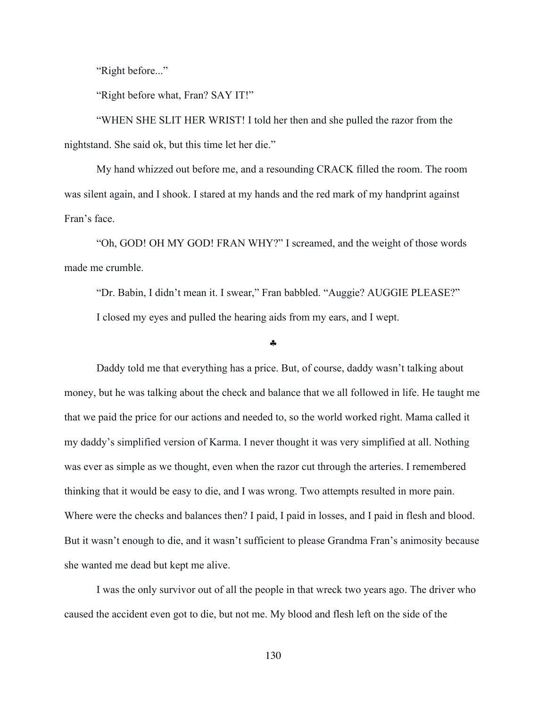"Right before..."

"Right before what, Fran? SAY IT!"

"WHEN SHE SLIT HER WRIST! I told her then and she pulled the razor from the nightstand. She said ok, but this time let her die."

My hand whizzed out before me, and a resounding CRACK filled the room. The room was silent again, and I shook. I stared at my hands and the red mark of my handprint against Fran's face.

"Oh, GOD! OH MY GOD! FRAN WHY?" I screamed, and the weight of those words made me crumble.

"Dr. Babin, I didn't mean it. I swear," Fran babbled. "Auggie? AUGGIE PLEASE?" I closed my eyes and pulled the hearing aids from my ears, and I wept.

#### §

Daddy told me that everything has a price. But, of course, daddy wasn't talking about money, but he was talking about the check and balance that we all followed in life. He taught me that we paid the price for our actions and needed to, so the world worked right. Mama called it my daddy's simplified version of Karma. I never thought it was very simplified at all. Nothing was ever as simple as we thought, even when the razor cut through the arteries. I remembered thinking that it would be easy to die, and I was wrong. Two attempts resulted in more pain. Where were the checks and balances then? I paid, I paid in losses, and I paid in flesh and blood. But it wasn't enough to die, and it wasn't sufficient to please Grandma Fran's animosity because she wanted me dead but kept me alive.

I was the only survivor out of all the people in that wreck two years ago. The driver who caused the accident even got to die, but not me. My blood and flesh left on the side of the

130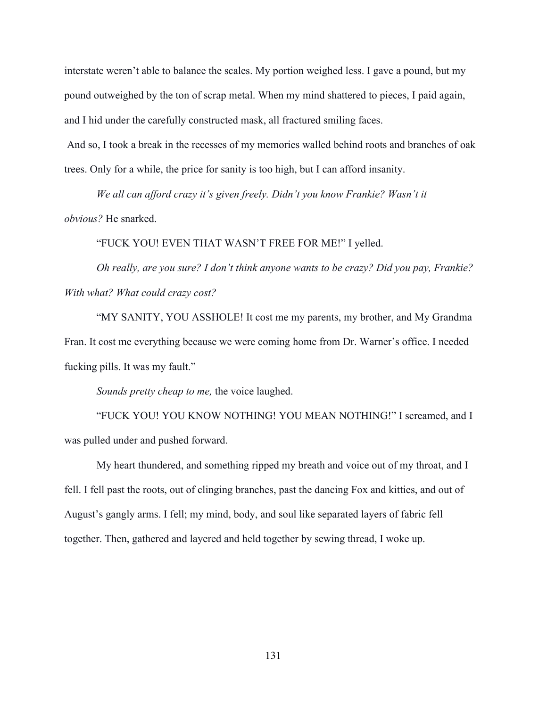interstate weren't able to balance the scales. My portion weighed less. I gave a pound, but my pound outweighed by the ton of scrap metal. When my mind shattered to pieces, I paid again, and I hid under the carefully constructed mask, all fractured smiling faces.

And so, I took a break in the recesses of my memories walled behind roots and branches of oak trees. Only for a while, the price for sanity is too high, but I can afford insanity.

We all can afford crazy it's given freely. Didn't you know Frankie? Wasn't it *obvious?* He snarked.

"FUCK YOU! EVEN THAT WASN'T FREE FOR ME!" I yelled.

*Oh really, are you sure? I don't think anyone wants to be crazy? Did you pay, Frankie? With what? What could crazy cost?*

"MY SANITY, YOU ASSHOLE! It cost me my parents, my brother, and My Grandma Fran. It cost me everything because we were coming home from Dr. Warner's office. I needed fucking pills. It was my fault."

*Sounds pretty cheap to me,* the voice laughed.

"FUCK YOU! YOU KNOW NOTHING! YOU MEAN NOTHING!" I screamed, and I was pulled under and pushed forward.

My heart thundered, and something ripped my breath and voice out of my throat, and I fell. I fell past the roots, out of clinging branches, past the dancing Fox and kitties, and out of August's gangly arms. I fell; my mind, body, and soul like separated layers of fabric fell together. Then, gathered and layered and held together by sewing thread, I woke up.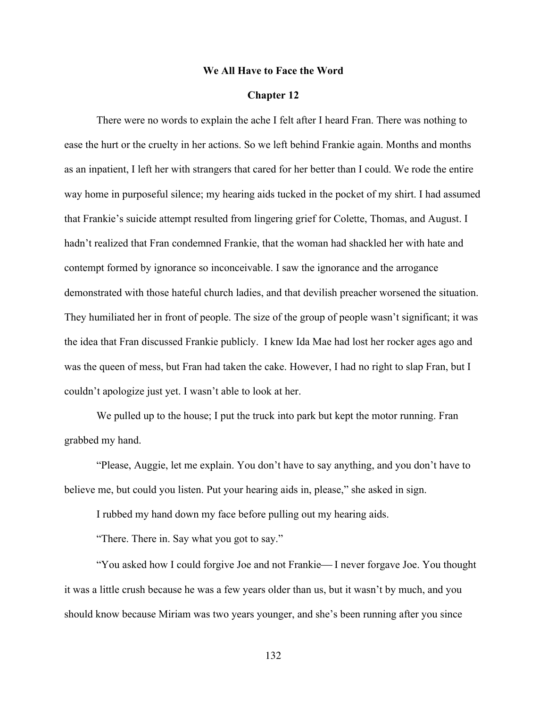## **We All Have to Face the Word**

# **Chapter 12**

There were no words to explain the ache I felt after I heard Fran. There was nothing to ease the hurt or the cruelty in her actions. So we left behind Frankie again. Months and months as an inpatient, I left her with strangers that cared for her better than I could. We rode the entire way home in purposeful silence; my hearing aids tucked in the pocket of my shirt. I had assumed that Frankie's suicide attempt resulted from lingering grief for Colette, Thomas, and August. I hadn't realized that Fran condemned Frankie, that the woman had shackled her with hate and contempt formed by ignorance so inconceivable. I saw the ignorance and the arrogance demonstrated with those hateful church ladies, and that devilish preacher worsened the situation. They humiliated her in front of people. The size of the group of people wasn't significant; it was the idea that Fran discussed Frankie publicly. I knew Ida Mae had lost her rocker ages ago and was the queen of mess, but Fran had taken the cake. However, I had no right to slap Fran, but I couldn't apologize just yet. I wasn't able to look at her.

We pulled up to the house; I put the truck into park but kept the motor running. Fran grabbed my hand.

"Please, Auggie, let me explain. You don't have to say anything, and you don't have to believe me, but could you listen. Put your hearing aids in, please," she asked in sign.

I rubbed my hand down my face before pulling out my hearing aids.

"There. There in. Say what you got to say."

"You asked how I could forgive Joe and not Frankie—I never forgave Joe. You thought it was a little crush because he was a few years older than us, but it wasn't by much, and you should know because Miriam was two years younger, and she's been running after you since

132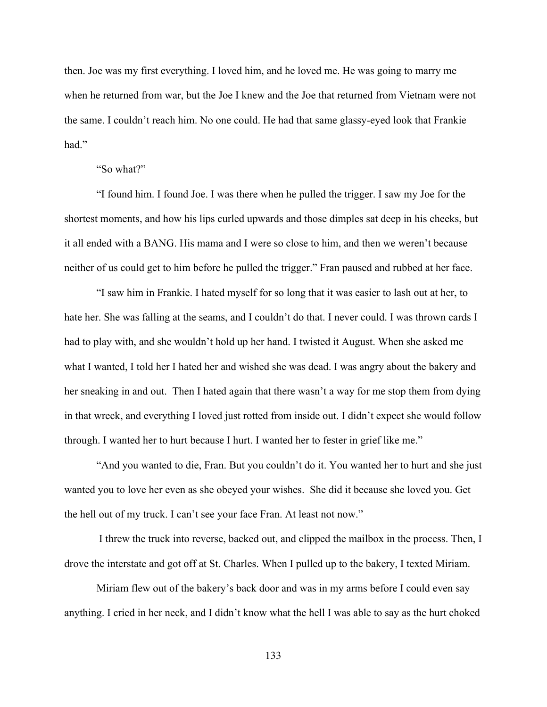then. Joe was my first everything. I loved him, and he loved me. He was going to marry me when he returned from war, but the Joe I knew and the Joe that returned from Vietnam were not the same. I couldn't reach him. No one could. He had that same glassy-eyed look that Frankie had."

# "So what?"

"I found him. I found Joe. I was there when he pulled the trigger. I saw my Joe for the shortest moments, and how his lips curled upwards and those dimples sat deep in his cheeks, but it all ended with a BANG. His mama and I were so close to him, and then we weren't because neither of us could get to him before he pulled the trigger." Fran paused and rubbed at her face.

"I saw him in Frankie. I hated myself for so long that it was easier to lash out at her, to hate her. She was falling at the seams, and I couldn't do that. I never could. I was thrown cards I had to play with, and she wouldn't hold up her hand. I twisted it August. When she asked me what I wanted, I told her I hated her and wished she was dead. I was angry about the bakery and her sneaking in and out. Then I hated again that there wasn't a way for me stop them from dying in that wreck, and everything I loved just rotted from inside out. I didn't expect she would follow through. I wanted her to hurt because I hurt. I wanted her to fester in grief like me."

"And you wanted to die, Fran. But you couldn't do it. You wanted her to hurt and she just wanted you to love her even as she obeyed your wishes. She did it because she loved you. Get the hell out of my truck. I can't see your face Fran. At least not now."

I threw the truck into reverse, backed out, and clipped the mailbox in the process. Then, I drove the interstate and got off at St. Charles. When I pulled up to the bakery, I texted Miriam.

Miriam flew out of the bakery's back door and was in my arms before I could even say anything. I cried in her neck, and I didn't know what the hell I was able to say as the hurt choked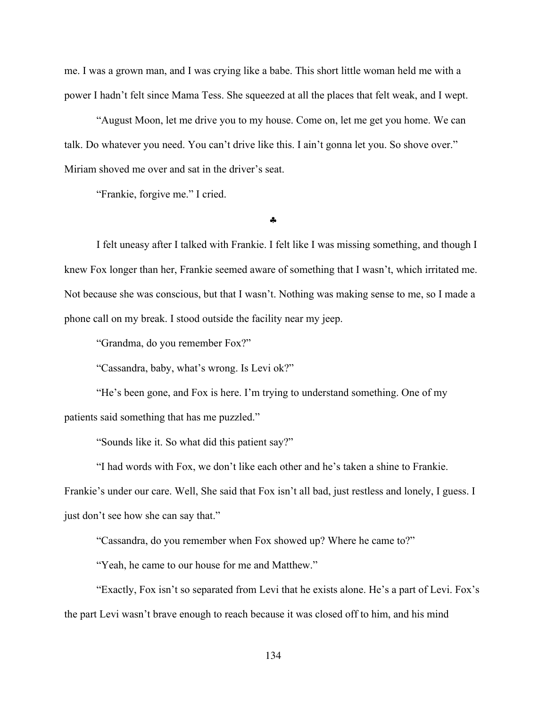me. I was a grown man, and I was crying like a babe. This short little woman held me with a power I hadn't felt since Mama Tess. She squeezed at all the places that felt weak, and I wept.

"August Moon, let me drive you to my house. Come on, let me get you home. We can talk. Do whatever you need. You can't drive like this. I ain't gonna let you. So shove over." Miriam shoved me over and sat in the driver's seat.

"Frankie, forgive me." I cried.

§

I felt uneasy after I talked with Frankie. I felt like I was missing something, and though I knew Fox longer than her, Frankie seemed aware of something that I wasn't, which irritated me. Not because she was conscious, but that I wasn't. Nothing was making sense to me, so I made a phone call on my break. I stood outside the facility near my jeep.

"Grandma, do you remember Fox?"

"Cassandra, baby, what's wrong. Is Levi ok?"

"He's been gone, and Fox is here. I'm trying to understand something. One of my patients said something that has me puzzled."

"Sounds like it. So what did this patient say?"

"I had words with Fox, we don't like each other and he's taken a shine to Frankie.

Frankie's under our care. Well, She said that Fox isn't all bad, just restless and lonely, I guess. I just don't see how she can say that."

"Cassandra, do you remember when Fox showed up? Where he came to?"

"Yeah, he came to our house for me and Matthew."

"Exactly, Fox isn't so separated from Levi that he exists alone. He's a part of Levi. Fox's the part Levi wasn't brave enough to reach because it was closed off to him, and his mind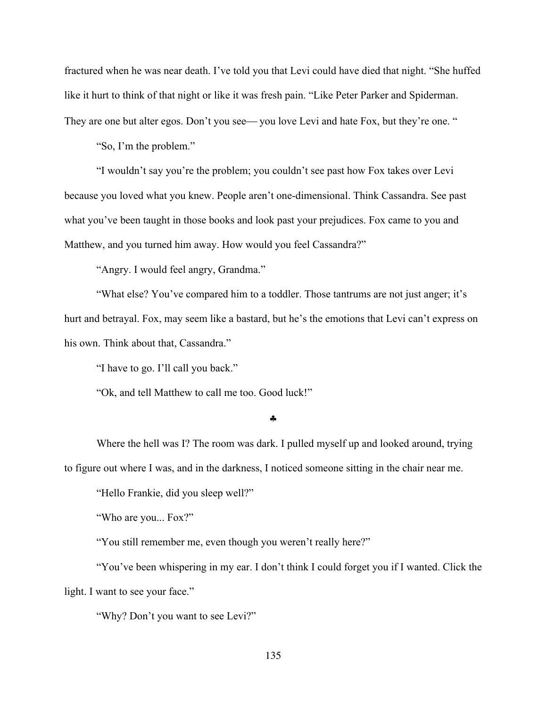fractured when he was near death. I've told you that Levi could have died that night. "She huffed like it hurt to think of that night or like it was fresh pain. "Like Peter Parker and Spiderman. They are one but alter egos. Don't you see— you love Levi and hate Fox, but they're one. "

"So, I'm the problem."

"I wouldn't say you're the problem; you couldn't see past how Fox takes over Levi because you loved what you knew. People aren't one-dimensional. Think Cassandra. See past what you've been taught in those books and look past your prejudices. Fox came to you and Matthew, and you turned him away. How would you feel Cassandra?"

"Angry. I would feel angry, Grandma."

"What else? You've compared him to a toddler. Those tantrums are not just anger; it's hurt and betrayal. Fox, may seem like a bastard, but he's the emotions that Levi can't express on his own. Think about that, Cassandra."

"I have to go. I'll call you back."

"Ok, and tell Matthew to call me too. Good luck!"

### §

Where the hell was I? The room was dark. I pulled myself up and looked around, trying to figure out where I was, and in the darkness, I noticed someone sitting in the chair near me.

"Hello Frankie, did you sleep well?"

"Who are you... Fox?"

"You still remember me, even though you weren't really here?"

"You've been whispering in my ear. I don't think I could forget you if I wanted. Click the light. I want to see your face."

"Why? Don't you want to see Levi?"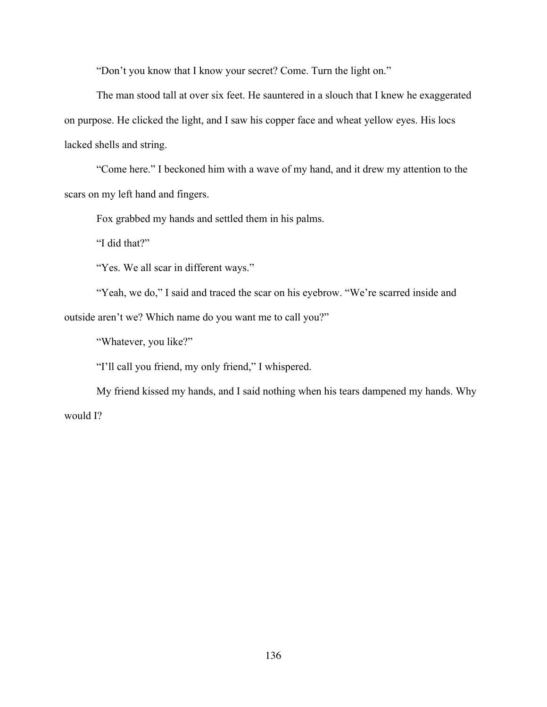"Don't you know that I know your secret? Come. Turn the light on."

The man stood tall at over six feet. He sauntered in a slouch that I knew he exaggerated on purpose. He clicked the light, and I saw his copper face and wheat yellow eyes. His locs lacked shells and string.

"Come here." I beckoned him with a wave of my hand, and it drew my attention to the scars on my left hand and fingers.

Fox grabbed my hands and settled them in his palms.

"I did that?"

"Yes. We all scar in different ways."

"Yeah, we do," I said and traced the scar on his eyebrow. "We're scarred inside and outside aren't we? Which name do you want me to call you?"

"Whatever, you like?"

"I'll call you friend, my only friend," I whispered.

My friend kissed my hands, and I said nothing when his tears dampened my hands. Why would I?